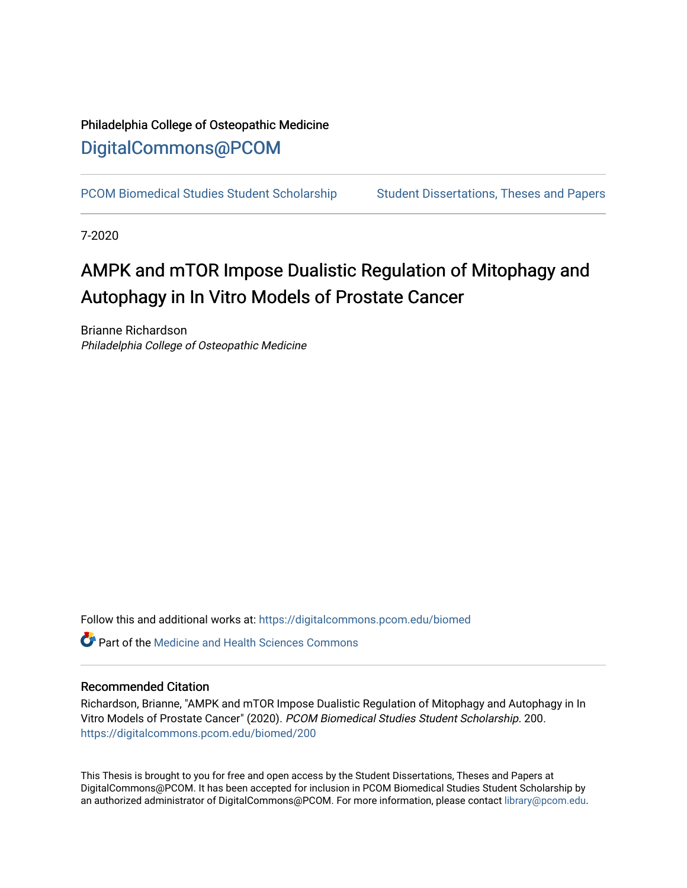# Philadelphia College of Osteopathic Medicine [DigitalCommons@PCOM](https://digitalcommons.pcom.edu/)

[PCOM Biomedical Studies Student Scholarship](https://digitalcommons.pcom.edu/biomed) Student Dissertations, Theses and Papers

7-2020

# AMPK and mTOR Impose Dualistic Regulation of Mitophagy and Autophagy in In Vitro Models of Prostate Cancer

Brianne Richardson Philadelphia College of Osteopathic Medicine

Follow this and additional works at: [https://digitalcommons.pcom.edu/biomed](https://digitalcommons.pcom.edu/biomed?utm_source=digitalcommons.pcom.edu%2Fbiomed%2F200&utm_medium=PDF&utm_campaign=PDFCoverPages) 

 $\bullet$  Part of the Medicine and Health Sciences Commons

#### Recommended Citation

Richardson, Brianne, "AMPK and mTOR Impose Dualistic Regulation of Mitophagy and Autophagy in In Vitro Models of Prostate Cancer" (2020). PCOM Biomedical Studies Student Scholarship. 200. [https://digitalcommons.pcom.edu/biomed/200](https://digitalcommons.pcom.edu/biomed/200?utm_source=digitalcommons.pcom.edu%2Fbiomed%2F200&utm_medium=PDF&utm_campaign=PDFCoverPages) 

This Thesis is brought to you for free and open access by the Student Dissertations, Theses and Papers at DigitalCommons@PCOM. It has been accepted for inclusion in PCOM Biomedical Studies Student Scholarship by an authorized administrator of DigitalCommons@PCOM. For more information, please contact [library@pcom.edu](mailto:library@pcom.edu).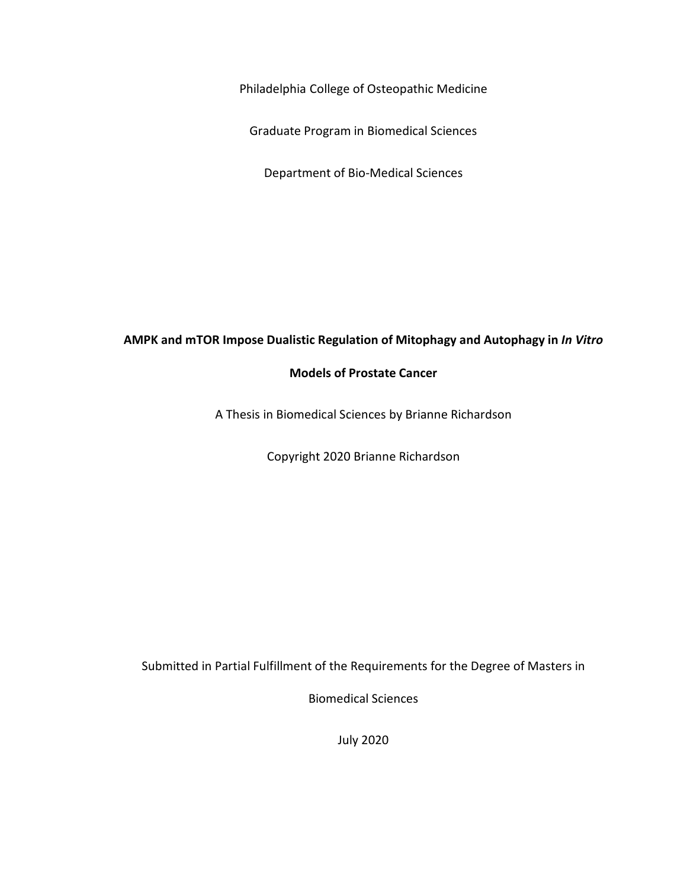Philadelphia College of Osteopathic Medicine

Graduate Program in Biomedical Sciences

Department of Bio-Medical Sciences

## **AMPK and mTOR Impose Dualistic Regulation of Mitophagy and Autophagy in** *In Vitro*

### **Models of Prostate Cancer**

A Thesis in Biomedical Sciences by Brianne Richardson

Copyright 2020 Brianne Richardson

Submitted in Partial Fulfillment of the Requirements for the Degree of Masters in

Biomedical Sciences

July 2020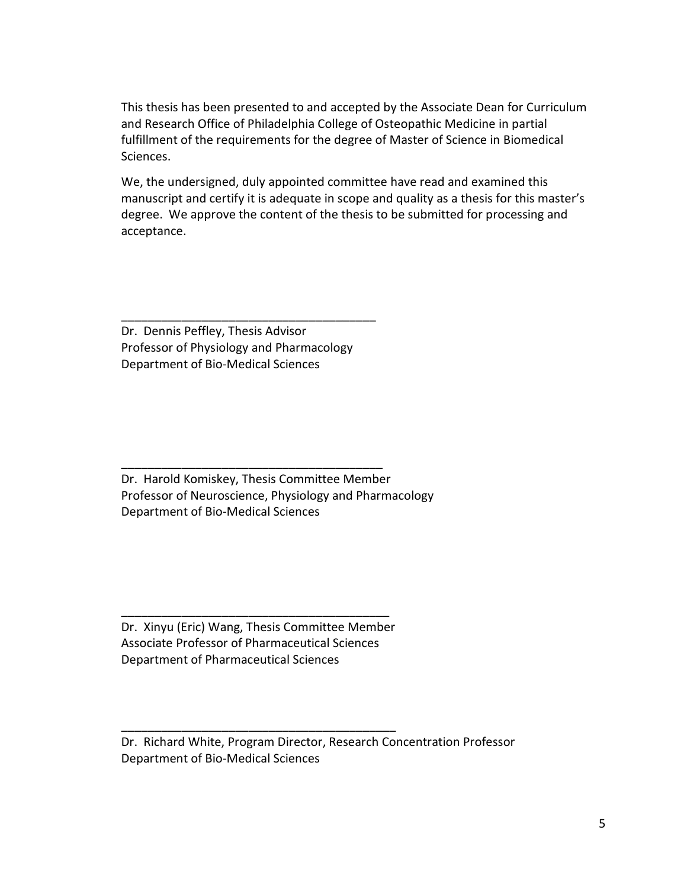This thesis has been presented to and accepted by the Associate Dean for Curriculum and Research Office of Philadelphia College of Osteopathic Medicine in partial fulfillment of the requirements for the degree of Master of Science in Biomedical Sciences.

We, the undersigned, duly appointed committee have read and examined this manuscript and certify it is adequate in scope and quality as a thesis for this master's degree. We approve the content of the thesis to be submitted for processing and acceptance.

Dr. Dennis Peffley, Thesis Advisor Professor of Physiology and Pharmacology Department of Bio-Medical Sciences

\_\_\_\_\_\_\_\_\_\_\_\_\_\_\_\_\_\_\_\_\_\_\_\_\_\_\_\_\_\_\_\_\_\_\_\_\_\_

Dr. Harold Komiskey, Thesis Committee Member Professor of Neuroscience, Physiology and Pharmacology Department of Bio-Medical Sciences

\_\_\_\_\_\_\_\_\_\_\_\_\_\_\_\_\_\_\_\_\_\_\_\_\_\_\_\_\_\_\_\_\_\_\_\_\_\_\_

Dr. Xinyu (Eric) Wang, Thesis Committee Member Associate Professor of Pharmaceutical Sciences Department of Pharmaceutical Sciences

\_\_\_\_\_\_\_\_\_\_\_\_\_\_\_\_\_\_\_\_\_\_\_\_\_\_\_\_\_\_\_\_\_\_\_\_\_\_\_\_\_

\_\_\_\_\_\_\_\_\_\_\_\_\_\_\_\_\_\_\_\_\_\_\_\_\_\_\_\_\_\_\_\_\_\_\_\_\_\_\_\_

Dr. Richard White, Program Director, Research Concentration Professor Department of Bio-Medical Sciences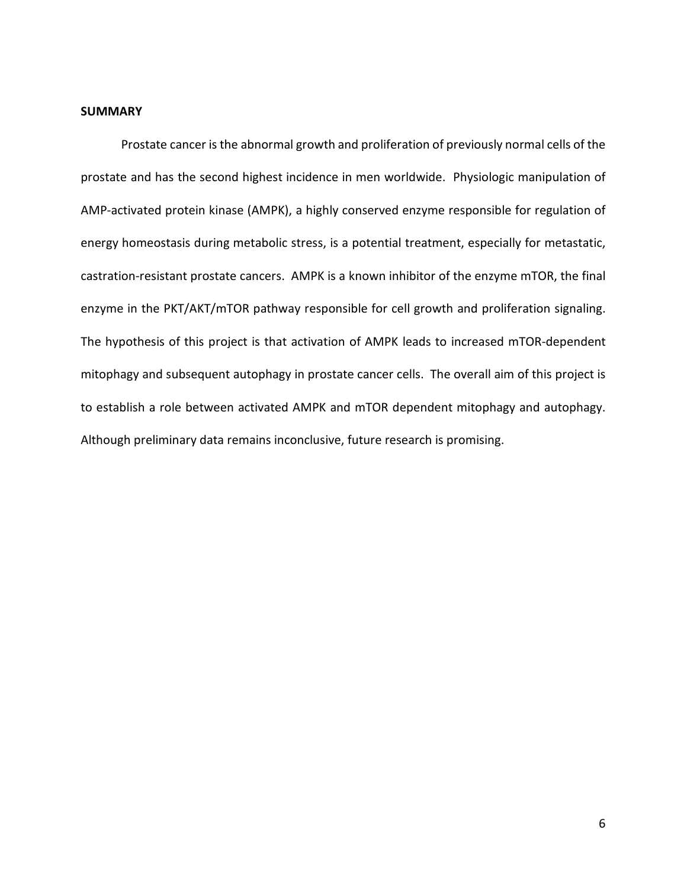#### <span id="page-3-0"></span>**SUMMARY**

Prostate cancer is the abnormal growth and proliferation of previously normal cells of the prostate and has the second highest incidence in men worldwide. Physiologic manipulation of AMP-activated protein kinase (AMPK), a highly conserved enzyme responsible for regulation of energy homeostasis during metabolic stress, is a potential treatment, especially for metastatic, castration-resistant prostate cancers. AMPK is a known inhibitor of the enzyme mTOR, the final enzyme in the PKT/AKT/mTOR pathway responsible for cell growth and proliferation signaling. The hypothesis of this project is that activation of AMPK leads to increased mTOR-dependent mitophagy and subsequent autophagy in prostate cancer cells. The overall aim of this project is to establish a role between activated AMPK and mTOR dependent mitophagy and autophagy. Although preliminary data remains inconclusive, future research is promising.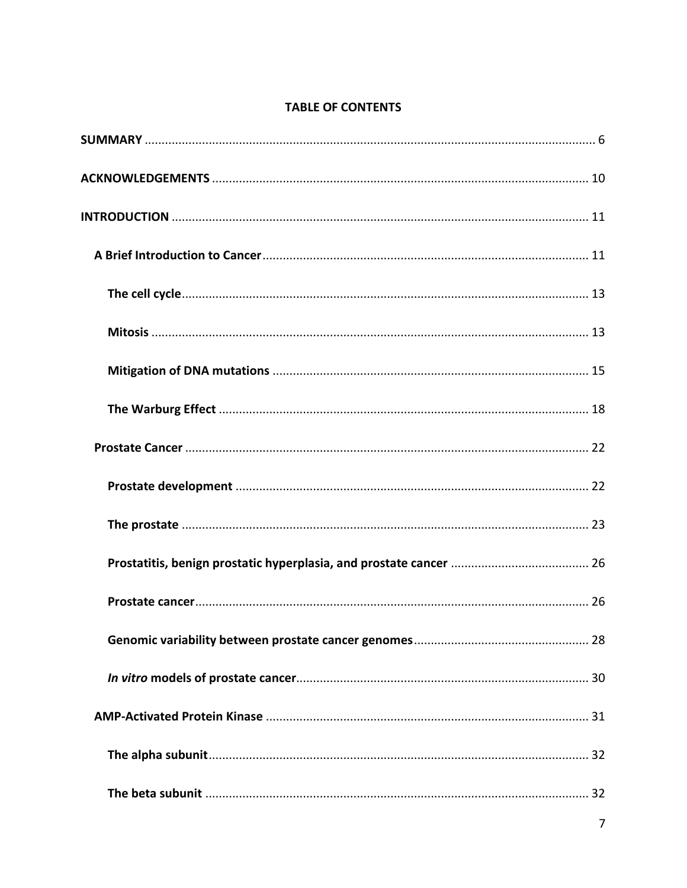# **TABLE OF CONTENTS**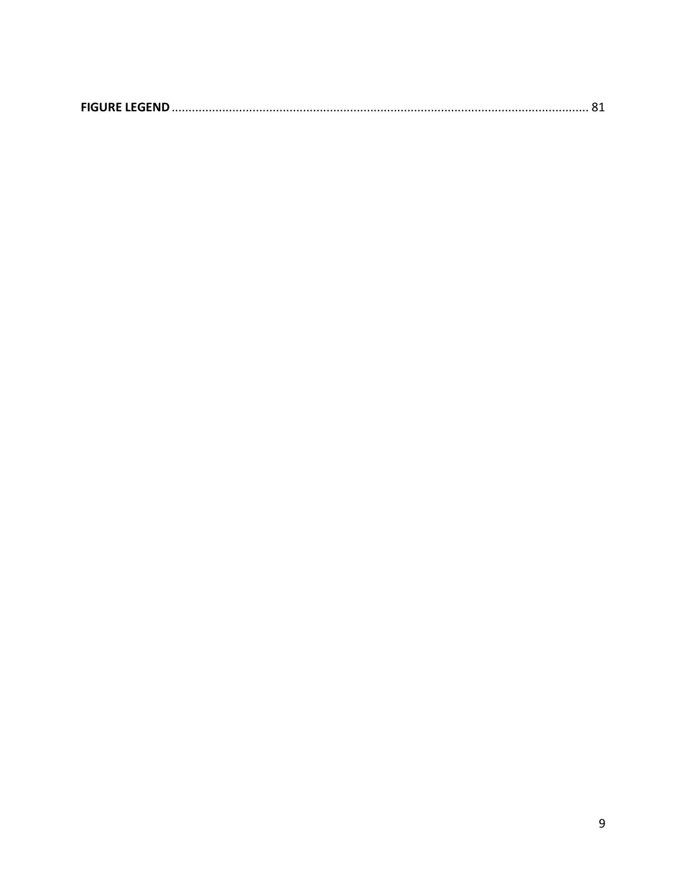<span id="page-6-0"></span>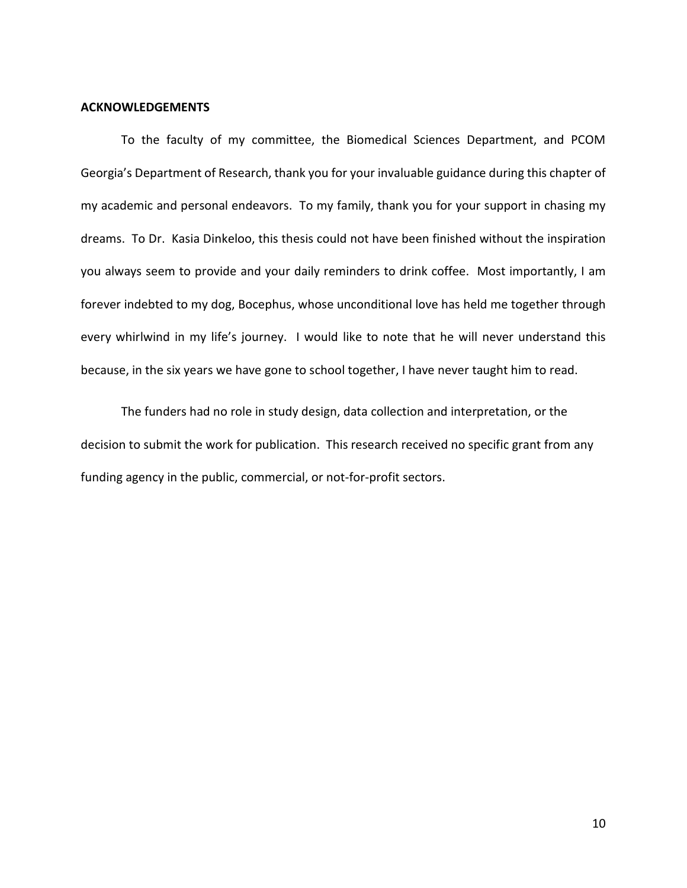#### **ACKNOWLEDGEMENTS**

To the faculty of my committee, the Biomedical Sciences Department, and PCOM Georgia's Department of Research, thank you for your invaluable guidance during this chapter of my academic and personal endeavors. To my family, thank you for your support in chasing my dreams. To Dr. Kasia Dinkeloo, this thesis could not have been finished without the inspiration you always seem to provide and your daily reminders to drink coffee. Most importantly, I am forever indebted to my dog, Bocephus, whose unconditional love has held me together through every whirlwind in my life's journey. I would like to note that he will never understand this because, in the six years we have gone to school together, I have never taught him to read.

The funders had no role in study design, data collection and interpretation, or the decision to submit the work for publication. This research received no specific grant from any funding agency in the public, commercial, or not-for-profit sectors.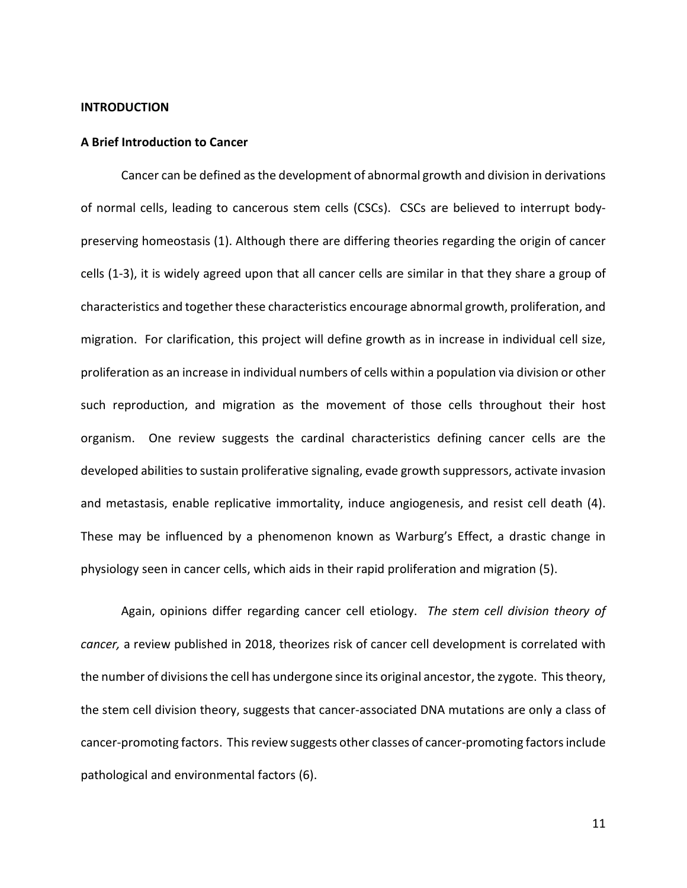#### <span id="page-8-0"></span>**INTRODUCTION**

#### <span id="page-8-1"></span>**A Brief Introduction to Cancer**

Cancer can be defined as the development of abnormal growth and division in derivations of normal cells, leading to cancerous stem cells (CSCs). CSCs are believed to interrupt bodypreserving homeostasis (1). Although there are differing theories regarding the origin of cancer cells (1-3), it is widely agreed upon that all cancer cells are similar in that they share a group of characteristics and together these characteristics encourage abnormal growth, proliferation, and migration. For clarification, this project will define growth as in increase in individual cell size, proliferation as an increase in individual numbers of cells within a population via division or other such reproduction, and migration as the movement of those cells throughout their host organism. One review suggests the cardinal characteristics defining cancer cells are the developed abilities to sustain proliferative signaling, evade growth suppressors, activate invasion and metastasis, enable replicative immortality, induce angiogenesis, and resist cell death (4). These may be influenced by a phenomenon known as Warburg's Effect, a drastic change in physiology seen in cancer cells, which aids in their rapid proliferation and migration (5).

Again, opinions differ regarding cancer cell etiology. *The stem cell division theory of cancer,* a review published in 2018, theorizes risk of cancer cell development is correlated with the number of divisions the cell has undergone since its original ancestor, the zygote. This theory, the stem cell division theory, suggests that cancer-associated DNA mutations are only a class of cancer-promoting factors. This review suggests other classes of cancer-promoting factors include pathological and environmental factors (6).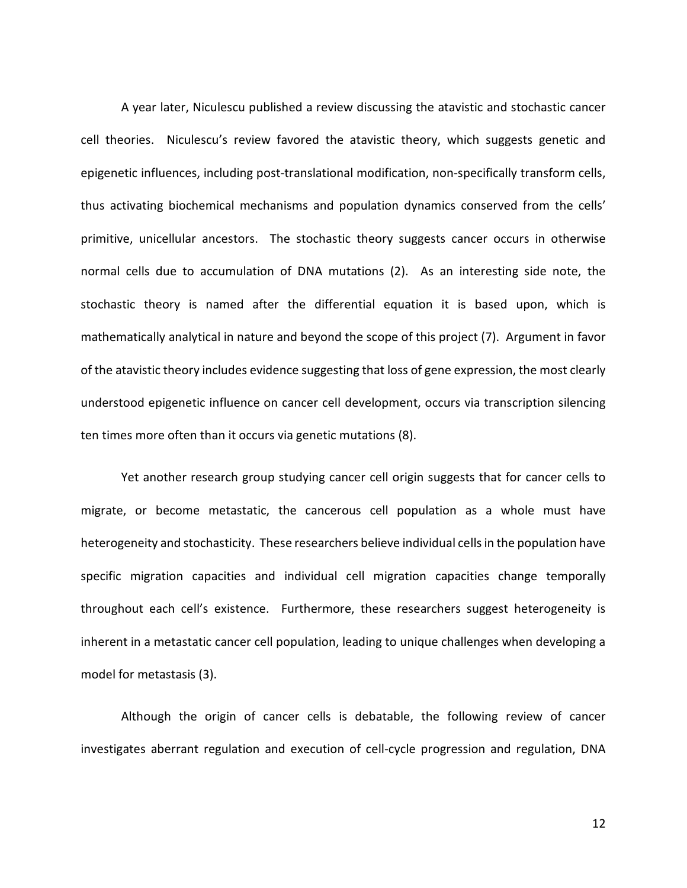A year later, Niculescu published a review discussing the atavistic and stochastic cancer cell theories. Niculescu's review favored the atavistic theory, which suggests genetic and epigenetic influences, including post-translational modification, non-specifically transform cells, thus activating biochemical mechanisms and population dynamics conserved from the cells' primitive, unicellular ancestors. The stochastic theory suggests cancer occurs in otherwise normal cells due to accumulation of DNA mutations (2). As an interesting side note, the stochastic theory is named after the differential equation it is based upon, which is mathematically analytical in nature and beyond the scope of this project (7). Argument in favor of the atavistic theory includes evidence suggesting that loss of gene expression, the most clearly understood epigenetic influence on cancer cell development, occurs via transcription silencing ten times more often than it occurs via genetic mutations (8).

Yet another research group studying cancer cell origin suggests that for cancer cells to migrate, or become metastatic, the cancerous cell population as a whole must have heterogeneity and stochasticity. These researchers believe individual cells in the population have specific migration capacities and individual cell migration capacities change temporally throughout each cell's existence. Furthermore, these researchers suggest heterogeneity is inherent in a metastatic cancer cell population, leading to unique challenges when developing a model for metastasis (3).

Although the origin of cancer cells is debatable, the following review of cancer investigates aberrant regulation and execution of cell-cycle progression and regulation, DNA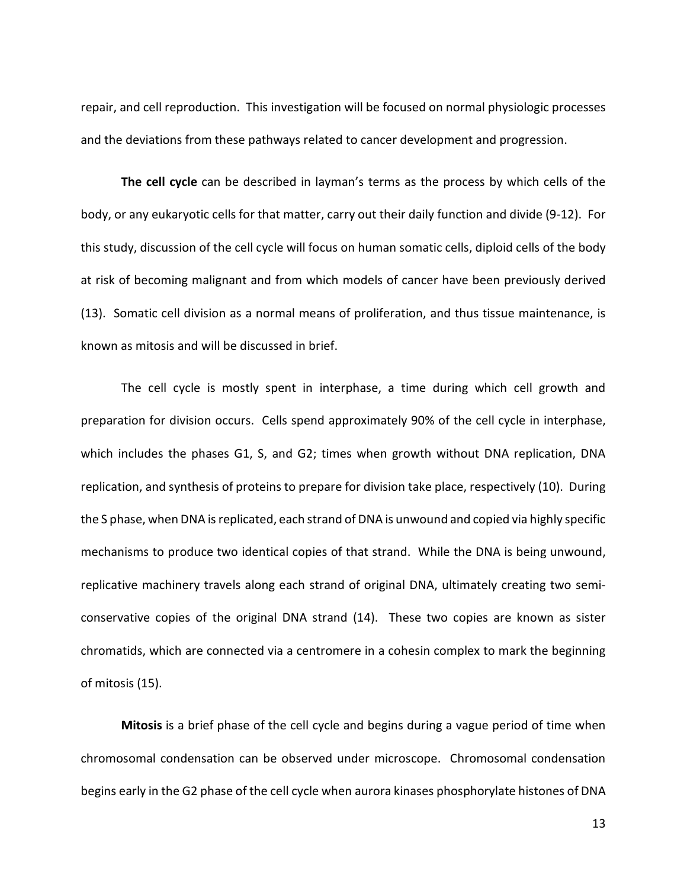repair, and cell reproduction. This investigation will be focused on normal physiologic processes and the deviations from these pathways related to cancer development and progression.

<span id="page-10-0"></span>**The cell cycle** can be described in layman's terms as the process by which cells of the body, or any eukaryotic cells for that matter, carry out their daily function and divide (9-12). For this study, discussion of the cell cycle will focus on human somatic cells, diploid cells of the body at risk of becoming malignant and from which models of cancer have been previously derived (13). Somatic cell division as a normal means of proliferation, and thus tissue maintenance, is known as mitosis and will be discussed in brief.

The cell cycle is mostly spent in interphase, a time during which cell growth and preparation for division occurs. Cells spend approximately 90% of the cell cycle in interphase, which includes the phases G1, S, and G2; times when growth without DNA replication, DNA replication, and synthesis of proteins to prepare for division take place, respectively (10). During the S phase, when DNA is replicated, each strand of DNA is unwound and copied via highly specific mechanisms to produce two identical copies of that strand. While the DNA is being unwound, replicative machinery travels along each strand of original DNA, ultimately creating two semiconservative copies of the original DNA strand (14). These two copies are known as sister chromatids, which are connected via a centromere in a cohesin complex to mark the beginning of mitosis (15).

<span id="page-10-1"></span>**Mitosis** is a brief phase of the cell cycle and begins during a vague period of time when chromosomal condensation can be observed under microscope. Chromosomal condensation begins early in the G2 phase of the cell cycle when aurora kinases phosphorylate histones of DNA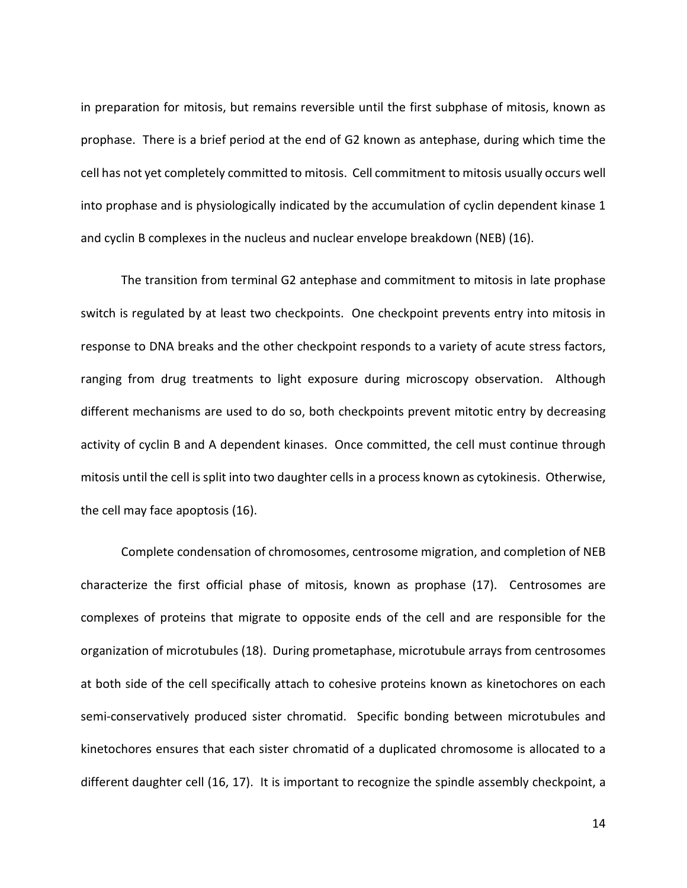in preparation for mitosis, but remains reversible until the first subphase of mitosis, known as prophase. There is a brief period at the end of G2 known as antephase, during which time the cell has not yet completely committed to mitosis. Cell commitment to mitosis usually occurs well into prophase and is physiologically indicated by the accumulation of cyclin dependent kinase 1 and cyclin B complexes in the nucleus and nuclear envelope breakdown (NEB) (16).

The transition from terminal G2 antephase and commitment to mitosis in late prophase switch is regulated by at least two checkpoints. One checkpoint prevents entry into mitosis in response to DNA breaks and the other checkpoint responds to a variety of acute stress factors, ranging from drug treatments to light exposure during microscopy observation. Although different mechanisms are used to do so, both checkpoints prevent mitotic entry by decreasing activity of cyclin B and A dependent kinases. Once committed, the cell must continue through mitosis until the cell is split into two daughter cells in a process known as cytokinesis. Otherwise, the cell may face apoptosis (16).

Complete condensation of chromosomes, centrosome migration, and completion of NEB characterize the first official phase of mitosis, known as prophase (17). Centrosomes are complexes of proteins that migrate to opposite ends of the cell and are responsible for the organization of microtubules (18). During prometaphase, microtubule arrays from centrosomes at both side of the cell specifically attach to cohesive proteins known as kinetochores on each semi-conservatively produced sister chromatid. Specific bonding between microtubules and kinetochores ensures that each sister chromatid of a duplicated chromosome is allocated to a different daughter cell (16, 17). It is important to recognize the spindle assembly checkpoint, a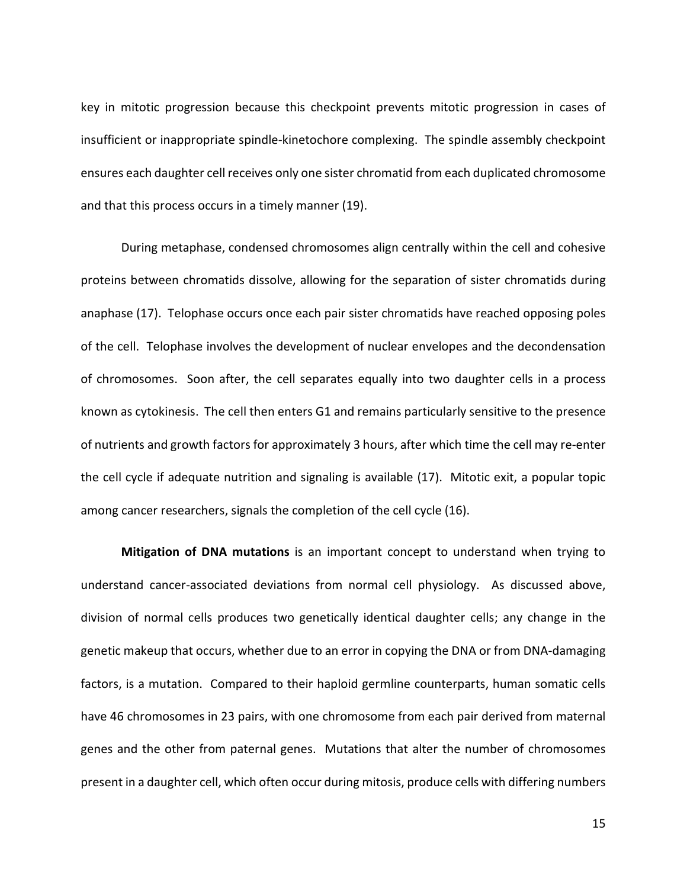key in mitotic progression because this checkpoint prevents mitotic progression in cases of insufficient or inappropriate spindle-kinetochore complexing. The spindle assembly checkpoint ensures each daughter cell receives only one sister chromatid from each duplicated chromosome and that this process occurs in a timely manner (19).

During metaphase, condensed chromosomes align centrally within the cell and cohesive proteins between chromatids dissolve, allowing for the separation of sister chromatids during anaphase (17). Telophase occurs once each pair sister chromatids have reached opposing poles of the cell. Telophase involves the development of nuclear envelopes and the decondensation of chromosomes. Soon after, the cell separates equally into two daughter cells in a process known as cytokinesis. The cell then enters G1 and remains particularly sensitive to the presence of nutrients and growth factors for approximately 3 hours, after which time the cell may re-enter the cell cycle if adequate nutrition and signaling is available (17). Mitotic exit, a popular topic among cancer researchers, signals the completion of the cell cycle (16).

<span id="page-12-0"></span>**Mitigation of DNA mutations** is an important concept to understand when trying to understand cancer-associated deviations from normal cell physiology. As discussed above, division of normal cells produces two genetically identical daughter cells; any change in the genetic makeup that occurs, whether due to an error in copying the DNA or from DNA-damaging factors, is a mutation. Compared to their haploid germline counterparts, human somatic cells have 46 chromosomes in 23 pairs, with one chromosome from each pair derived from maternal genes and the other from paternal genes. Mutations that alter the number of chromosomes present in a daughter cell, which often occur during mitosis, produce cells with differing numbers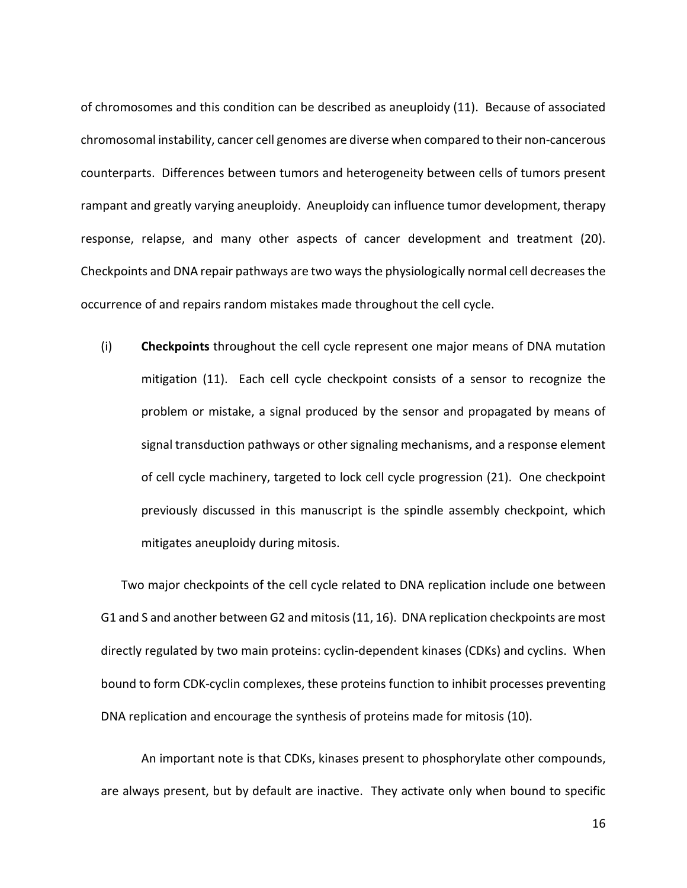of chromosomes and this condition can be described as aneuploidy (11). Because of associated chromosomal instability, cancer cell genomes are diverse when compared to their non-cancerous counterparts. Differences between tumors and heterogeneity between cells of tumors present rampant and greatly varying aneuploidy. Aneuploidy can influence tumor development, therapy response, relapse, and many other aspects of cancer development and treatment (20). Checkpoints and DNA repair pathways are two ways the physiologically normal cell decreases the occurrence of and repairs random mistakes made throughout the cell cycle.

(i) **Checkpoints** throughout the cell cycle represent one major means of DNA mutation mitigation (11). Each cell cycle checkpoint consists of a sensor to recognize the problem or mistake, a signal produced by the sensor and propagated by means of signal transduction pathways or other signaling mechanisms, and a response element of cell cycle machinery, targeted to lock cell cycle progression (21). One checkpoint previously discussed in this manuscript is the spindle assembly checkpoint, which mitigates aneuploidy during mitosis.

Two major checkpoints of the cell cycle related to DNA replication include one between G1 and S and another between G2 and mitosis(11, 16). DNA replication checkpoints are most directly regulated by two main proteins: cyclin-dependent kinases (CDKs) and cyclins. When bound to form CDK-cyclin complexes, these proteins function to inhibit processes preventing DNA replication and encourage the synthesis of proteins made for mitosis (10).

An important note is that CDKs, kinases present to phosphorylate other compounds, are always present, but by default are inactive. They activate only when bound to specific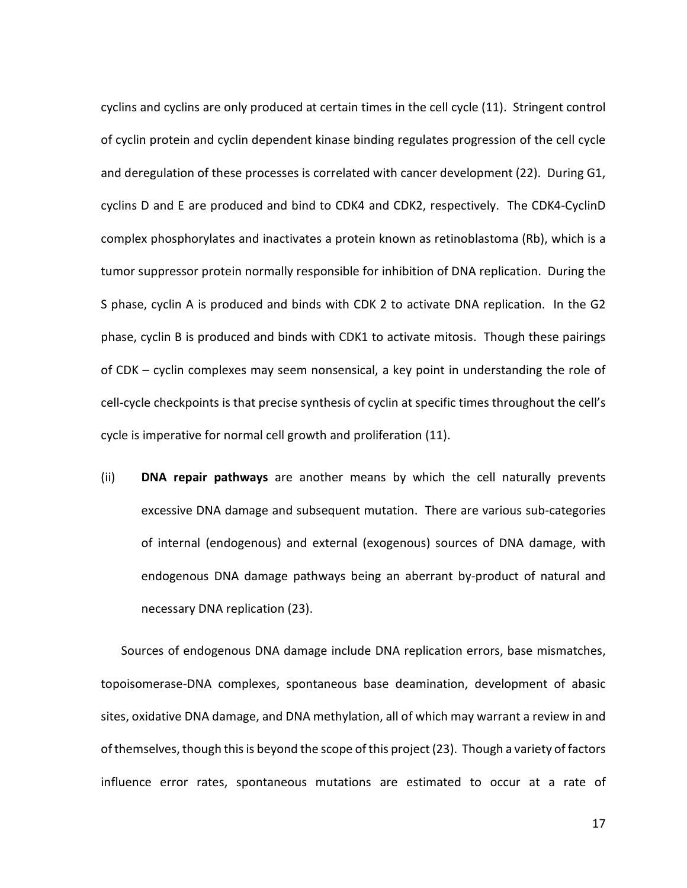cyclins and cyclins are only produced at certain times in the cell cycle (11). Stringent control of cyclin protein and cyclin dependent kinase binding regulates progression of the cell cycle and deregulation of these processes is correlated with cancer development (22). During G1, cyclins D and E are produced and bind to CDK4 and CDK2, respectively. The CDK4-CyclinD complex phosphorylates and inactivates a protein known as retinoblastoma (Rb), which is a tumor suppressor protein normally responsible for inhibition of DNA replication. During the S phase, cyclin A is produced and binds with CDK 2 to activate DNA replication. In the G2 phase, cyclin B is produced and binds with CDK1 to activate mitosis. Though these pairings of CDK – cyclin complexes may seem nonsensical, a key point in understanding the role of cell-cycle checkpoints is that precise synthesis of cyclin at specific times throughout the cell's cycle is imperative for normal cell growth and proliferation (11).

(ii) **DNA repair pathways** are another means by which the cell naturally prevents excessive DNA damage and subsequent mutation. There are various sub-categories of internal (endogenous) and external (exogenous) sources of DNA damage, with endogenous DNA damage pathways being an aberrant by-product of natural and necessary DNA replication (23).

Sources of endogenous DNA damage include DNA replication errors, base mismatches, topoisomerase-DNA complexes, spontaneous base deamination, development of abasic sites, oxidative DNA damage, and DNA methylation, all of which may warrant a review in and of themselves, though this is beyond the scope of this project(23). Though a variety of factors influence error rates, spontaneous mutations are estimated to occur at a rate of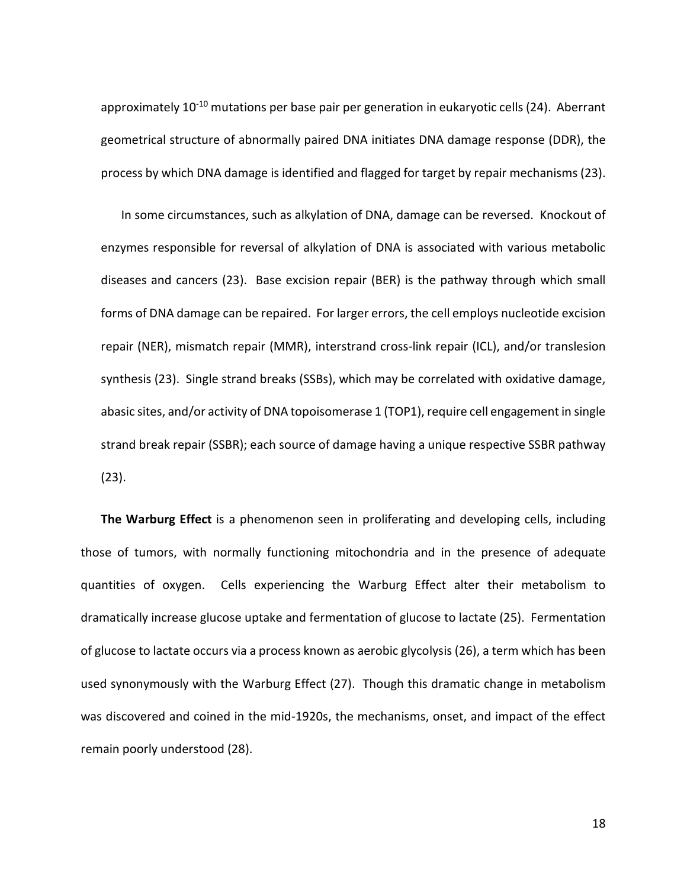approximately 10<sup>-10</sup> mutations per base pair per generation in eukaryotic cells (24). Aberrant geometrical structure of abnormally paired DNA initiates DNA damage response (DDR), the process by which DNA damage is identified and flagged for target by repair mechanisms (23).

In some circumstances, such as alkylation of DNA, damage can be reversed. Knockout of enzymes responsible for reversal of alkylation of DNA is associated with various metabolic diseases and cancers (23). Base excision repair (BER) is the pathway through which small forms of DNA damage can be repaired. For larger errors, the cell employs nucleotide excision repair (NER), mismatch repair (MMR), interstrand cross-link repair (ICL), and/or translesion synthesis (23). Single strand breaks (SSBs), which may be correlated with oxidative damage, abasic sites, and/or activity of DNA topoisomerase 1 (TOP1), require cell engagement in single strand break repair (SSBR); each source of damage having a unique respective SSBR pathway (23).

<span id="page-15-0"></span>**The Warburg Effect** is a phenomenon seen in proliferating and developing cells, including those of tumors, with normally functioning mitochondria and in the presence of adequate quantities of oxygen. Cells experiencing the Warburg Effect alter their metabolism to dramatically increase glucose uptake and fermentation of glucose to lactate (25). Fermentation of glucose to lactate occurs via a process known as aerobic glycolysis (26), a term which has been used synonymously with the Warburg Effect (27). Though this dramatic change in metabolism was discovered and coined in the mid-1920s, the mechanisms, onset, and impact of the effect remain poorly understood (28).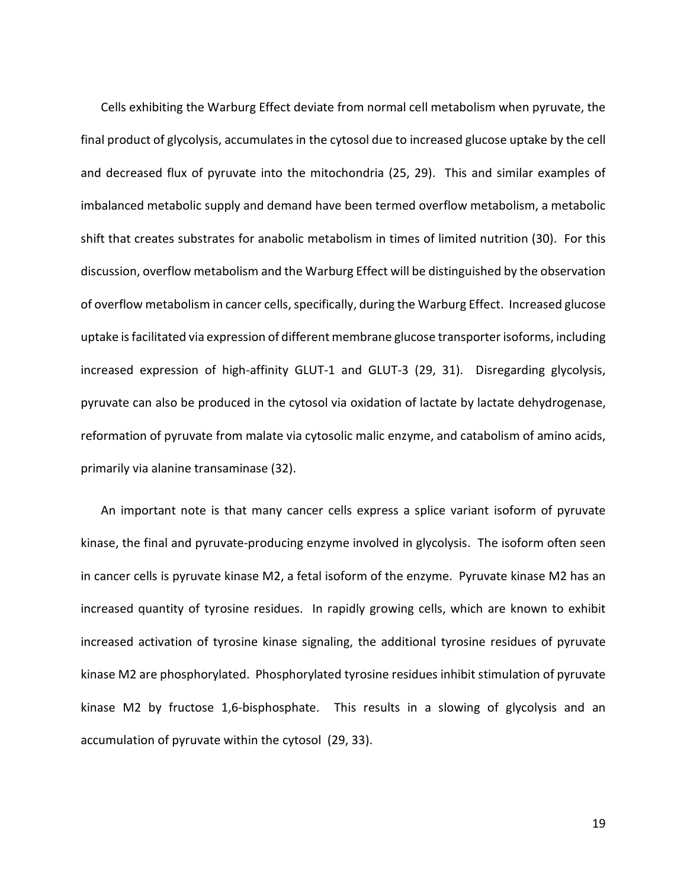Cells exhibiting the Warburg Effect deviate from normal cell metabolism when pyruvate, the final product of glycolysis, accumulates in the cytosol due to increased glucose uptake by the cell and decreased flux of pyruvate into the mitochondria (25, 29). This and similar examples of imbalanced metabolic supply and demand have been termed overflow metabolism, a metabolic shift that creates substrates for anabolic metabolism in times of limited nutrition (30). For this discussion, overflow metabolism and the Warburg Effect will be distinguished by the observation of overflow metabolism in cancer cells, specifically, during the Warburg Effect. Increased glucose uptake is facilitated via expression of different membrane glucose transporter isoforms, including increased expression of high-affinity GLUT-1 and GLUT-3 (29, 31). Disregarding glycolysis, pyruvate can also be produced in the cytosol via oxidation of lactate by lactate dehydrogenase, reformation of pyruvate from malate via cytosolic malic enzyme, and catabolism of amino acids, primarily via alanine transaminase (32).

An important note is that many cancer cells express a splice variant isoform of pyruvate kinase, the final and pyruvate-producing enzyme involved in glycolysis. The isoform often seen in cancer cells is pyruvate kinase M2, a fetal isoform of the enzyme. Pyruvate kinase M2 has an increased quantity of tyrosine residues. In rapidly growing cells, which are known to exhibit increased activation of tyrosine kinase signaling, the additional tyrosine residues of pyruvate kinase M2 are phosphorylated. Phosphorylated tyrosine residues inhibit stimulation of pyruvate kinase M2 by fructose 1,6-bisphosphate. This results in a slowing of glycolysis and an accumulation of pyruvate within the cytosol (29, 33).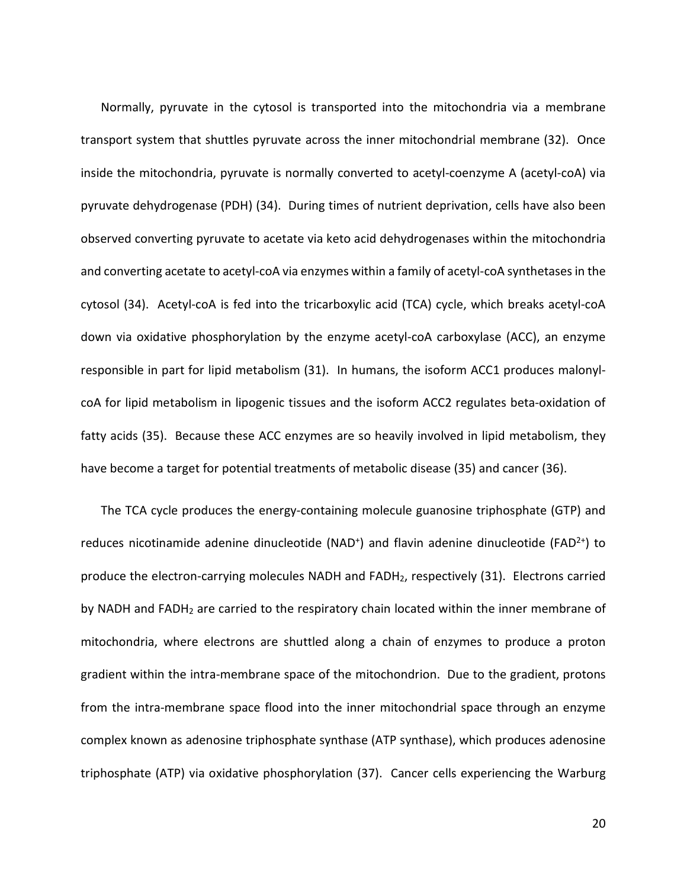Normally, pyruvate in the cytosol is transported into the mitochondria via a membrane transport system that shuttles pyruvate across the inner mitochondrial membrane (32). Once inside the mitochondria, pyruvate is normally converted to acetyl-coenzyme A (acetyl-coA) via pyruvate dehydrogenase (PDH) (34). During times of nutrient deprivation, cells have also been observed converting pyruvate to acetate via keto acid dehydrogenases within the mitochondria and converting acetate to acetyl-coA via enzymes within a family of acetyl-coA synthetases in the cytosol (34). Acetyl-coA is fed into the tricarboxylic acid (TCA) cycle, which breaks acetyl-coA down via oxidative phosphorylation by the enzyme acetyl-coA carboxylase (ACC), an enzyme responsible in part for lipid metabolism (31). In humans, the isoform ACC1 produces malonylcoA for lipid metabolism in lipogenic tissues and the isoform ACC2 regulates beta-oxidation of fatty acids (35). Because these ACC enzymes are so heavily involved in lipid metabolism, they have become a target for potential treatments of metabolic disease (35) and cancer (36).

The TCA cycle produces the energy-containing molecule guanosine triphosphate (GTP) and reduces nicotinamide adenine dinucleotide (NAD<sup>+</sup>) and flavin adenine dinucleotide (FAD<sup>2+</sup>) to produce the electron-carrying molecules NADH and FADH<sub>2</sub>, respectively (31). Electrons carried by NADH and FADH<sub>2</sub> are carried to the respiratory chain located within the inner membrane of mitochondria, where electrons are shuttled along a chain of enzymes to produce a proton gradient within the intra-membrane space of the mitochondrion. Due to the gradient, protons from the intra-membrane space flood into the inner mitochondrial space through an enzyme complex known as adenosine triphosphate synthase (ATP synthase), which produces adenosine triphosphate (ATP) via oxidative phosphorylation (37). Cancer cells experiencing the Warburg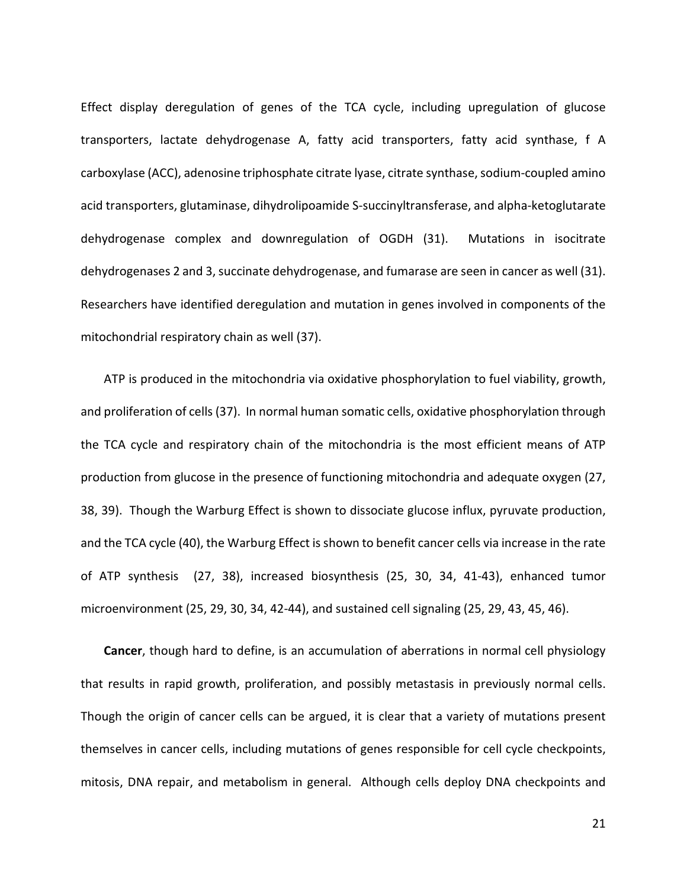Effect display deregulation of genes of the TCA cycle, including upregulation of glucose transporters, lactate dehydrogenase A, fatty acid transporters, fatty acid synthase, f A carboxylase (ACC), adenosine triphosphate citrate lyase, citrate synthase, sodium-coupled amino acid transporters, glutaminase, dihydrolipoamide S-succinyltransferase, and alpha-ketoglutarate dehydrogenase complex and downregulation of OGDH (31). Mutations in isocitrate dehydrogenases 2 and 3, succinate dehydrogenase, and fumarase are seen in cancer as well (31). Researchers have identified deregulation and mutation in genes involved in components of the mitochondrial respiratory chain as well (37).

ATP is produced in the mitochondria via oxidative phosphorylation to fuel viability, growth, and proliferation of cells (37). In normal human somatic cells, oxidative phosphorylation through the TCA cycle and respiratory chain of the mitochondria is the most efficient means of ATP production from glucose in the presence of functioning mitochondria and adequate oxygen (27, 38, 39). Though the Warburg Effect is shown to dissociate glucose influx, pyruvate production, and the TCA cycle (40), the Warburg Effect is shown to benefit cancer cells via increase in the rate of ATP synthesis (27, 38), increased biosynthesis (25, 30, 34, 41-43), enhanced tumor microenvironment (25, 29, 30, 34, 42-44), and sustained cell signaling (25, 29, 43, 45, 46).

**Cancer**, though hard to define, is an accumulation of aberrations in normal cell physiology that results in rapid growth, proliferation, and possibly metastasis in previously normal cells. Though the origin of cancer cells can be argued, it is clear that a variety of mutations present themselves in cancer cells, including mutations of genes responsible for cell cycle checkpoints, mitosis, DNA repair, and metabolism in general. Although cells deploy DNA checkpoints and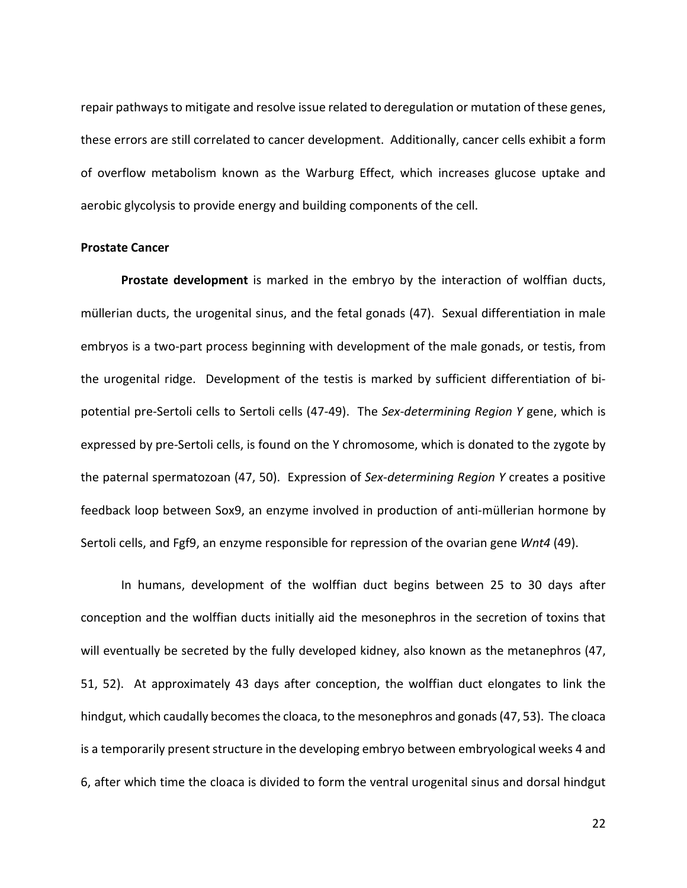repair pathways to mitigate and resolve issue related to deregulation or mutation of these genes, these errors are still correlated to cancer development. Additionally, cancer cells exhibit a form of overflow metabolism known as the Warburg Effect, which increases glucose uptake and aerobic glycolysis to provide energy and building components of the cell.

#### <span id="page-19-0"></span>**Prostate Cancer**

<span id="page-19-1"></span>**Prostate development** is marked in the embryo by the interaction of wolffian ducts, müllerian ducts, the urogenital sinus, and the fetal gonads (47). Sexual differentiation in male embryos is a two-part process beginning with development of the male gonads, or testis, from the urogenital ridge. Development of the testis is marked by sufficient differentiation of bipotential pre-Sertoli cells to Sertoli cells (47-49). The *Sex-determining Region Y* gene, which is expressed by pre-Sertoli cells, is found on the Y chromosome, which is donated to the zygote by the paternal spermatozoan (47, 50). Expression of *Sex-determining Region Y* creates a positive feedback loop between Sox9, an enzyme involved in production of anti-müllerian hormone by Sertoli cells, and Fgf9, an enzyme responsible for repression of the ovarian gene *Wnt4* (49).

In humans, development of the wolffian duct begins between 25 to 30 days after conception and the wolffian ducts initially aid the mesonephros in the secretion of toxins that will eventually be secreted by the fully developed kidney, also known as the metanephros (47, 51, 52). At approximately 43 days after conception, the wolffian duct elongates to link the hindgut, which caudally becomes the cloaca, to the mesonephros and gonads (47, 53). The cloaca is a temporarily present structure in the developing embryo between embryological weeks 4 and 6, after which time the cloaca is divided to form the ventral urogenital sinus and dorsal hindgut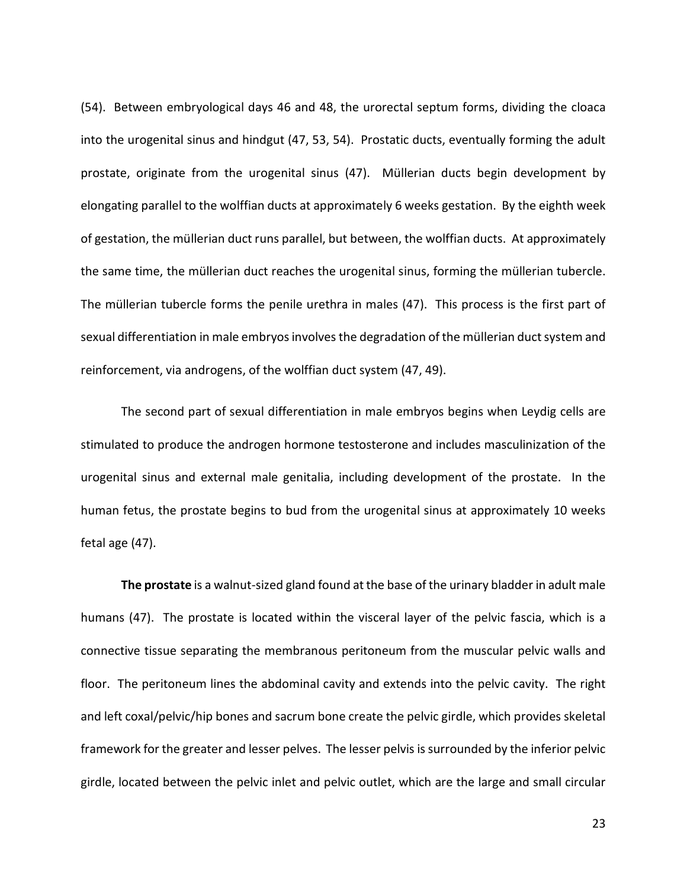(54). Between embryological days 46 and 48, the urorectal septum forms, dividing the cloaca into the urogenital sinus and hindgut (47, 53, 54). Prostatic ducts, eventually forming the adult prostate, originate from the urogenital sinus (47). Müllerian ducts begin development by elongating parallel to the wolffian ducts at approximately 6 weeks gestation. By the eighth week of gestation, the müllerian duct runs parallel, but between, the wolffian ducts. At approximately the same time, the müllerian duct reaches the urogenital sinus, forming the müllerian tubercle. The müllerian tubercle forms the penile urethra in males (47). This process is the first part of sexual differentiation in male embryos involves the degradation of the müllerian duct system and reinforcement, via androgens, of the wolffian duct system (47, 49).

The second part of sexual differentiation in male embryos begins when Leydig cells are stimulated to produce the androgen hormone testosterone and includes masculinization of the urogenital sinus and external male genitalia, including development of the prostate. In the human fetus, the prostate begins to bud from the urogenital sinus at approximately 10 weeks fetal age (47).

<span id="page-20-0"></span>**The prostate** is a walnut-sized gland found at the base of the urinary bladder in adult male humans (47). The prostate is located within the visceral layer of the pelvic fascia, which is a connective tissue separating the membranous peritoneum from the muscular pelvic walls and floor. The peritoneum lines the abdominal cavity and extends into the pelvic cavity. The right and left coxal/pelvic/hip bones and sacrum bone create the pelvic girdle, which provides skeletal framework for the greater and lesser pelves. The lesser pelvis issurrounded by the inferior pelvic girdle, located between the pelvic inlet and pelvic outlet, which are the large and small circular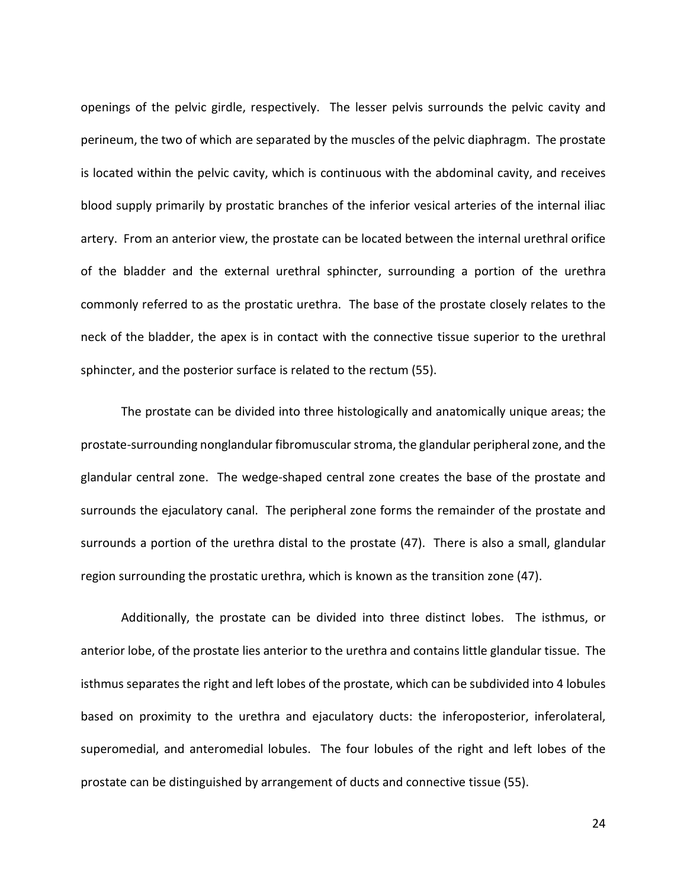openings of the pelvic girdle, respectively. The lesser pelvis surrounds the pelvic cavity and perineum, the two of which are separated by the muscles of the pelvic diaphragm. The prostate is located within the pelvic cavity, which is continuous with the abdominal cavity, and receives blood supply primarily by prostatic branches of the inferior vesical arteries of the internal iliac artery. From an anterior view, the prostate can be located between the internal urethral orifice of the bladder and the external urethral sphincter, surrounding a portion of the urethra commonly referred to as the prostatic urethra. The base of the prostate closely relates to the neck of the bladder, the apex is in contact with the connective tissue superior to the urethral sphincter, and the posterior surface is related to the rectum (55).

The prostate can be divided into three histologically and anatomically unique areas; the prostate-surrounding nonglandular fibromuscular stroma, the glandular peripheral zone, and the glandular central zone. The wedge-shaped central zone creates the base of the prostate and surrounds the ejaculatory canal. The peripheral zone forms the remainder of the prostate and surrounds a portion of the urethra distal to the prostate (47). There is also a small, glandular region surrounding the prostatic urethra, which is known as the transition zone (47).

Additionally, the prostate can be divided into three distinct lobes. The isthmus, or anterior lobe, of the prostate lies anterior to the urethra and contains little glandular tissue. The isthmus separates the right and left lobes of the prostate, which can be subdivided into 4 lobules based on proximity to the urethra and ejaculatory ducts: the inferoposterior, inferolateral, superomedial, and anteromedial lobules. The four lobules of the right and left lobes of the prostate can be distinguished by arrangement of ducts and connective tissue (55).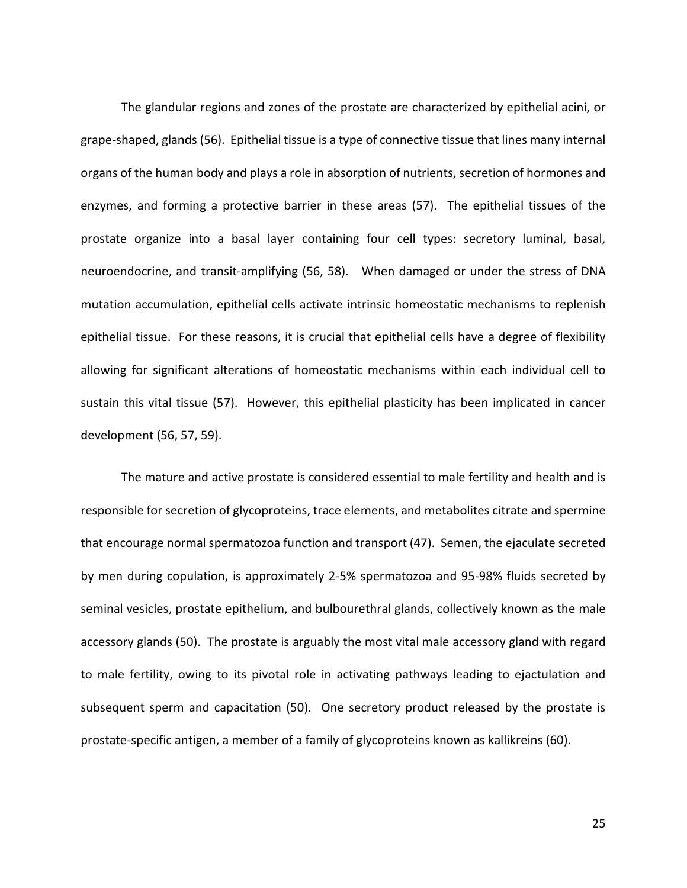The glandular regions and zones of the prostate are characterized by epithelial acini, or grape-shaped, glands (56). Epithelial tissue is a type of connective tissue that lines many internal organs of the human body and plays a role in absorption of nutrients, secretion of hormones and enzymes, and forming a protective barrier in these areas (57). The epithelial tissues of the prostate organize into a basal layer containing four cell types: secretory luminal, basal, neuroendocrine, and transit-amplifying (56, 58). When damaged or under the stress of DNA mutation accumulation, epithelial cells activate intrinsic homeostatic mechanisms to replenish epithelial tissue. For these reasons, it is crucial that epithelial cells have a degree of flexibility allowing for significant alterations of homeostatic mechanisms within each individual cell to sustain this vital tissue (57). However, this epithelial plasticity has been implicated in cancer development (56, 57, 59).

The mature and active prostate is considered essential to male fertility and health and is responsible for secretion of glycoproteins, trace elements, and metabolites citrate and spermine that encourage normal spermatozoa function and transport (47). Semen, the ejaculate secreted by men during copulation, is approximately 2-5% spermatozoa and 95-98% fluids secreted by seminal vesicles, prostate epithelium, and bulbourethral glands, collectively known as the male accessory glands (50). The prostate is arguably the most vital male accessory gland with regard to male fertility, owing to its pivotal role in activating pathways leading to ejactulation and subsequent sperm and capacitation (50). One secretory product released by the prostate is prostate-specific antigen, a member of a family of glycoproteins known as kallikreins (60).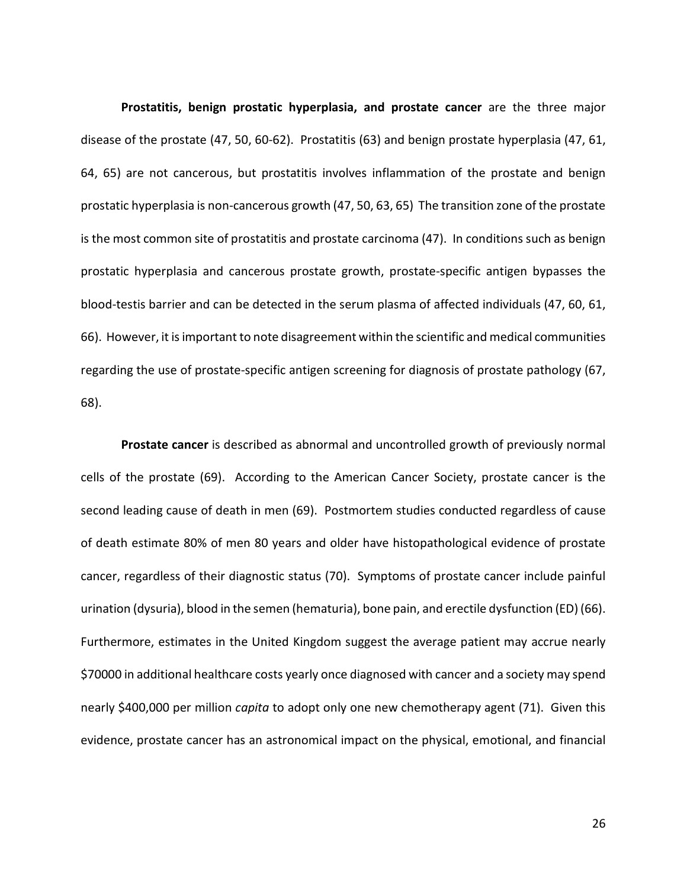<span id="page-23-0"></span>**Prostatitis, benign prostatic hyperplasia, and prostate cancer** are the three major disease of the prostate (47, 50, 60-62). Prostatitis (63) and benign prostate hyperplasia (47, 61, 64, 65) are not cancerous, but prostatitis involves inflammation of the prostate and benign prostatic hyperplasia is non-cancerous growth (47, 50, 63, 65) The transition zone of the prostate is the most common site of prostatitis and prostate carcinoma (47). In conditions such as benign prostatic hyperplasia and cancerous prostate growth, prostate-specific antigen bypasses the blood-testis barrier and can be detected in the serum plasma of affected individuals (47, 60, 61, 66). However, it is important to note disagreement within the scientific and medical communities regarding the use of prostate-specific antigen screening for diagnosis of prostate pathology (67, 68).

<span id="page-23-1"></span>**Prostate cancer** is described as abnormal and uncontrolled growth of previously normal cells of the prostate (69). According to the American Cancer Society, prostate cancer is the second leading cause of death in men (69). Postmortem studies conducted regardless of cause of death estimate 80% of men 80 years and older have histopathological evidence of prostate cancer, regardless of their diagnostic status (70). Symptoms of prostate cancer include painful urination (dysuria), blood in the semen (hematuria), bone pain, and erectile dysfunction (ED) (66). Furthermore, estimates in the United Kingdom suggest the average patient may accrue nearly \$70000 in additional healthcare costs yearly once diagnosed with cancer and a society may spend nearly \$400,000 per million *capita* to adopt only one new chemotherapy agent (71). Given this evidence, prostate cancer has an astronomical impact on the physical, emotional, and financial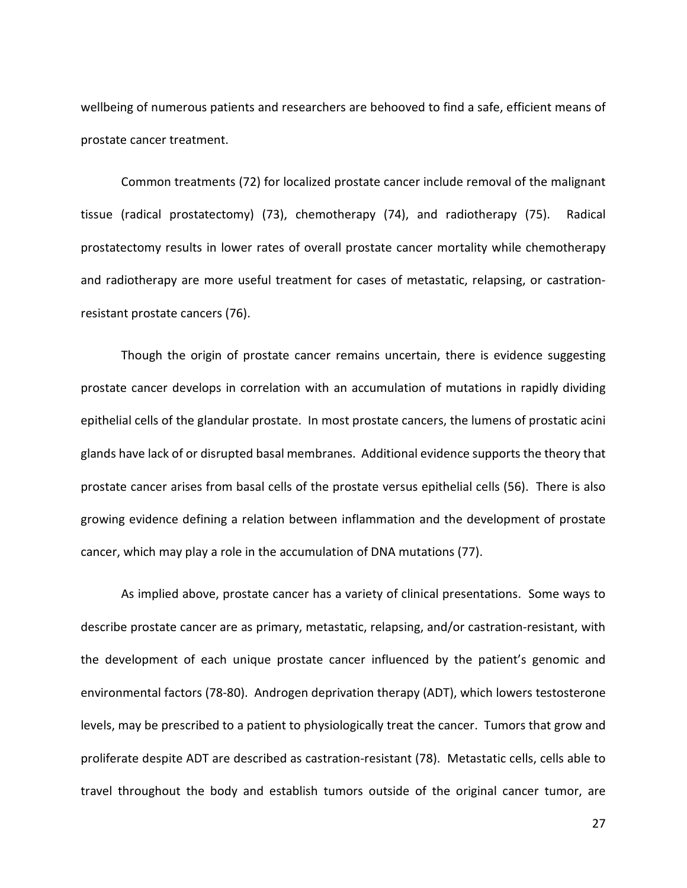wellbeing of numerous patients and researchers are behooved to find a safe, efficient means of prostate cancer treatment.

Common treatments (72) for localized prostate cancer include removal of the malignant tissue (radical prostatectomy) (73), chemotherapy (74), and radiotherapy (75). Radical prostatectomy results in lower rates of overall prostate cancer mortality while chemotherapy and radiotherapy are more useful treatment for cases of metastatic, relapsing, or castrationresistant prostate cancers (76).

Though the origin of prostate cancer remains uncertain, there is evidence suggesting prostate cancer develops in correlation with an accumulation of mutations in rapidly dividing epithelial cells of the glandular prostate. In most prostate cancers, the lumens of prostatic acini glands have lack of or disrupted basal membranes. Additional evidence supports the theory that prostate cancer arises from basal cells of the prostate versus epithelial cells (56). There is also growing evidence defining a relation between inflammation and the development of prostate cancer, which may play a role in the accumulation of DNA mutations (77).

As implied above, prostate cancer has a variety of clinical presentations. Some ways to describe prostate cancer are as primary, metastatic, relapsing, and/or castration-resistant, with the development of each unique prostate cancer influenced by the patient's genomic and environmental factors (78-80). Androgen deprivation therapy (ADT), which lowers testosterone levels, may be prescribed to a patient to physiologically treat the cancer. Tumors that grow and proliferate despite ADT are described as castration-resistant (78). Metastatic cells, cells able to travel throughout the body and establish tumors outside of the original cancer tumor, are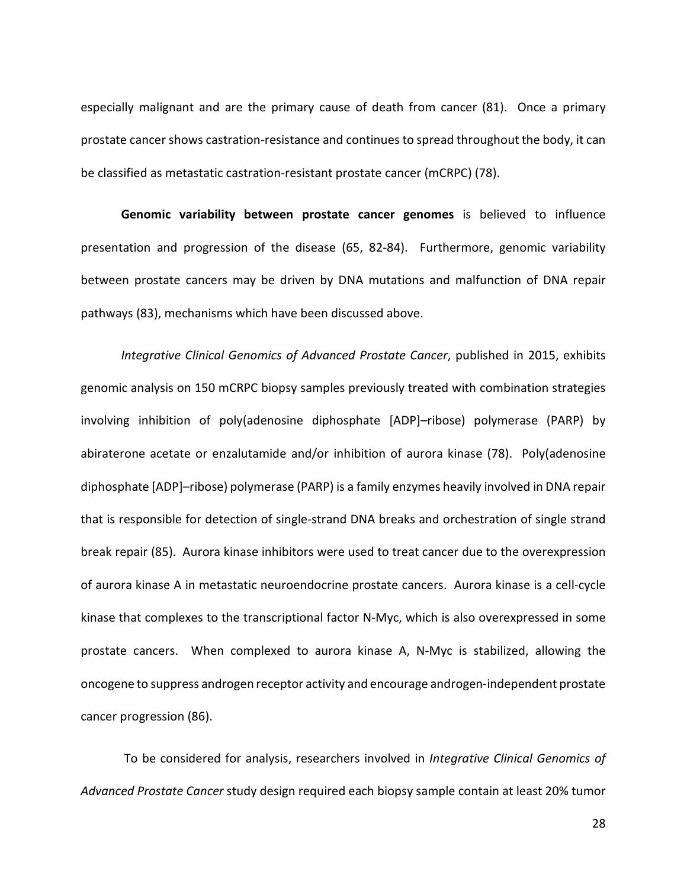especially malignant and are the primary cause of death from cancer (81). Once a primary prostate cancer shows castration-resistance and continues to spread throughout the body, it can be classified as metastatic castration-resistant prostate cancer (mCRPC) (78).

<span id="page-25-0"></span>**Genomic variability between prostate cancer genomes** is believed to influence presentation and progression of the disease (65, 82-84). Furthermore, genomic variability between prostate cancers may be driven by DNA mutations and malfunction of DNA repair pathways (83), mechanisms which have been discussed above.

*Integrative Clinical Genomics of Advanced Prostate Cancer*, published in 2015, exhibits genomic analysis on 150 mCRPC biopsy samples previously treated with combination strategies involving inhibition of poly(adenosine diphosphate [ADP]–ribose) polymerase (PARP) by abiraterone acetate or enzalutamide and/or inhibition of aurora kinase (78). Poly(adenosine diphosphate [ADP]–ribose) polymerase (PARP) is a family enzymes heavily involved in DNA repair that is responsible for detection of single-strand DNA breaks and orchestration of single strand break repair (85). Aurora kinase inhibitors were used to treat cancer due to the overexpression of aurora kinase A in metastatic neuroendocrine prostate cancers. Aurora kinase is a cell-cycle kinase that complexes to the transcriptional factor N-Myc, which is also overexpressed in some prostate cancers. When complexed to aurora kinase A, N-Myc is stabilized, allowing the oncogene to suppress androgen receptor activity and encourage androgen-independent prostate cancer progression (86).

To be considered for analysis, researchers involved in *Integrative Clinical Genomics of Advanced Prostate Cancer* study design required each biopsy sample contain at least 20% tumor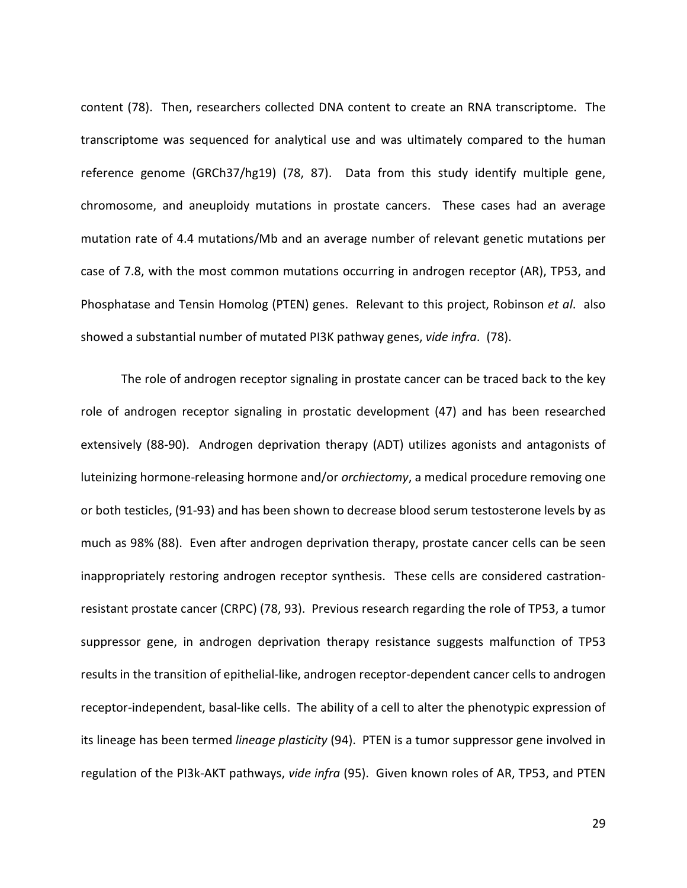content (78). Then, researchers collected DNA content to create an RNA transcriptome. The transcriptome was sequenced for analytical use and was ultimately compared to the human reference genome (GRCh37/hg19) (78, 87). Data from this study identify multiple gene, chromosome, and aneuploidy mutations in prostate cancers. These cases had an average mutation rate of 4.4 mutations/Mb and an average number of relevant genetic mutations per case of 7.8, with the most common mutations occurring in androgen receptor (AR), TP53, and Phosphatase and Tensin Homolog (PTEN) genes. Relevant to this project, Robinson *et al*. also showed a substantial number of mutated PI3K pathway genes, *vide infra*. (78).

The role of androgen receptor signaling in prostate cancer can be traced back to the key role of androgen receptor signaling in prostatic development (47) and has been researched extensively (88-90). Androgen deprivation therapy (ADT) utilizes agonists and antagonists of luteinizing hormone-releasing hormone and/or *orchiectomy*, a medical procedure removing one or both testicles, (91-93) and has been shown to decrease blood serum testosterone levels by as much as 98% (88). Even after androgen deprivation therapy, prostate cancer cells can be seen inappropriately restoring androgen receptor synthesis. These cells are considered castrationresistant prostate cancer (CRPC) (78, 93). Previous research regarding the role of TP53, a tumor suppressor gene, in androgen deprivation therapy resistance suggests malfunction of TP53 results in the transition of epithelial-like, androgen receptor-dependent cancer cells to androgen receptor-independent, basal-like cells. The ability of a cell to alter the phenotypic expression of its lineage has been termed *lineage plasticity* (94). PTEN is a tumor suppressor gene involved in regulation of the PI3k-AKT pathways, *vide infra* (95). Given known roles of AR, TP53, and PTEN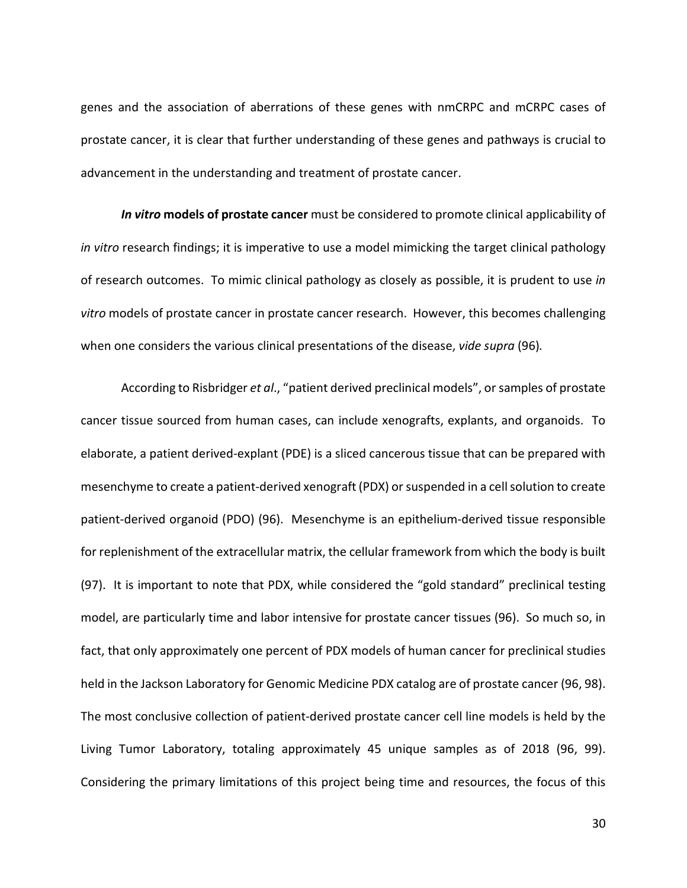genes and the association of aberrations of these genes with nmCRPC and mCRPC cases of prostate cancer, it is clear that further understanding of these genes and pathways is crucial to advancement in the understanding and treatment of prostate cancer.

<span id="page-27-0"></span>*In vitro* **models of prostate cancer** must be considered to promote clinical applicability of *in vitro* research findings; it is imperative to use a model mimicking the target clinical pathology of research outcomes. To mimic clinical pathology as closely as possible, it is prudent to use *in vitro* models of prostate cancer in prostate cancer research. However, this becomes challenging when one considers the various clinical presentations of the disease, *vide supra* (96)*.*

According to Risbridger *et al*., "patient derived preclinical models", or samples of prostate cancer tissue sourced from human cases, can include xenografts, explants, and organoids. To elaborate, a patient derived-explant (PDE) is a sliced cancerous tissue that can be prepared with mesenchyme to create a patient-derived xenograft (PDX) or suspended in a cell solution to create patient-derived organoid (PDO) (96). Mesenchyme is an epithelium-derived tissue responsible for replenishment of the extracellular matrix, the cellular framework from which the body is built (97). It is important to note that PDX, while considered the "gold standard" preclinical testing model, are particularly time and labor intensive for prostate cancer tissues (96). So much so, in fact, that only approximately one percent of PDX models of human cancer for preclinical studies held in the Jackson Laboratory for Genomic Medicine PDX catalog are of prostate cancer (96, 98). The most conclusive collection of patient-derived prostate cancer cell line models is held by the Living Tumor Laboratory, totaling approximately 45 unique samples as of 2018 (96, 99). Considering the primary limitations of this project being time and resources, the focus of this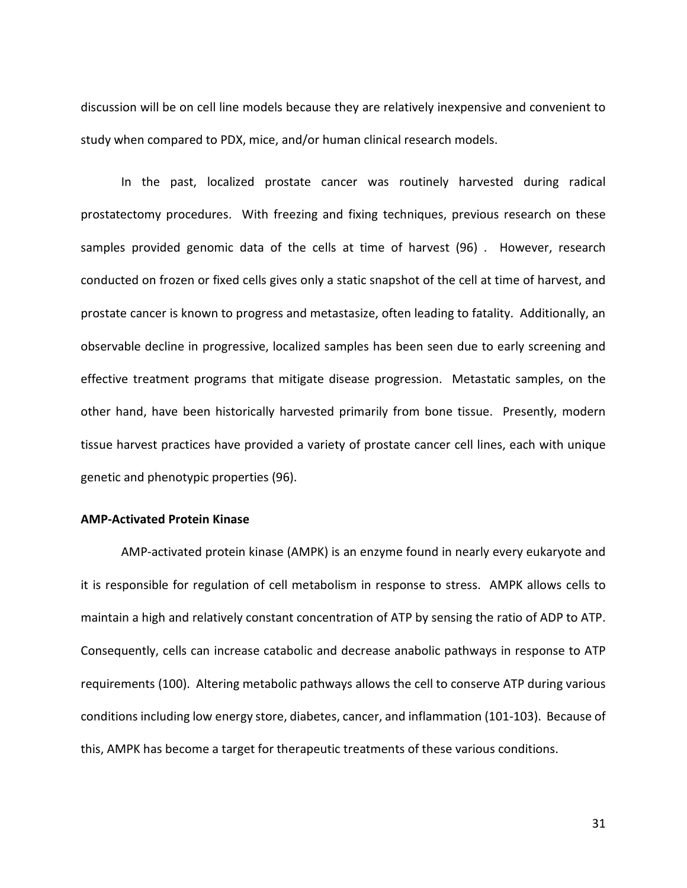discussion will be on cell line models because they are relatively inexpensive and convenient to study when compared to PDX, mice, and/or human clinical research models.

In the past, localized prostate cancer was routinely harvested during radical prostatectomy procedures. With freezing and fixing techniques, previous research on these samples provided genomic data of the cells at time of harvest (96) . However, research conducted on frozen or fixed cells gives only a static snapshot of the cell at time of harvest, and prostate cancer is known to progress and metastasize, often leading to fatality. Additionally, an observable decline in progressive, localized samples has been seen due to early screening and effective treatment programs that mitigate disease progression. Metastatic samples, on the other hand, have been historically harvested primarily from bone tissue. Presently, modern tissue harvest practices have provided a variety of prostate cancer cell lines, each with unique genetic and phenotypic properties (96).

#### <span id="page-28-0"></span>**AMP-Activated Protein Kinase**

AMP-activated protein kinase (AMPK) is an enzyme found in nearly every eukaryote and it is responsible for regulation of cell metabolism in response to stress. AMPK allows cells to maintain a high and relatively constant concentration of ATP by sensing the ratio of ADP to ATP. Consequently, cells can increase catabolic and decrease anabolic pathways in response to ATP requirements (100). Altering metabolic pathways allows the cell to conserve ATP during various conditions including low energy store, diabetes, cancer, and inflammation (101-103). Because of this, AMPK has become a target for therapeutic treatments of these various conditions.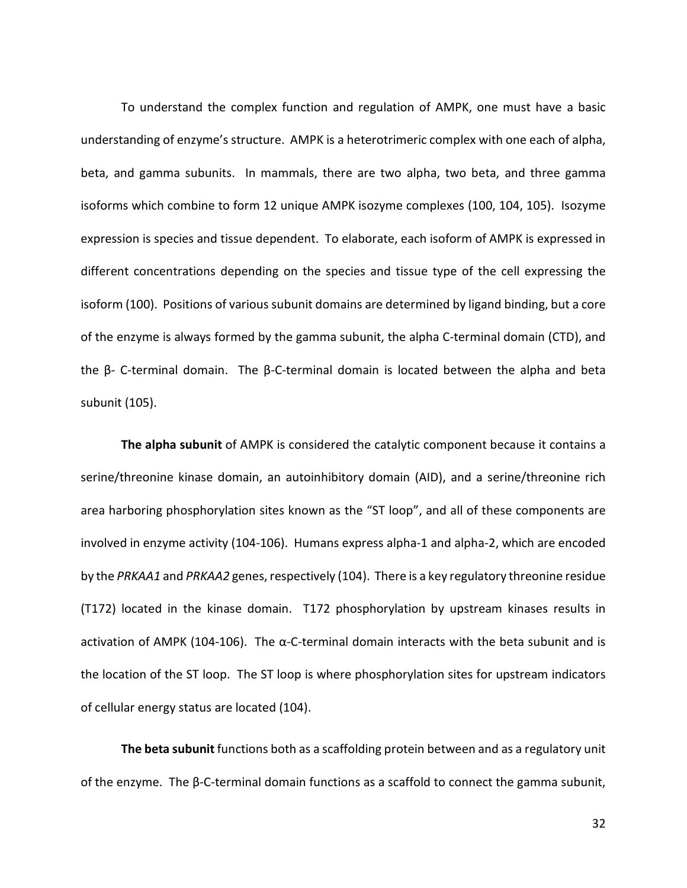To understand the complex function and regulation of AMPK, one must have a basic understanding of enzyme's structure. AMPK is a heterotrimeric complex with one each of alpha, beta, and gamma subunits. In mammals, there are two alpha, two beta, and three gamma isoforms which combine to form 12 unique AMPK isozyme complexes (100, 104, 105). Isozyme expression is species and tissue dependent. To elaborate, each isoform of AMPK is expressed in different concentrations depending on the species and tissue type of the cell expressing the isoform (100). Positions of various subunit domains are determined by ligand binding, but a core of the enzyme is always formed by the gamma subunit, the alpha C-terminal domain (CTD), and the β- C-terminal domain. The β-C-terminal domain is located between the alpha and beta subunit (105).

<span id="page-29-0"></span>**The alpha subunit** of AMPK is considered the catalytic component because it contains a serine/threonine kinase domain, an autoinhibitory domain (AID), and a serine/threonine rich area harboring phosphorylation sites known as the "ST loop", and all of these components are involved in enzyme activity (104-106). Humans express alpha-1 and alpha-2, which are encoded by the *PRKAA1* and *PRKAA2* genes, respectively (104). There is a key regulatory threonine residue (T172) located in the kinase domain. T172 phosphorylation by upstream kinases results in activation of AMPK (104-106). The  $\alpha$ -C-terminal domain interacts with the beta subunit and is the location of the ST loop. The ST loop is where phosphorylation sites for upstream indicators of cellular energy status are located (104).

<span id="page-29-1"></span>**The beta subunit** functions both as a scaffolding protein between and as a regulatory unit of the enzyme. The β-C-terminal domain functions as a scaffold to connect the gamma subunit,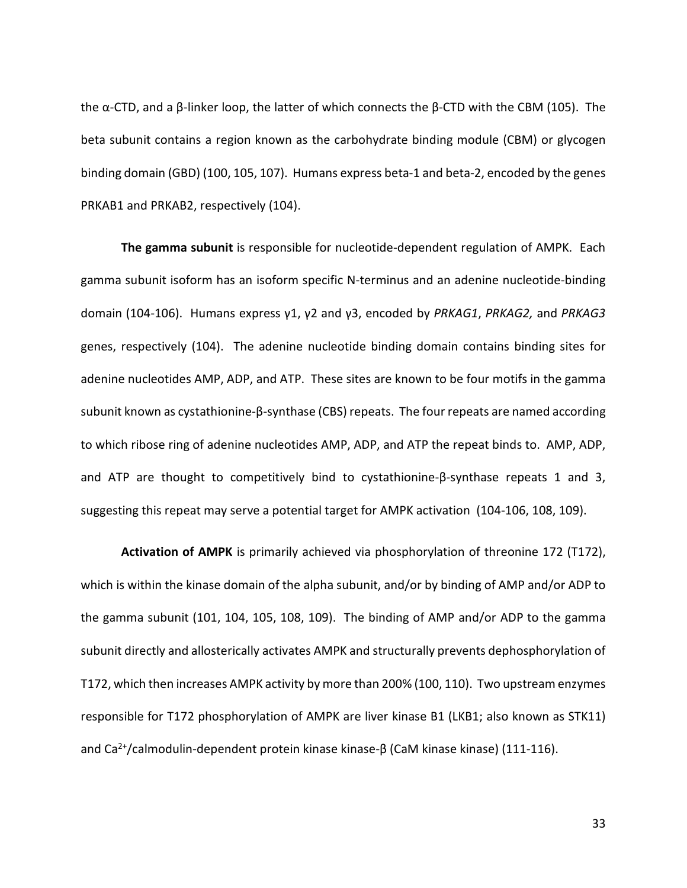the α-CTD, and a β-linker loop, the latter of which connects the β-CTD with the CBM (105). The beta subunit contains a region known as the carbohydrate binding module (CBM) or glycogen binding domain (GBD) (100, 105, 107). Humans express beta-1 and beta-2, encoded by the genes PRKAB1 and PRKAB2, respectively (104).

<span id="page-30-0"></span>**The gamma subunit** is responsible for nucleotide-dependent regulation of AMPK. Each gamma subunit isoform has an isoform specific N-terminus and an adenine nucleotide-binding domain (104-106). Humans express γ1, γ2 and γ3, encoded by *PRKAG1*, *PRKAG2,* and *PRKAG3* genes, respectively (104). The adenine nucleotide binding domain contains binding sites for adenine nucleotides AMP, ADP, and ATP. These sites are known to be four motifs in the gamma subunit known as cystathionine-β-synthase (CBS) repeats. The four repeats are named according to which ribose ring of adenine nucleotides AMP, ADP, and ATP the repeat binds to. AMP, ADP, and ATP are thought to competitively bind to cystathionine-β-synthase repeats 1 and 3, suggesting this repeat may serve a potential target for AMPK activation (104-106, 108, 109).

<span id="page-30-1"></span>**Activation of AMPK** is primarily achieved via phosphorylation of threonine 172 (T172), which is within the kinase domain of the alpha subunit, and/or by binding of AMP and/or ADP to the gamma subunit (101, 104, 105, 108, 109). The binding of AMP and/or ADP to the gamma subunit directly and allosterically activates AMPK and structurally prevents dephosphorylation of T172, which then increases AMPK activity by more than 200% (100, 110). Two upstream enzymes responsible for T172 phosphorylation of AMPK are liver kinase B1 (LKB1; also known as STK11) and Ca<sup>2+</sup>/calmodulin-dependent protein kinase kinase-β (CaM kinase kinase) (111-116).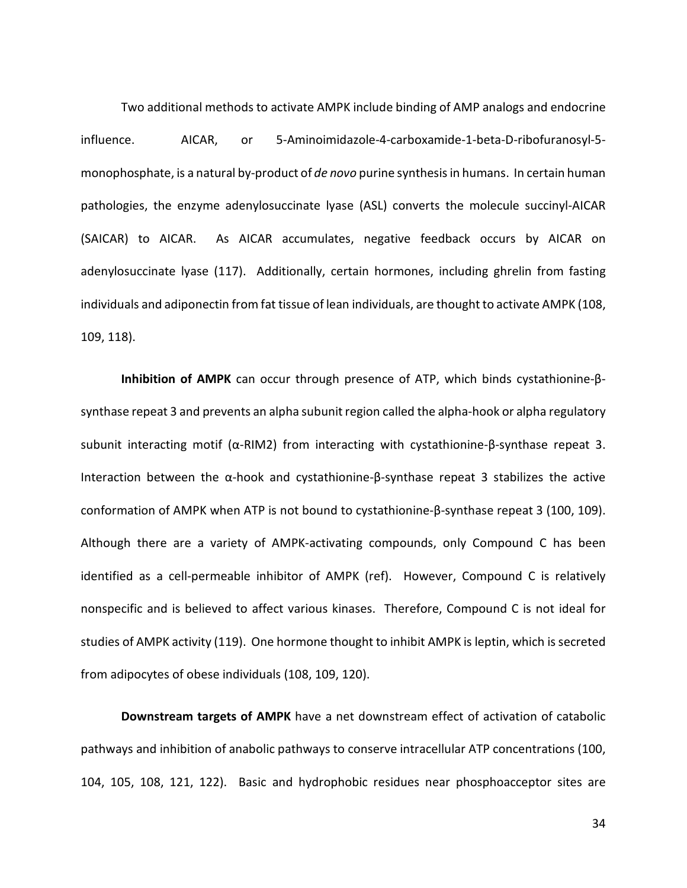Two additional methods to activate AMPK include binding of AMP analogs and endocrine influence. AICAR, or 5-Aminoimidazole-4-carboxamide-1-beta-D-ribofuranosyl-5 monophosphate, is a natural by-product of *de novo* purine synthesis in humans. In certain human pathologies, the enzyme adenylosuccinate lyase (ASL) converts the molecule succinyl-AICAR (SAICAR) to AICAR. As AICAR accumulates, negative feedback occurs by AICAR on adenylosuccinate lyase (117). Additionally, certain hormones, including ghrelin from fasting individuals and adiponectin from fat tissue of lean individuals, are thought to activate AMPK (108, 109, 118).

<span id="page-31-0"></span>**Inhibition of AMPK** can occur through presence of ATP, which binds cystathionine-βsynthase repeat 3 and prevents an alpha subunit region called the alpha-hook or alpha regulatory subunit interacting motif (α-RIM2) from interacting with cystathionine-β-synthase repeat 3. Interaction between the  $\alpha$ -hook and cystathionine- $\beta$ -synthase repeat 3 stabilizes the active conformation of AMPK when ATP is not bound to cystathionine-β-synthase repeat 3 (100, 109). Although there are a variety of AMPK-activating compounds, only Compound C has been identified as a cell-permeable inhibitor of AMPK (ref). However, Compound C is relatively nonspecific and is believed to affect various kinases. Therefore, Compound C is not ideal for studies of AMPK activity (119). One hormone thought to inhibit AMPK is leptin, which is secreted from adipocytes of obese individuals (108, 109, 120).

<span id="page-31-1"></span>**Downstream targets of AMPK** have a net downstream effect of activation of catabolic pathways and inhibition of anabolic pathways to conserve intracellular ATP concentrations (100, 104, 105, 108, 121, 122). Basic and hydrophobic residues near phosphoacceptor sites are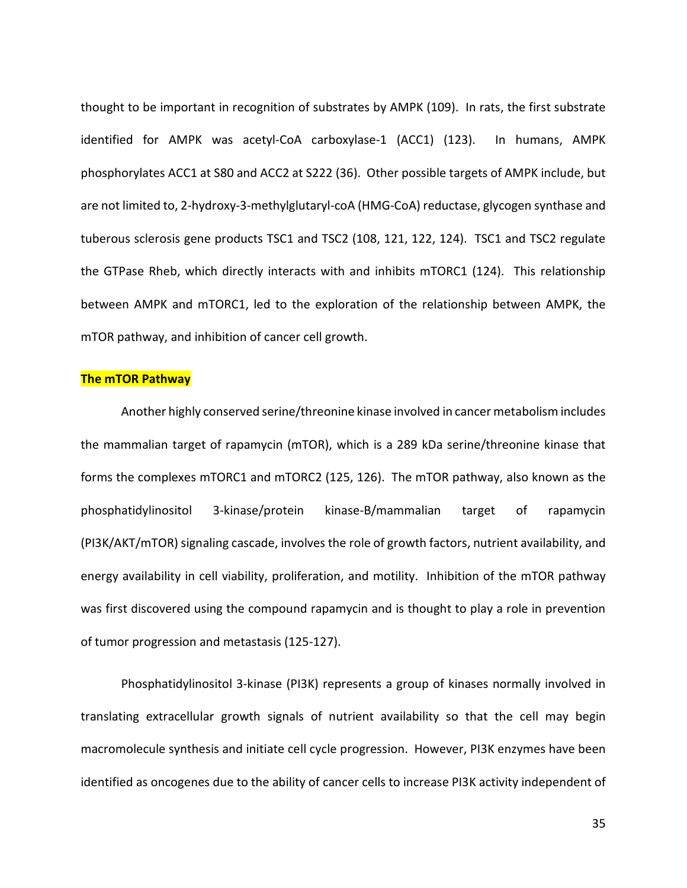thought to be important in recognition of substrates by AMPK (109). In rats, the first substrate identified for AMPK was acetyl-CoA carboxylase-1 (ACC1) (123). In humans, AMPK phosphorylates ACC1 at S80 and ACC2 at S222 (36). Other possible targets of AMPK include, but are not limited to, 2-hydroxy-3-methylglutaryl-coA (HMG-CoA) reductase, glycogen synthase and tuberous sclerosis gene products TSC1 and TSC2 (108, 121, 122, 124). TSC1 and TSC2 regulate the GTPase Rheb, which directly interacts with and inhibits mTORC1 (124). This relationship between AMPK and mTORC1, led to the exploration of the relationship between AMPK, the mTOR pathway, and inhibition of cancer cell growth.

#### <span id="page-32-0"></span>**The mTOR Pathway**

Another highly conserved serine/threonine kinase involved in cancer metabolism includes the mammalian target of rapamycin (mTOR), which is a 289 kDa serine/threonine kinase that forms the complexes mTORC1 and mTORC2 (125, 126). The mTOR pathway, also known as the phosphatidylinositol 3-kinase/protein kinase-B/mammalian target of rapamycin (PI3K/AKT/mTOR) signaling cascade, involves the role of growth factors, nutrient availability, and energy availability in cell viability, proliferation, and motility. Inhibition of the mTOR pathway was first discovered using the compound rapamycin and is thought to play a role in prevention of tumor progression and metastasis (125-127).

Phosphatidylinositol 3-kinase (PI3K) represents a group of kinases normally involved in translating extracellular growth signals of nutrient availability so that the cell may begin macromolecule synthesis and initiate cell cycle progression. However, PI3K enzymes have been identified as oncogenes due to the ability of cancer cells to increase PI3K activity independent of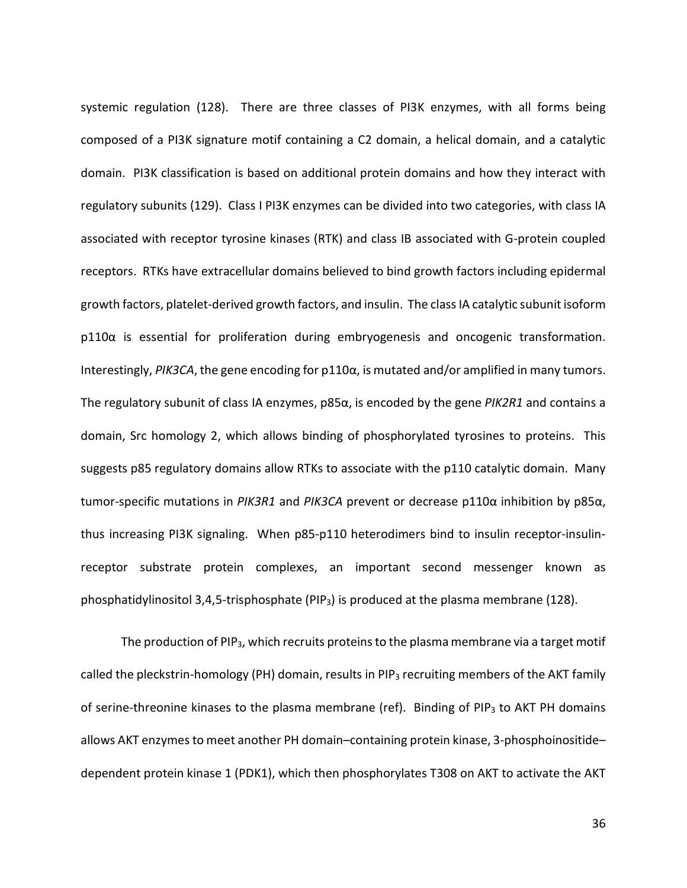systemic regulation (128). There are three classes of PI3K enzymes, with all forms being composed of a PI3K signature motif containing a C2 domain, a helical domain, and a catalytic domain. PI3K classification is based on additional protein domains and how they interact with regulatory subunits (129). Class I PI3K enzymes can be divided into two categories, with class IA associated with receptor tyrosine kinases (RTK) and class IB associated with G-protein coupled receptors. RTKs have extracellular domains believed to bind growth factors including epidermal growth factors, platelet-derived growth factors, and insulin. The class IA catalytic subunit isoform p110α is essential for proliferation during embryogenesis and oncogenic transformation. Interestingly, *PIK3CA*, the gene encoding for p110α, is mutated and/or amplified in many tumors. The regulatory subunit of class IA enzymes, p85α, is encoded by the gene *PIK2R1* and contains a domain, Src homology 2, which allows binding of phosphorylated tyrosines to proteins. This suggests p85 regulatory domains allow RTKs to associate with the p110 catalytic domain. Many tumor-specific mutations in *PIK3R1* and *PIK3CA* prevent or decrease p110α inhibition by p85α, thus increasing PI3K signaling. When p85-p110 heterodimers bind to insulin receptor-insulinreceptor substrate protein complexes, an important second messenger known as phosphatidylinositol 3,4,5-trisphosphate (PIP<sub>3</sub>) is produced at the plasma membrane (128).

The production of PIP<sub>3</sub>, which recruits proteins to the plasma membrane via a target motif called the pleckstrin-homology (PH) domain, results in PIP<sub>3</sub> recruiting members of the AKT family of serine-threonine kinases to the plasma membrane (ref). Binding of PIP<sub>3</sub> to AKT PH domains allows AKT enzymes to meet another PH domain–containing protein kinase, 3-phosphoinositide– dependent protein kinase 1 (PDK1), which then phosphorylates T308 on AKT to activate the AKT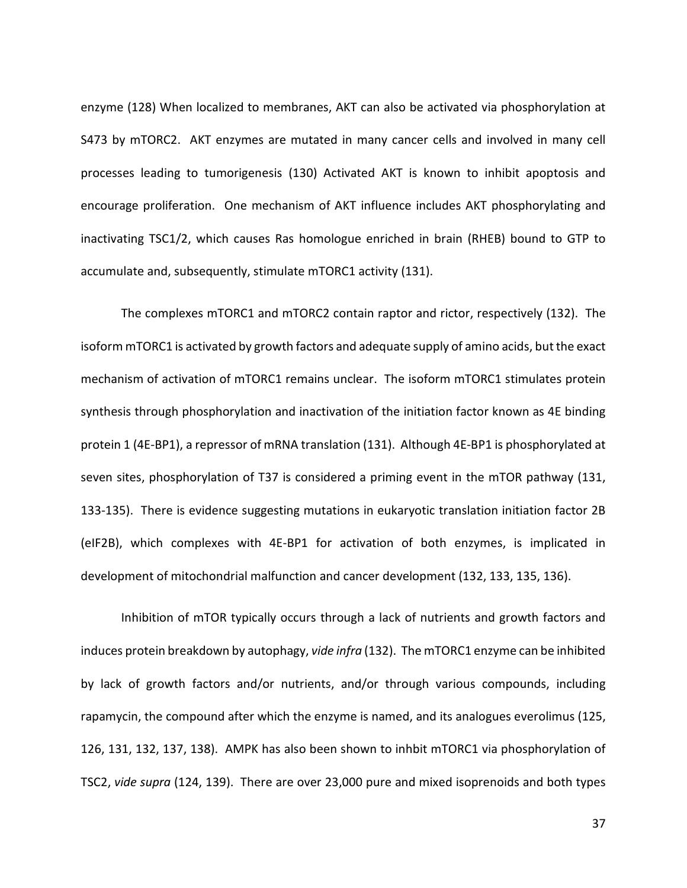enzyme (128) When localized to membranes, AKT can also be activated via phosphorylation at S473 by mTORC2. AKT enzymes are mutated in many cancer cells and involved in many cell processes leading to tumorigenesis (130) Activated AKT is known to inhibit apoptosis and encourage proliferation. One mechanism of AKT influence includes AKT phosphorylating and inactivating TSC1/2, which causes Ras homologue enriched in brain (RHEB) bound to GTP to accumulate and, subsequently, stimulate mTORC1 activity (131).

The complexes mTORC1 and mTORC2 contain raptor and rictor, respectively (132). The isoform mTORC1 is activated by growth factors and adequate supply of amino acids, but the exact mechanism of activation of mTORC1 remains unclear. The isoform mTORC1 stimulates protein synthesis through phosphorylation and inactivation of the initiation factor known as 4E binding protein 1 (4E-BP1), a repressor of mRNA translation (131). Although 4E-BP1 is phosphorylated at seven sites, phosphorylation of T37 is considered a priming event in the mTOR pathway (131, 133-135). There is evidence suggesting mutations in eukaryotic translation initiation factor 2B (eIF2B), which complexes with 4E-BP1 for activation of both enzymes, is implicated in development of mitochondrial malfunction and cancer development (132, 133, 135, 136).

Inhibition of mTOR typically occurs through a lack of nutrients and growth factors and induces protein breakdown by autophagy, *vide infra* (132). The mTORC1 enzyme can be inhibited by lack of growth factors and/or nutrients, and/or through various compounds, including rapamycin, the compound after which the enzyme is named, and its analogues everolimus (125, 126, 131, 132, 137, 138). AMPK has also been shown to inhbit mTORC1 via phosphorylation of TSC2, *vide supra* (124, 139). There are over 23,000 pure and mixed isoprenoids and both types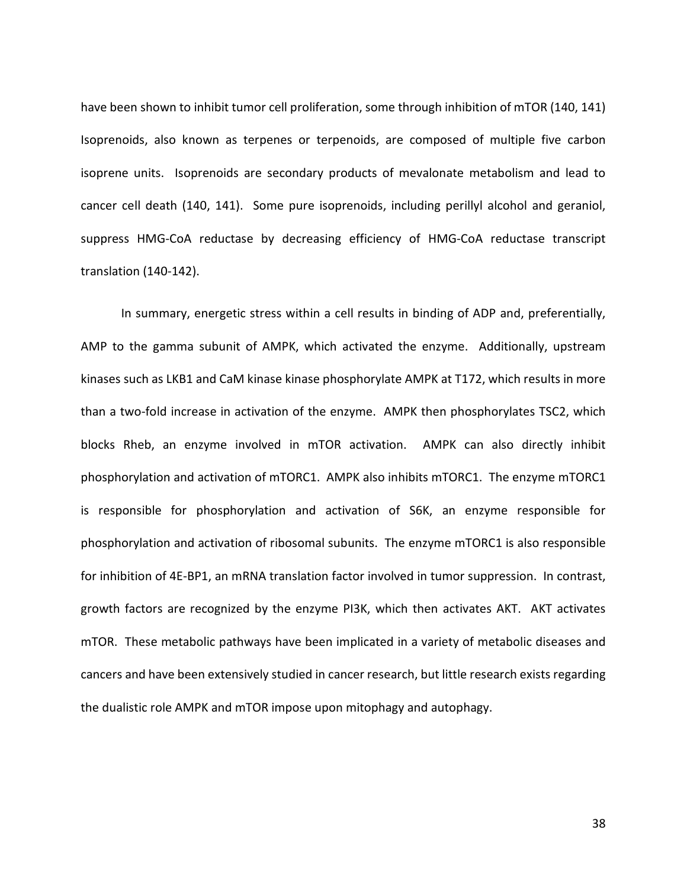have been shown to inhibit tumor cell proliferation, some through inhibition of mTOR (140, 141) Isoprenoids, also known as terpenes or terpenoids, are composed of multiple five carbon isoprene units. Isoprenoids are secondary products of mevalonate metabolism and lead to cancer cell death (140, 141). Some pure isoprenoids, including perillyl alcohol and geraniol, suppress HMG-CoA reductase by decreasing efficiency of HMG-CoA reductase transcript translation (140-142).

In summary, energetic stress within a cell results in binding of ADP and, preferentially, AMP to the gamma subunit of AMPK, which activated the enzyme. Additionally, upstream kinases such as LKB1 and CaM kinase kinase phosphorylate AMPK at T172, which results in more than a two-fold increase in activation of the enzyme. AMPK then phosphorylates TSC2, which blocks Rheb, an enzyme involved in mTOR activation. AMPK can also directly inhibit phosphorylation and activation of mTORC1. AMPK also inhibits mTORC1. The enzyme mTORC1 is responsible for phosphorylation and activation of S6K, an enzyme responsible for phosphorylation and activation of ribosomal subunits. The enzyme mTORC1 is also responsible for inhibition of 4E-BP1, an mRNA translation factor involved in tumor suppression. In contrast, growth factors are recognized by the enzyme PI3K, which then activates AKT. AKT activates mTOR. These metabolic pathways have been implicated in a variety of metabolic diseases and cancers and have been extensively studied in cancer research, but little research exists regarding the dualistic role AMPK and mTOR impose upon mitophagy and autophagy.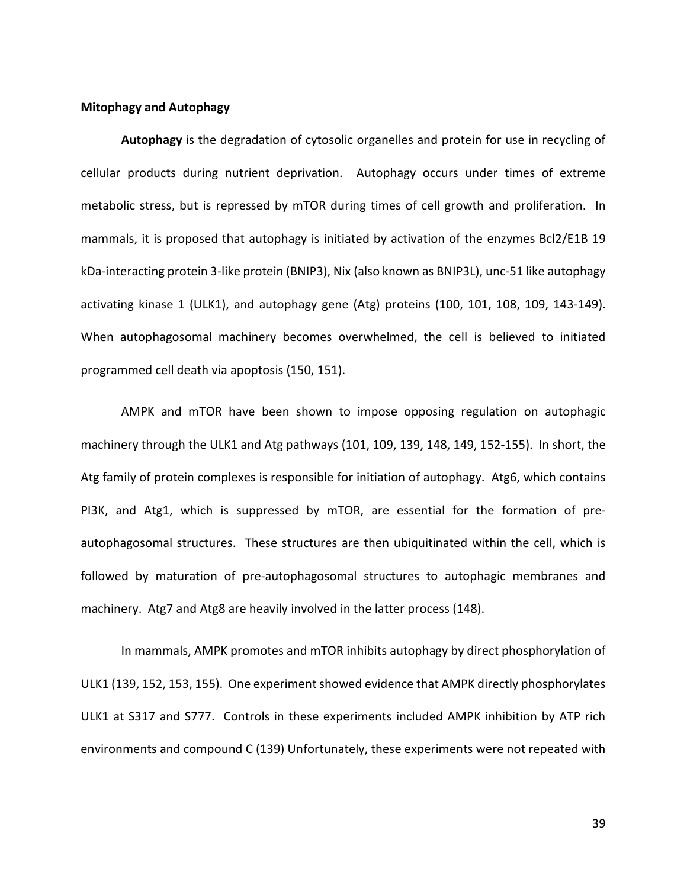### **Mitophagy and Autophagy**

**Autophagy** is the degradation of cytosolic organelles and protein for use in recycling of cellular products during nutrient deprivation. Autophagy occurs under times of extreme metabolic stress, but is repressed by mTOR during times of cell growth and proliferation. In mammals, it is proposed that autophagy is initiated by activation of the enzymes Bcl2/E1B 19 kDa-interacting protein 3-like protein (BNIP3), Nix (also known as BNIP3L), unc-51 like autophagy activating kinase 1 (ULK1), and autophagy gene (Atg) proteins (100, 101, 108, 109, 143-149). When autophagosomal machinery becomes overwhelmed, the cell is believed to initiated programmed cell death via apoptosis (150, 151).

AMPK and mTOR have been shown to impose opposing regulation on autophagic machinery through the ULK1 and Atg pathways (101, 109, 139, 148, 149, 152-155). In short, the Atg family of protein complexes is responsible for initiation of autophagy. Atg6, which contains PI3K, and Atg1, which is suppressed by mTOR, are essential for the formation of preautophagosomal structures. These structures are then ubiquitinated within the cell, which is followed by maturation of pre-autophagosomal structures to autophagic membranes and machinery. Atg7 and Atg8 are heavily involved in the latter process (148).

In mammals, AMPK promotes and mTOR inhibits autophagy by direct phosphorylation of ULK1 (139, 152, 153, 155). One experiment showed evidence that AMPK directly phosphorylates ULK1 at S317 and S777. Controls in these experiments included AMPK inhibition by ATP rich environments and compound C (139) Unfortunately, these experiments were not repeated with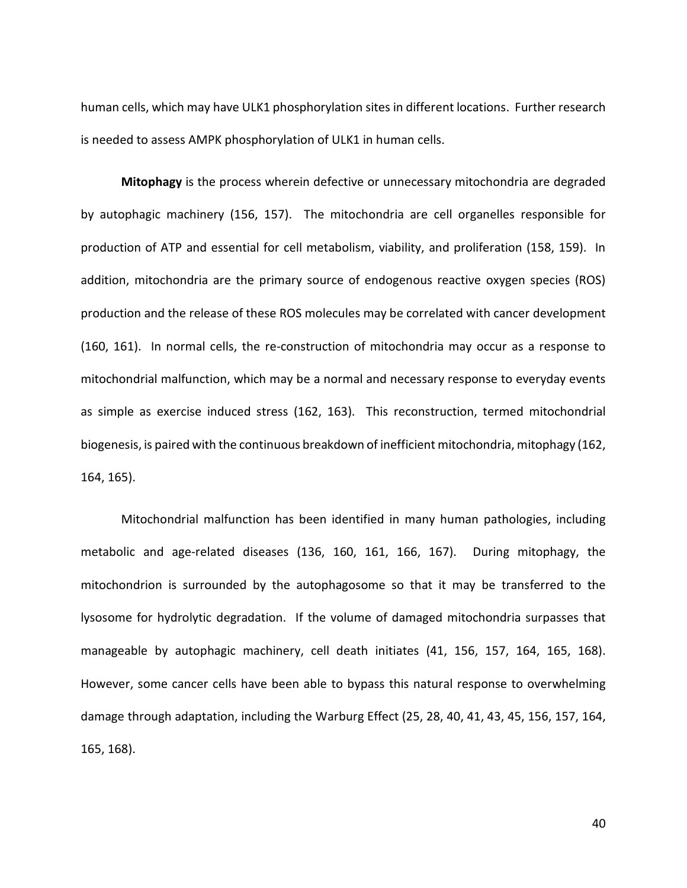human cells, which may have ULK1 phosphorylation sites in different locations. Further research is needed to assess AMPK phosphorylation of ULK1 in human cells.

**Mitophagy** is the process wherein defective or unnecessary mitochondria are degraded by autophagic machinery (156, 157). The mitochondria are cell organelles responsible for production of ATP and essential for cell metabolism, viability, and proliferation (158, 159). In addition, mitochondria are the primary source of endogenous reactive oxygen species (ROS) production and the release of these ROS molecules may be correlated with cancer development (160, 161). In normal cells, the re-construction of mitochondria may occur as a response to mitochondrial malfunction, which may be a normal and necessary response to everyday events as simple as exercise induced stress (162, 163). This reconstruction, termed mitochondrial biogenesis, is paired with the continuous breakdown of inefficient mitochondria, mitophagy (162, 164, 165).

Mitochondrial malfunction has been identified in many human pathologies, including metabolic and age-related diseases (136, 160, 161, 166, 167). During mitophagy, the mitochondrion is surrounded by the autophagosome so that it may be transferred to the lysosome for hydrolytic degradation. If the volume of damaged mitochondria surpasses that manageable by autophagic machinery, cell death initiates (41, 156, 157, 164, 165, 168). However, some cancer cells have been able to bypass this natural response to overwhelming damage through adaptation, including the Warburg Effect (25, 28, 40, 41, 43, 45, 156, 157, 164, 165, 168).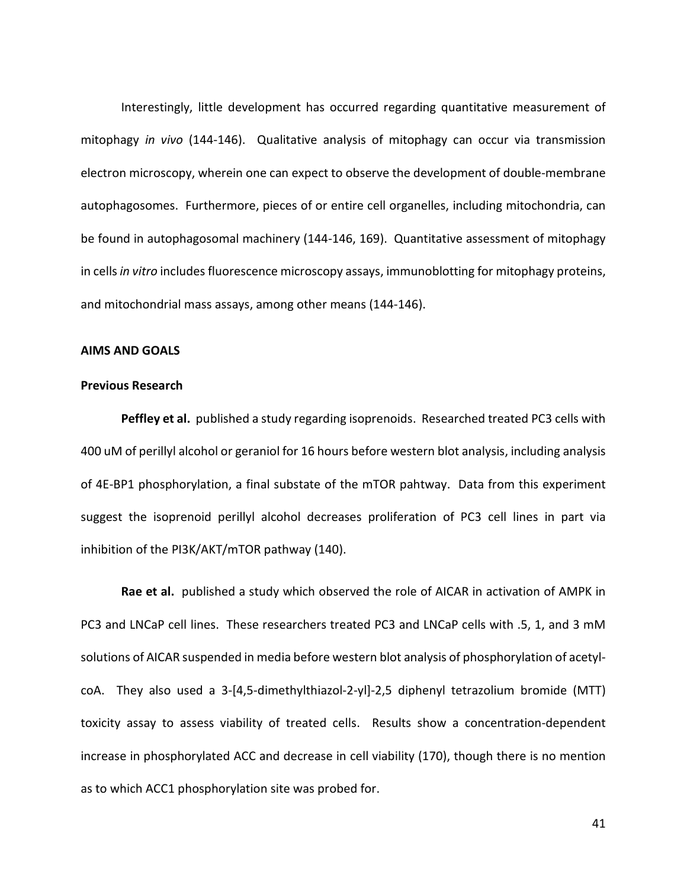Interestingly, little development has occurred regarding quantitative measurement of mitophagy *in vivo* (144-146). Qualitative analysis of mitophagy can occur via transmission electron microscopy, wherein one can expect to observe the development of double-membrane autophagosomes. Furthermore, pieces of or entire cell organelles, including mitochondria, can be found in autophagosomal machinery (144-146, 169). Quantitative assessment of mitophagy in cells *in vitro* includes fluorescence microscopy assays, immunoblotting for mitophagy proteins, and mitochondrial mass assays, among other means (144-146).

## **AIMS AND GOALS**

### **Previous Research**

**Peffley et al.** published a study regarding isoprenoids. Researched treated PC3 cells with 400 uM of perillyl alcohol or geraniol for 16 hours before western blot analysis, including analysis of 4E-BP1 phosphorylation, a final substate of the mTOR pahtway. Data from this experiment suggest the isoprenoid perillyl alcohol decreases proliferation of PC3 cell lines in part via inhibition of the PI3K/AKT/mTOR pathway (140).

**Rae et al.** published a study which observed the role of AICAR in activation of AMPK in PC3 and LNCaP cell lines. These researchers treated PC3 and LNCaP cells with .5, 1, and 3 mM solutions of AICAR suspended in media before western blot analysis of phosphorylation of acetylcoA. They also used a 3-[4,5-dimethylthiazol-2-yl]-2,5 diphenyl tetrazolium bromide (MTT) toxicity assay to assess viability of treated cells. Results show a concentration-dependent increase in phosphorylated ACC and decrease in cell viability (170), though there is no mention as to which ACC1 phosphorylation site was probed for.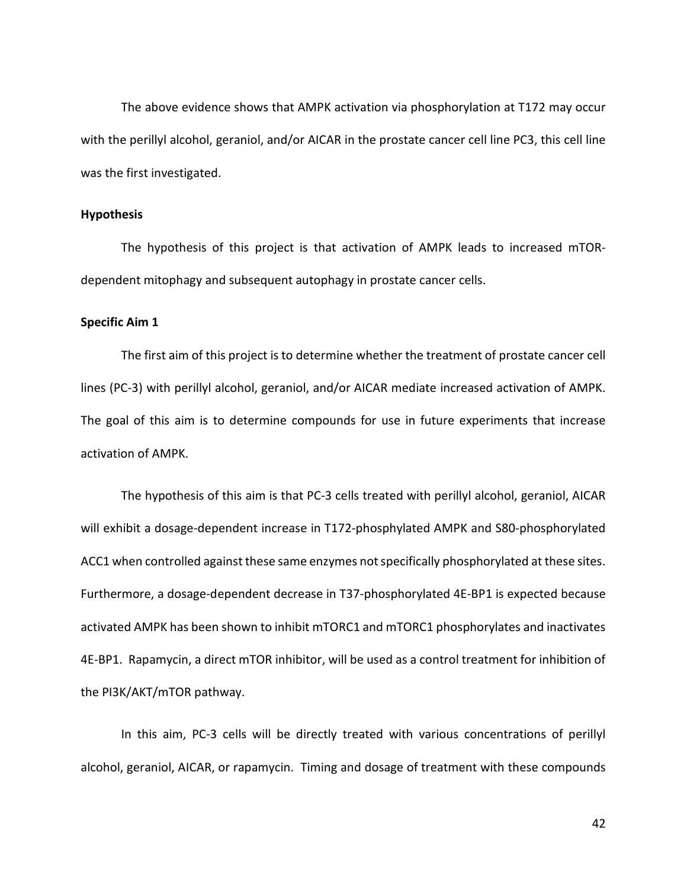The above evidence shows that AMPK activation via phosphorylation at T172 may occur with the perillyl alcohol, geraniol, and/or AICAR in the prostate cancer cell line PC3, this cell line was the first investigated.

#### **Hypothesis**

The hypothesis of this project is that activation of AMPK leads to increased mTORdependent mitophagy and subsequent autophagy in prostate cancer cells.

### **Specific Aim 1**

The first aim of this project is to determine whether the treatment of prostate cancer cell lines (PC-3) with perillyl alcohol, geraniol, and/or AICAR mediate increased activation of AMPK. The goal of this aim is to determine compounds for use in future experiments that increase activation of AMPK.

The hypothesis of this aim is that PC-3 cells treated with perillyl alcohol, geraniol, AICAR will exhibit a dosage-dependent increase in T172-phosphylated AMPK and S80-phosphorylated ACC1 when controlled against these same enzymes not specifically phosphorylated at these sites. Furthermore, a dosage-dependent decrease in T37-phosphorylated 4E-BP1 is expected because activated AMPK has been shown to inhibit mTORC1 and mTORC1 phosphorylates and inactivates 4E-BP1. Rapamycin, a direct mTOR inhibitor, will be used as a control treatment for inhibition of the PI3K/AKT/mTOR pathway.

In this aim, PC-3 cells will be directly treated with various concentrations of perillyl alcohol, geraniol, AICAR, or rapamycin. Timing and dosage of treatment with these compounds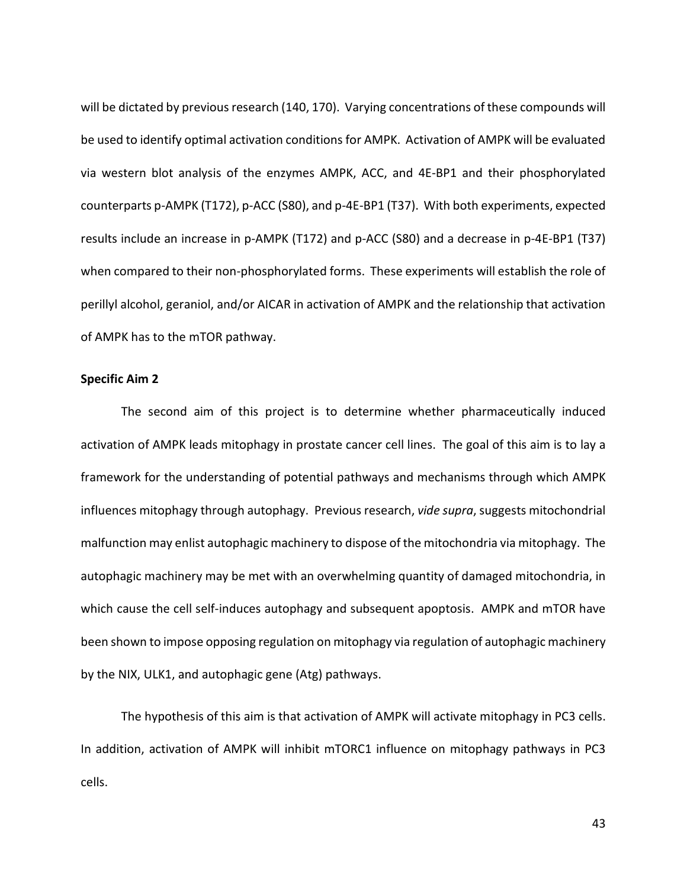will be dictated by previous research (140, 170). Varying concentrations of these compounds will be used to identify optimal activation conditions for AMPK. Activation of AMPK will be evaluated via western blot analysis of the enzymes AMPK, ACC, and 4E-BP1 and their phosphorylated counterparts p-AMPK (T172), p-ACC (S80), and p-4E-BP1 (T37). With both experiments, expected results include an increase in p-AMPK (T172) and p-ACC (S80) and a decrease in p-4E-BP1 (T37) when compared to their non-phosphorylated forms. These experiments will establish the role of perillyl alcohol, geraniol, and/or AICAR in activation of AMPK and the relationship that activation of AMPK has to the mTOR pathway.

#### **Specific Aim 2**

The second aim of this project is to determine whether pharmaceutically induced activation of AMPK leads mitophagy in prostate cancer cell lines. The goal of this aim is to lay a framework for the understanding of potential pathways and mechanisms through which AMPK influences mitophagy through autophagy. Previous research, *vide supra*, suggests mitochondrial malfunction may enlist autophagic machinery to dispose of the mitochondria via mitophagy. The autophagic machinery may be met with an overwhelming quantity of damaged mitochondria, in which cause the cell self-induces autophagy and subsequent apoptosis. AMPK and mTOR have been shown to impose opposing regulation on mitophagy via regulation of autophagic machinery by the NIX, ULK1, and autophagic gene (Atg) pathways.

The hypothesis of this aim is that activation of AMPK will activate mitophagy in PC3 cells. In addition, activation of AMPK will inhibit mTORC1 influence on mitophagy pathways in PC3 cells.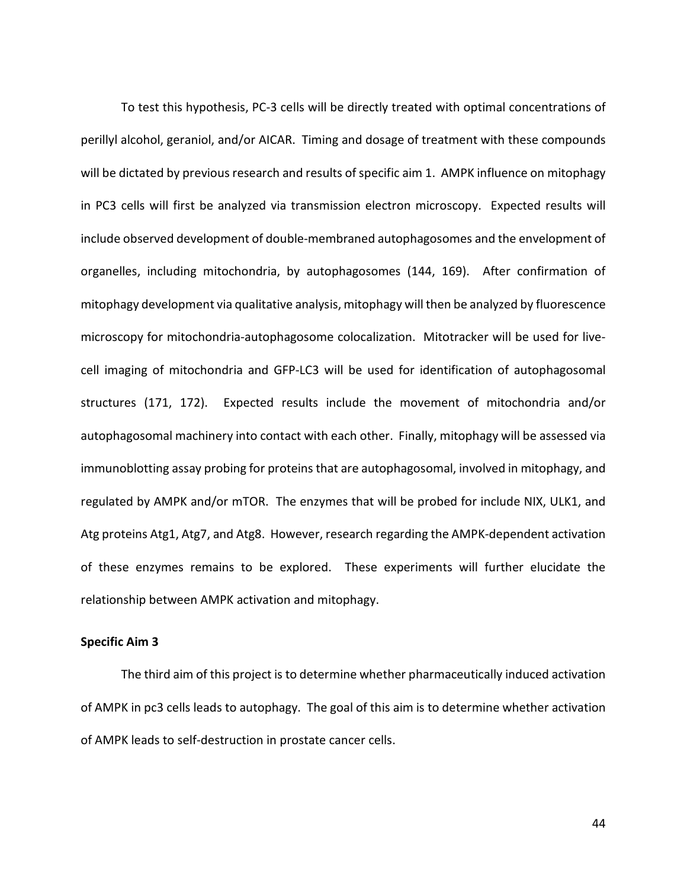To test this hypothesis, PC-3 cells will be directly treated with optimal concentrations of perillyl alcohol, geraniol, and/or AICAR. Timing and dosage of treatment with these compounds will be dictated by previous research and results of specific aim 1. AMPK influence on mitophagy in PC3 cells will first be analyzed via transmission electron microscopy. Expected results will include observed development of double-membraned autophagosomes and the envelopment of organelles, including mitochondria, by autophagosomes (144, 169). After confirmation of mitophagy development via qualitative analysis, mitophagy will then be analyzed by fluorescence microscopy for mitochondria-autophagosome colocalization. Mitotracker will be used for livecell imaging of mitochondria and GFP-LC3 will be used for identification of autophagosomal structures (171, 172). Expected results include the movement of mitochondria and/or autophagosomal machinery into contact with each other. Finally, mitophagy will be assessed via immunoblotting assay probing for proteins that are autophagosomal, involved in mitophagy, and regulated by AMPK and/or mTOR. The enzymes that will be probed for include NIX, ULK1, and Atg proteins Atg1, Atg7, and Atg8. However, research regarding the AMPK-dependent activation of these enzymes remains to be explored. These experiments will further elucidate the relationship between AMPK activation and mitophagy.

## **Specific Aim 3**

The third aim of this project is to determine whether pharmaceutically induced activation of AMPK in pc3 cells leads to autophagy. The goal of this aim is to determine whether activation of AMPK leads to self-destruction in prostate cancer cells.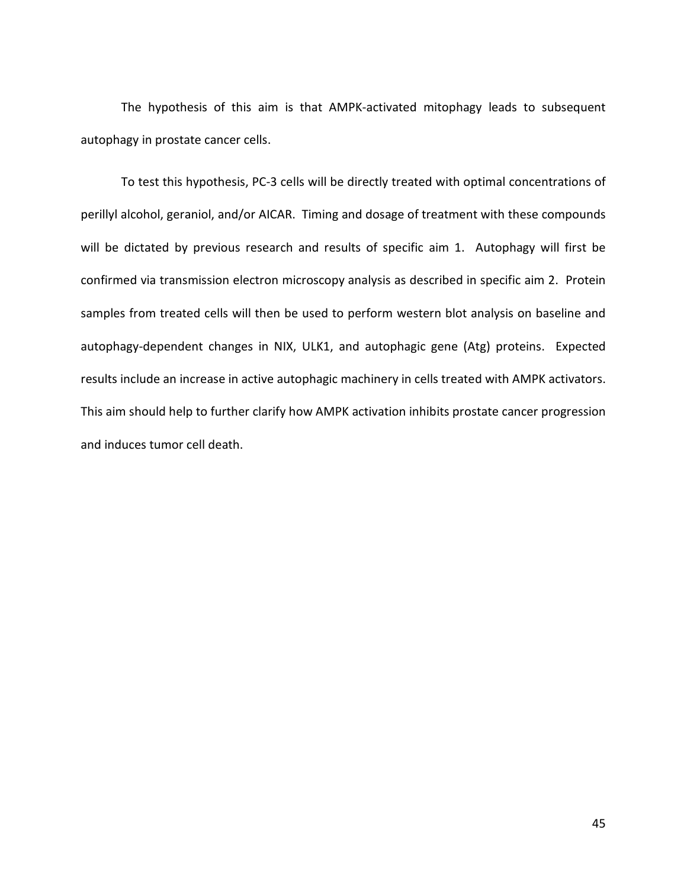The hypothesis of this aim is that AMPK-activated mitophagy leads to subsequent autophagy in prostate cancer cells.

To test this hypothesis, PC-3 cells will be directly treated with optimal concentrations of perillyl alcohol, geraniol, and/or AICAR. Timing and dosage of treatment with these compounds will be dictated by previous research and results of specific aim 1. Autophagy will first be confirmed via transmission electron microscopy analysis as described in specific aim 2. Protein samples from treated cells will then be used to perform western blot analysis on baseline and autophagy-dependent changes in NIX, ULK1, and autophagic gene (Atg) proteins. Expected results include an increase in active autophagic machinery in cells treated with AMPK activators. This aim should help to further clarify how AMPK activation inhibits prostate cancer progression and induces tumor cell death.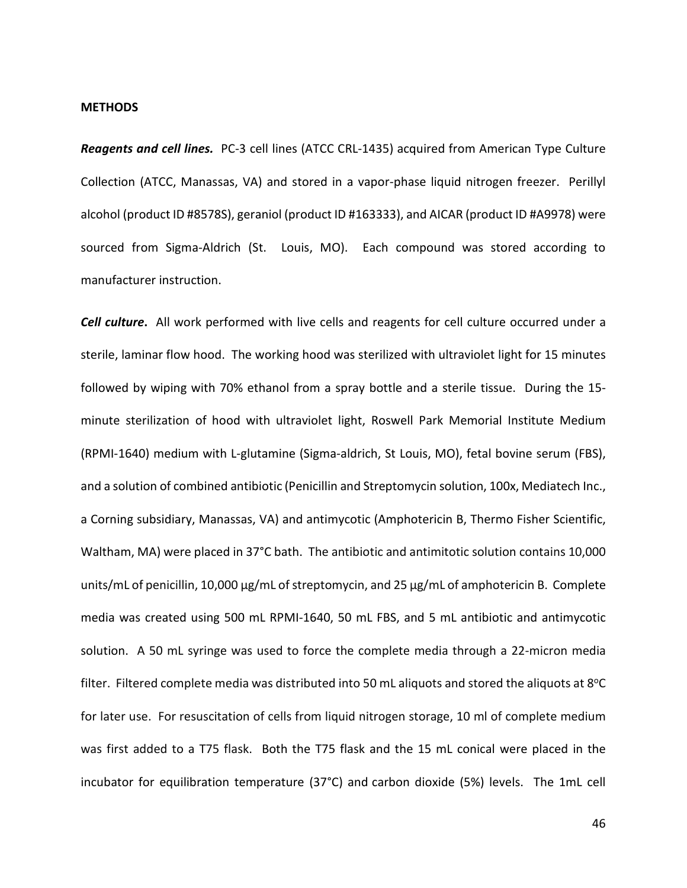#### **METHODS**

*Reagents and cell lines.* PC-3 cell lines (ATCC CRL-1435) acquired from American Type Culture Collection (ATCC, Manassas, VA) and stored in a vapor-phase liquid nitrogen freezer. Perillyl alcohol (product ID #8578S), geraniol (product ID #163333), and AICAR (product ID #A9978) were sourced from Sigma-Aldrich (St. Louis, MO). Each compound was stored according to manufacturer instruction.

*Cell culture***.** All work performed with live cells and reagents for cell culture occurred under a sterile, laminar flow hood. The working hood was sterilized with ultraviolet light for 15 minutes followed by wiping with 70% ethanol from a spray bottle and a sterile tissue. During the 15 minute sterilization of hood with ultraviolet light, Roswell Park Memorial Institute Medium (RPMI-1640) medium with L-glutamine (Sigma-aldrich, St Louis, MO), fetal bovine serum (FBS), and a solution of combined antibiotic (Penicillin and Streptomycin solution, 100x, Mediatech Inc., a Corning subsidiary, Manassas, VA) and antimycotic (Amphotericin B, Thermo Fisher Scientific, Waltham, MA) were placed in 37°C bath. The antibiotic and antimitotic solution contains 10,000 units/mL of penicillin, 10,000 µg/mL of streptomycin, and 25 µg/mL of amphotericin B. Complete media was created using 500 mL RPMI-1640, 50 mL FBS, and 5 mL antibiotic and antimycotic solution. A 50 mL syringe was used to force the complete media through a 22-micron media filter. Filtered complete media was distributed into 50 mL aliquots and stored the aliquots at 8°C for later use. For resuscitation of cells from liquid nitrogen storage, 10 ml of complete medium was first added to a T75 flask. Both the T75 flask and the 15 mL conical were placed in the incubator for equilibration temperature (37°C) and carbon dioxide (5%) levels. The 1mL cell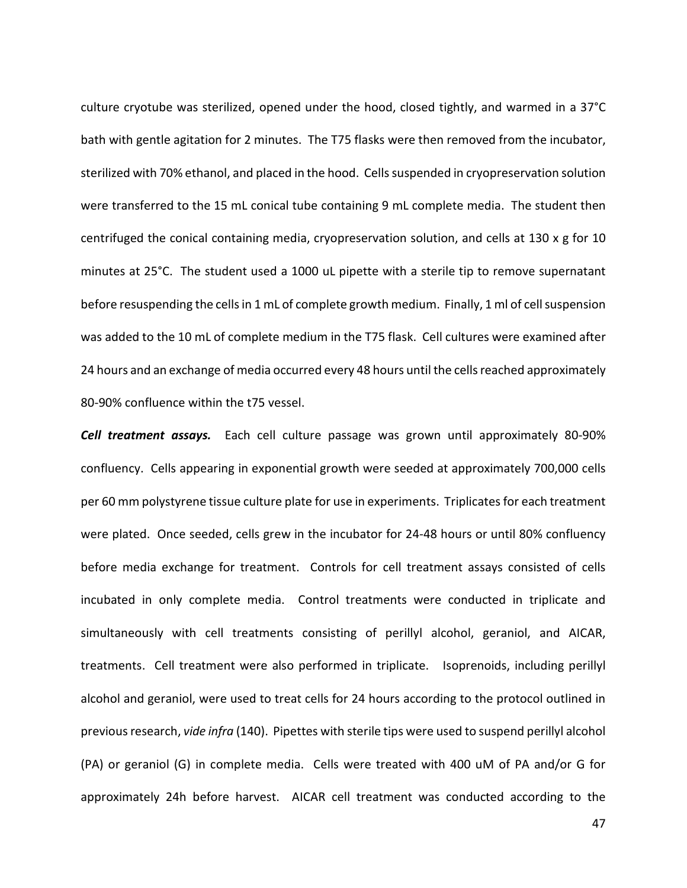culture cryotube was sterilized, opened under the hood, closed tightly, and warmed in a 37°C bath with gentle agitation for 2 minutes. The T75 flasks were then removed from the incubator, sterilized with 70% ethanol, and placed in the hood. Cells suspended in cryopreservation solution were transferred to the 15 mL conical tube containing 9 mL complete media. The student then centrifuged the conical containing media, cryopreservation solution, and cells at 130 x g for 10 minutes at 25°C. The student used a 1000 uL pipette with a sterile tip to remove supernatant before resuspending the cells in 1 mL of complete growth medium. Finally, 1 ml of cell suspension was added to the 10 mL of complete medium in the T75 flask. Cell cultures were examined after 24 hours and an exchange of media occurred every 48 hours until the cells reached approximately 80-90% confluence within the t75 vessel.

*Cell treatment assays.* Each cell culture passage was grown until approximately 80-90% confluency. Cells appearing in exponential growth were seeded at approximately 700,000 cells per 60 mm polystyrene tissue culture plate for use in experiments. Triplicates for each treatment were plated. Once seeded, cells grew in the incubator for 24-48 hours or until 80% confluency before media exchange for treatment. Controls for cell treatment assays consisted of cells incubated in only complete media. Control treatments were conducted in triplicate and simultaneously with cell treatments consisting of perillyl alcohol, geraniol, and AICAR, treatments. Cell treatment were also performed in triplicate. Isoprenoids, including perillyl alcohol and geraniol, were used to treat cells for 24 hours according to the protocol outlined in previous research, *vide infra* (140). Pipettes with sterile tips were used to suspend perillyl alcohol (PA) or geraniol (G) in complete media. Cells were treated with 400 uM of PA and/or G for approximately 24h before harvest. AICAR cell treatment was conducted according to the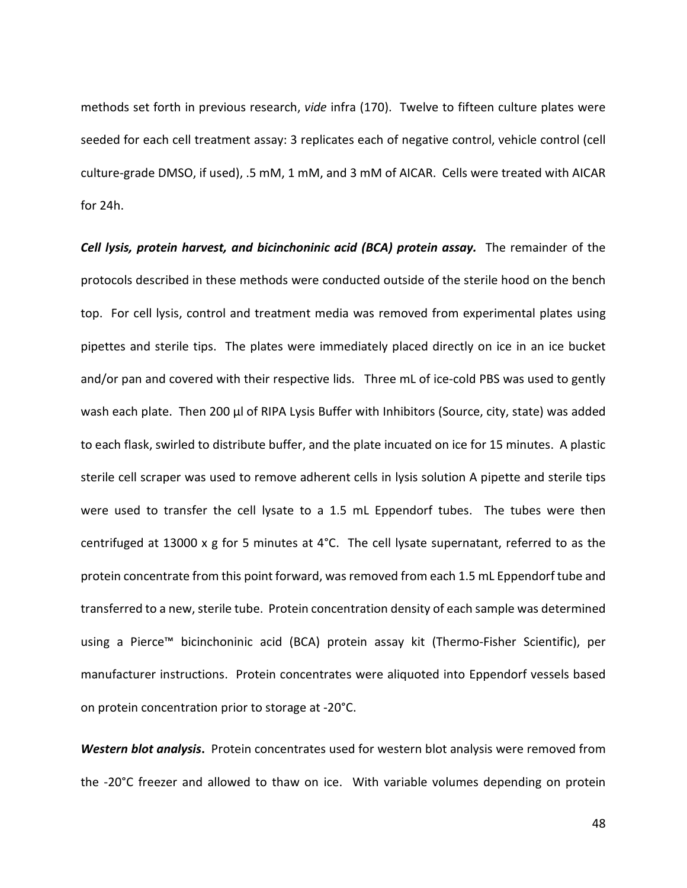methods set forth in previous research, *vide* infra (170). Twelve to fifteen culture plates were seeded for each cell treatment assay: 3 replicates each of negative control, vehicle control (cell culture-grade DMSO, if used), .5 mM, 1 mM, and 3 mM of AICAR. Cells were treated with AICAR for 24h.

Cell lysis, protein harvest, and bicinchoninic acid (BCA) protein assay. The remainder of the protocols described in these methods were conducted outside of the sterile hood on the bench top. For cell lysis, control and treatment media was removed from experimental plates using pipettes and sterile tips. The plates were immediately placed directly on ice in an ice bucket and/or pan and covered with their respective lids. Three mL of ice-cold PBS was used to gently wash each plate. Then 200 µl of RIPA Lysis Buffer with Inhibitors (Source, city, state) was added to each flask, swirled to distribute buffer, and the plate incuated on ice for 15 minutes. A plastic sterile cell scraper was used to remove adherent cells in lysis solution A pipette and sterile tips were used to transfer the cell lysate to a 1.5 mL Eppendorf tubes. The tubes were then centrifuged at 13000 x g for 5 minutes at 4°C. The cell lysate supernatant, referred to as the protein concentrate from this point forward, was removed from each 1.5 mL Eppendorf tube and transferred to a new, sterile tube. Protein concentration density of each sample was determined using a Pierce™ bicinchoninic acid (BCA) protein assay kit (Thermo-Fisher Scientific), per manufacturer instructions. Protein concentrates were aliquoted into Eppendorf vessels based on protein concentration prior to storage at -20°C.

*Western blot analysis***.** Protein concentrates used for western blot analysis were removed from the -20°C freezer and allowed to thaw on ice. With variable volumes depending on protein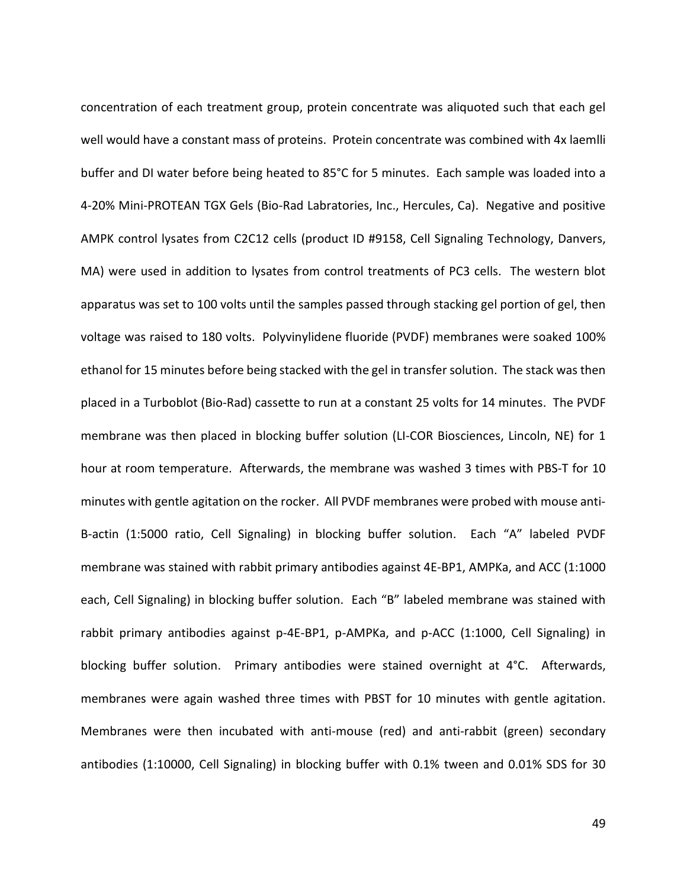concentration of each treatment group, protein concentrate was aliquoted such that each gel well would have a constant mass of proteins. Protein concentrate was combined with 4x laemlli buffer and DI water before being heated to 85°C for 5 minutes. Each sample was loaded into a 4-20% Mini-PROTEAN TGX Gels (Bio-Rad Labratories, Inc., Hercules, Ca). Negative and positive AMPK control lysates from C2C12 cells (product ID #9158, Cell Signaling Technology, Danvers, MA) were used in addition to lysates from control treatments of PC3 cells. The western blot apparatus was set to 100 volts until the samples passed through stacking gel portion of gel, then voltage was raised to 180 volts. Polyvinylidene fluoride (PVDF) membranes were soaked 100% ethanol for 15 minutes before being stacked with the gel in transfer solution. The stack was then placed in a Turboblot (Bio-Rad) cassette to run at a constant 25 volts for 14 minutes. The PVDF membrane was then placed in blocking buffer solution (LI-COR Biosciences, Lincoln, NE) for 1 hour at room temperature. Afterwards, the membrane was washed 3 times with PBS-T for 10 minutes with gentle agitation on the rocker. All PVDF membranes were probed with mouse anti-B-actin (1:5000 ratio, Cell Signaling) in blocking buffer solution. Each "A" labeled PVDF membrane was stained with rabbit primary antibodies against 4E-BP1, AMPKa, and ACC (1:1000 each, Cell Signaling) in blocking buffer solution. Each "B" labeled membrane was stained with rabbit primary antibodies against p-4E-BP1, p-AMPKa, and p-ACC (1:1000, Cell Signaling) in blocking buffer solution. Primary antibodies were stained overnight at 4°C. Afterwards, membranes were again washed three times with PBST for 10 minutes with gentle agitation. Membranes were then incubated with anti-mouse (red) and anti-rabbit (green) secondary antibodies (1:10000, Cell Signaling) in blocking buffer with 0.1% tween and 0.01% SDS for 30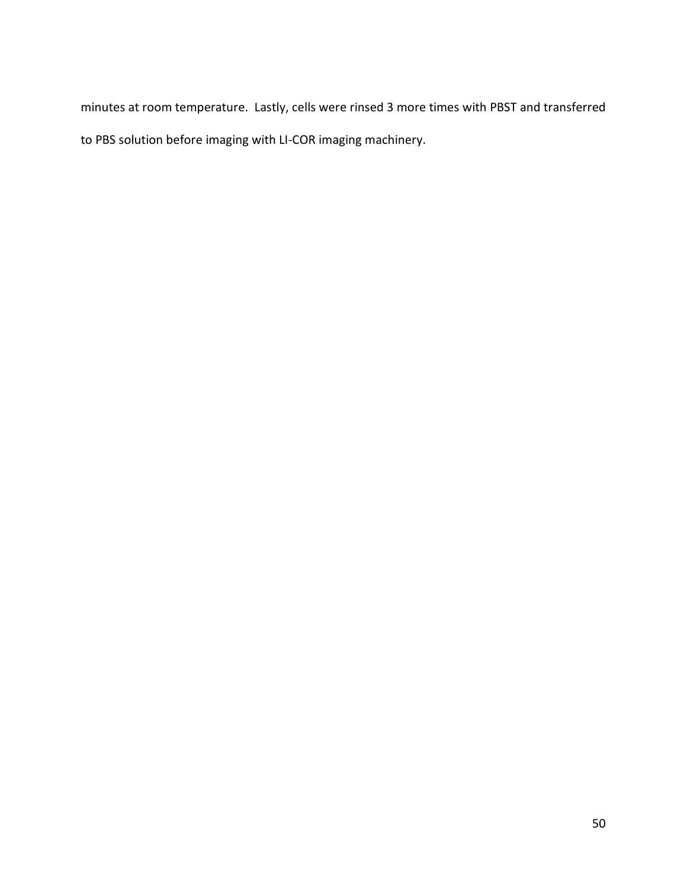minutes at room temperature. Lastly, cells were rinsed 3 more times with PBST and transferred to PBS solution before imaging with LI-COR imaging machinery.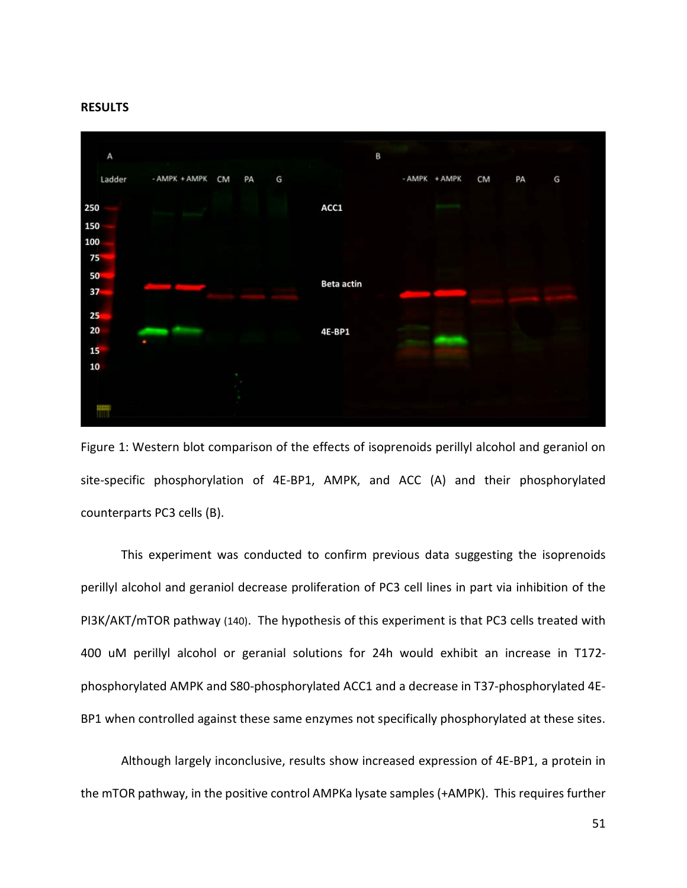#### **RESULTS**



Figure 1: Western blot comparison of the effects of isoprenoids perillyl alcohol and geraniol on site-specific phosphorylation of 4E-BP1, AMPK, and ACC (A) and their phosphorylated counterparts PC3 cells (B).

This experiment was conducted to confirm previous data suggesting the isoprenoids perillyl alcohol and geraniol decrease proliferation of PC3 cell lines in part via inhibition of the PI3K/AKT/mTOR pathway (140). The hypothesis of this experiment is that PC3 cells treated with 400 uM perillyl alcohol or geranial solutions for 24h would exhibit an increase in T172 phosphorylated AMPK and S80-phosphorylated ACC1 and a decrease in T37-phosphorylated 4E-BP1 when controlled against these same enzymes not specifically phosphorylated at these sites.

Although largely inconclusive, results show increased expression of 4E-BP1, a protein in the mTOR pathway, in the positive control AMPKa lysate samples (+AMPK). This requires further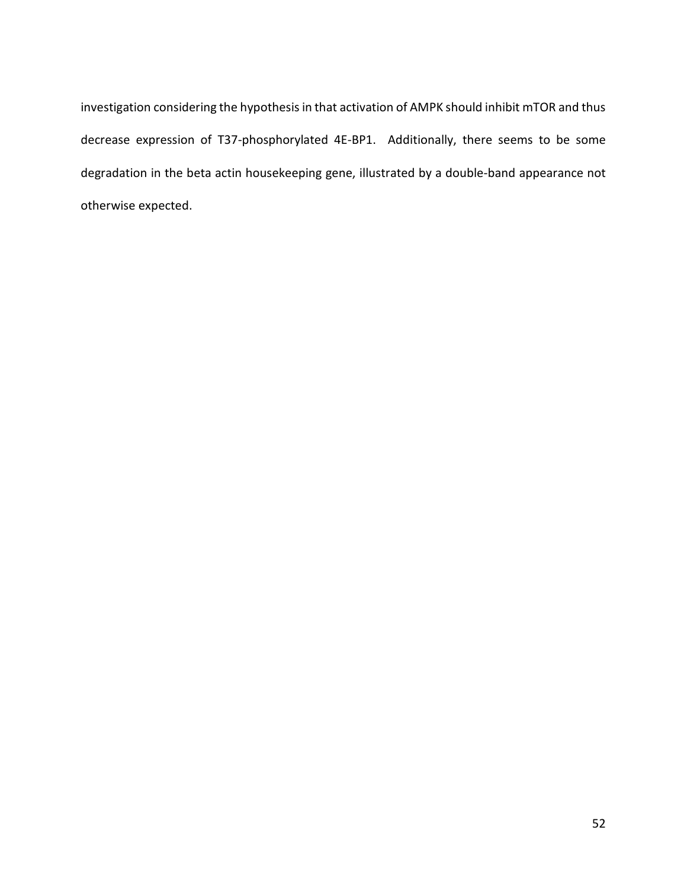investigation considering the hypothesis in that activation of AMPK should inhibit mTOR and thus decrease expression of T37-phosphorylated 4E-BP1. Additionally, there seems to be some degradation in the beta actin housekeeping gene, illustrated by a double-band appearance not otherwise expected.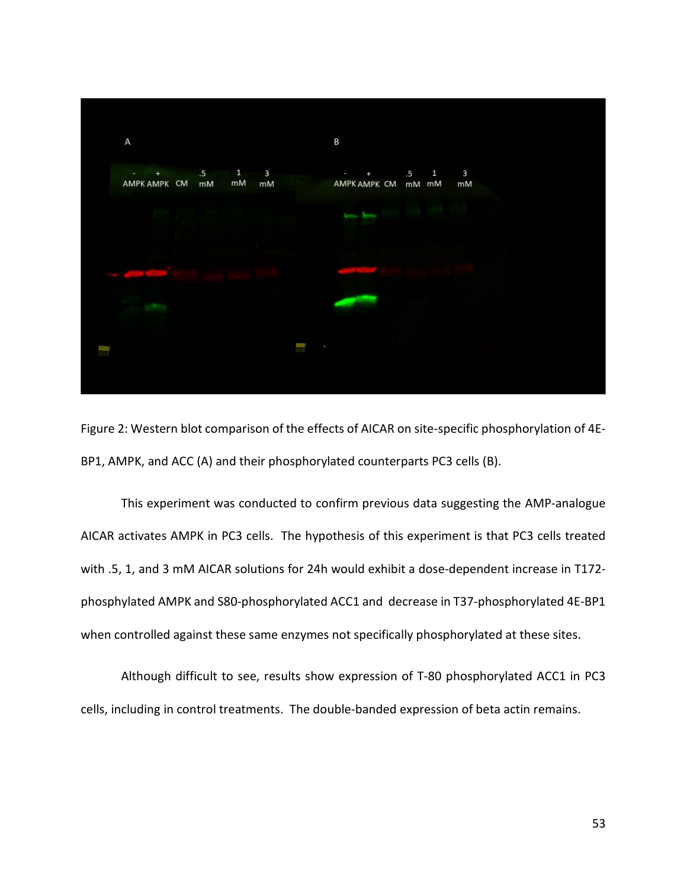

Figure 2: Western blot comparison of the effects of AICAR on site-specific phosphorylation of 4E-BP1, AMPK, and ACC (A) and their phosphorylated counterparts PC3 cells (B).

This experiment was conducted to confirm previous data suggesting the AMP-analogue AICAR activates AMPK in PC3 cells. The hypothesis of this experiment is that PC3 cells treated with .5, 1, and 3 mM AICAR solutions for 24h would exhibit a dose-dependent increase in T172 phosphylated AMPK and S80-phosphorylated ACC1 and decrease in T37-phosphorylated 4E-BP1 when controlled against these same enzymes not specifically phosphorylated at these sites.

Although difficult to see, results show expression of T-80 phosphorylated ACC1 in PC3 cells, including in control treatments. The double-banded expression of beta actin remains.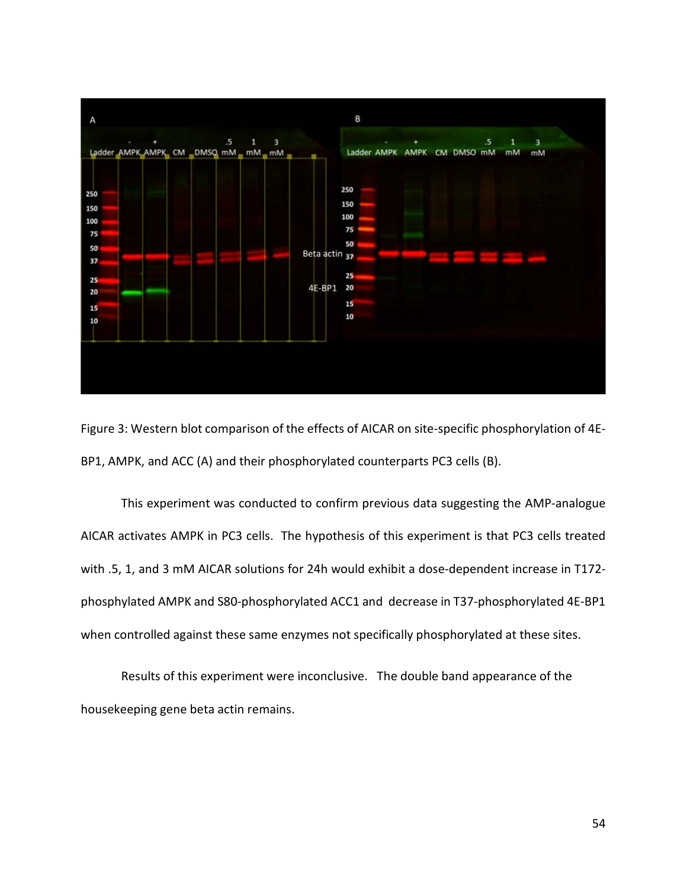

Figure 3: Western blot comparison of the effects of AICAR on site-specific phosphorylation of 4E-BP1, AMPK, and ACC (A) and their phosphorylated counterparts PC3 cells (B).

This experiment was conducted to confirm previous data suggesting the AMP-analogue AICAR activates AMPK in PC3 cells. The hypothesis of this experiment is that PC3 cells treated with .5, 1, and 3 mM AICAR solutions for 24h would exhibit a dose-dependent increase in T172 phosphylated AMPK and S80-phosphorylated ACC1 and decrease in T37-phosphorylated 4E-BP1 when controlled against these same enzymes not specifically phosphorylated at these sites.

Results of this experiment were inconclusive. The double band appearance of the housekeeping gene beta actin remains.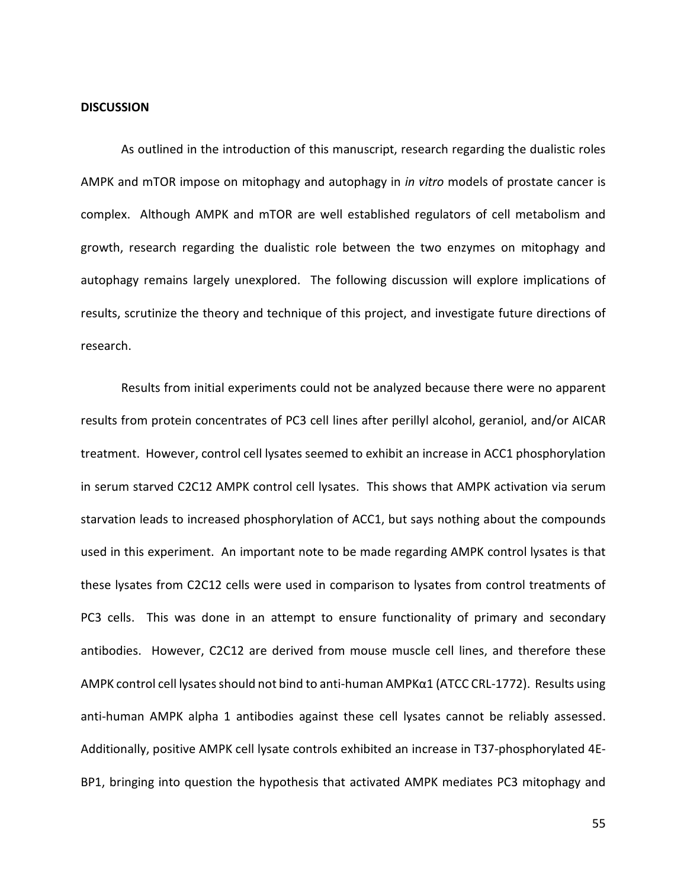#### **DISCUSSION**

As outlined in the introduction of this manuscript, research regarding the dualistic roles AMPK and mTOR impose on mitophagy and autophagy in *in vitro* models of prostate cancer is complex. Although AMPK and mTOR are well established regulators of cell metabolism and growth, research regarding the dualistic role between the two enzymes on mitophagy and autophagy remains largely unexplored. The following discussion will explore implications of results, scrutinize the theory and technique of this project, and investigate future directions of research.

Results from initial experiments could not be analyzed because there were no apparent results from protein concentrates of PC3 cell lines after perillyl alcohol, geraniol, and/or AICAR treatment. However, control cell lysates seemed to exhibit an increase in ACC1 phosphorylation in serum starved C2C12 AMPK control cell lysates. This shows that AMPK activation via serum starvation leads to increased phosphorylation of ACC1, but says nothing about the compounds used in this experiment. An important note to be made regarding AMPK control lysates is that these lysates from C2C12 cells were used in comparison to lysates from control treatments of PC3 cells. This was done in an attempt to ensure functionality of primary and secondary antibodies. However, C2C12 are derived from mouse muscle cell lines, and therefore these AMPK control cell lysates should not bind to anti-human AMPKα1 (ATCC CRL-1772). Results using anti-human AMPK alpha 1 antibodies against these cell lysates cannot be reliably assessed. Additionally, positive AMPK cell lysate controls exhibited an increase in T37-phosphorylated 4E-BP1, bringing into question the hypothesis that activated AMPK mediates PC3 mitophagy and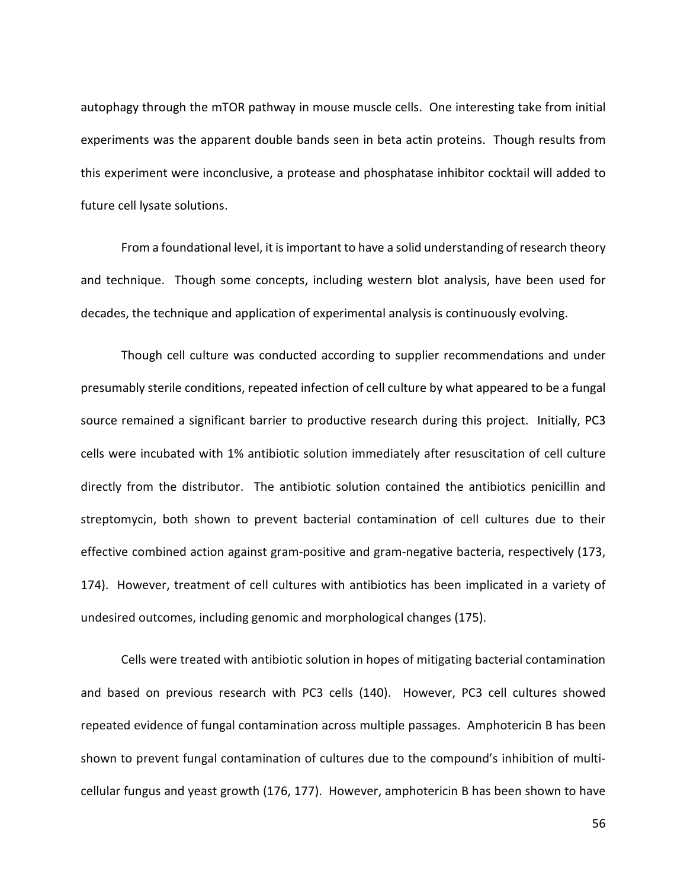autophagy through the mTOR pathway in mouse muscle cells. One interesting take from initial experiments was the apparent double bands seen in beta actin proteins. Though results from this experiment were inconclusive, a protease and phosphatase inhibitor cocktail will added to future cell lysate solutions.

From a foundational level, it is important to have a solid understanding of research theory and technique. Though some concepts, including western blot analysis, have been used for decades, the technique and application of experimental analysis is continuously evolving.

Though cell culture was conducted according to supplier recommendations and under presumably sterile conditions, repeated infection of cell culture by what appeared to be a fungal source remained a significant barrier to productive research during this project. Initially, PC3 cells were incubated with 1% antibiotic solution immediately after resuscitation of cell culture directly from the distributor. The antibiotic solution contained the antibiotics penicillin and streptomycin, both shown to prevent bacterial contamination of cell cultures due to their effective combined action against gram-positive and gram-negative bacteria, respectively (173, 174). However, treatment of cell cultures with antibiotics has been implicated in a variety of undesired outcomes, including genomic and morphological changes (175).

Cells were treated with antibiotic solution in hopes of mitigating bacterial contamination and based on previous research with PC3 cells (140). However, PC3 cell cultures showed repeated evidence of fungal contamination across multiple passages. Amphotericin B has been shown to prevent fungal contamination of cultures due to the compound's inhibition of multicellular fungus and yeast growth (176, 177). However, amphotericin B has been shown to have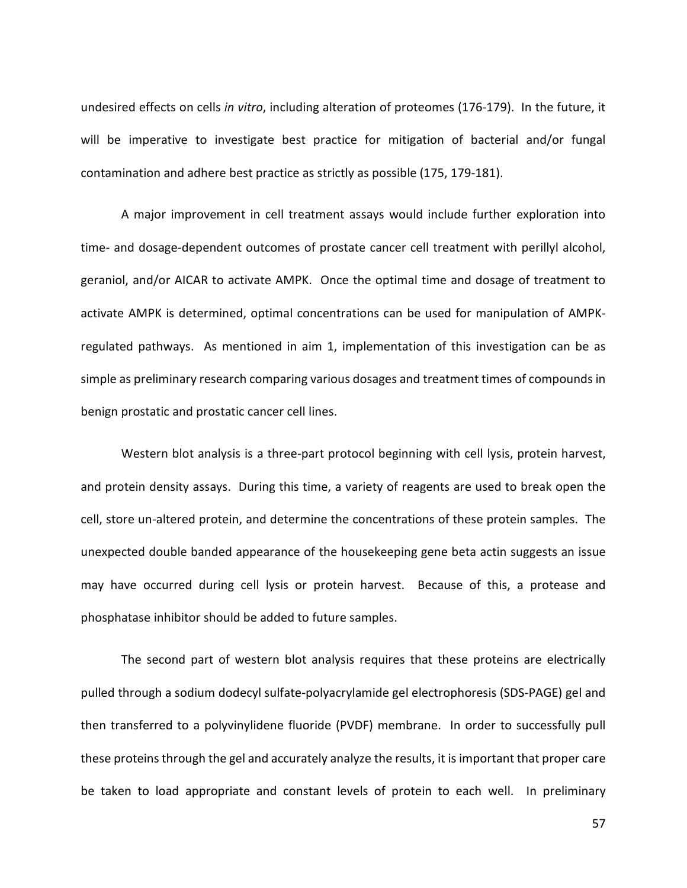undesired effects on cells *in vitro*, including alteration of proteomes (176-179). In the future, it will be imperative to investigate best practice for mitigation of bacterial and/or fungal contamination and adhere best practice as strictly as possible (175, 179-181).

A major improvement in cell treatment assays would include further exploration into time- and dosage-dependent outcomes of prostate cancer cell treatment with perillyl alcohol, geraniol, and/or AICAR to activate AMPK. Once the optimal time and dosage of treatment to activate AMPK is determined, optimal concentrations can be used for manipulation of AMPKregulated pathways. As mentioned in aim 1, implementation of this investigation can be as simple as preliminary research comparing various dosages and treatment times of compounds in benign prostatic and prostatic cancer cell lines.

Western blot analysis is a three-part protocol beginning with cell lysis, protein harvest, and protein density assays. During this time, a variety of reagents are used to break open the cell, store un-altered protein, and determine the concentrations of these protein samples. The unexpected double banded appearance of the housekeeping gene beta actin suggests an issue may have occurred during cell lysis or protein harvest. Because of this, a protease and phosphatase inhibitor should be added to future samples.

The second part of western blot analysis requires that these proteins are electrically pulled through a sodium dodecyl sulfate-polyacrylamide gel electrophoresis (SDS-PAGE) gel and then transferred to a polyvinylidene fluoride (PVDF) membrane. In order to successfully pull these proteins through the gel and accurately analyze the results, it is important that proper care be taken to load appropriate and constant levels of protein to each well. In preliminary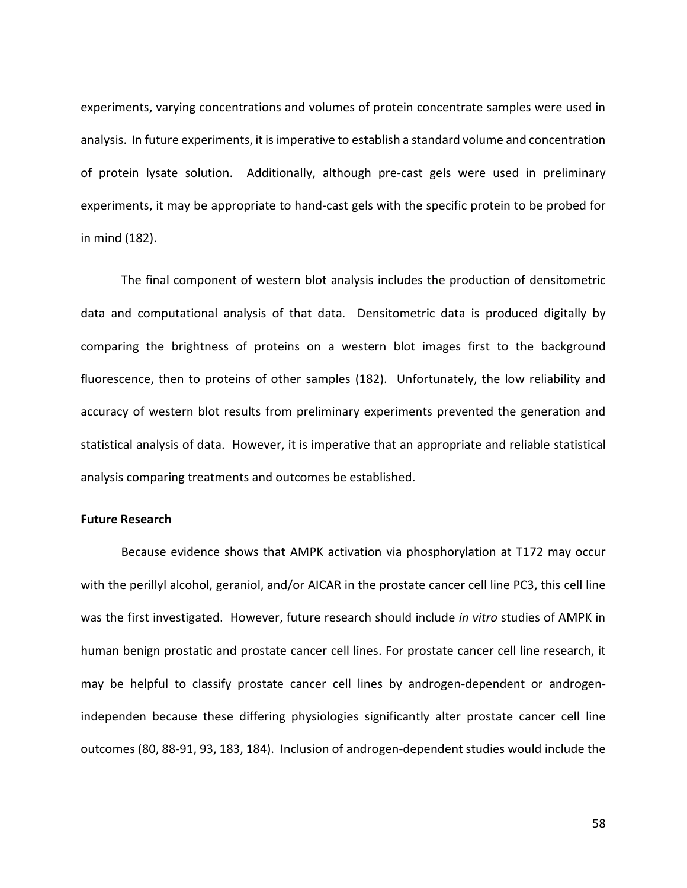experiments, varying concentrations and volumes of protein concentrate samples were used in analysis. In future experiments, it is imperative to establish a standard volume and concentration of protein lysate solution. Additionally, although pre-cast gels were used in preliminary experiments, it may be appropriate to hand-cast gels with the specific protein to be probed for in mind (182).

The final component of western blot analysis includes the production of densitometric data and computational analysis of that data. Densitometric data is produced digitally by comparing the brightness of proteins on a western blot images first to the background fluorescence, then to proteins of other samples (182). Unfortunately, the low reliability and accuracy of western blot results from preliminary experiments prevented the generation and statistical analysis of data. However, it is imperative that an appropriate and reliable statistical analysis comparing treatments and outcomes be established.

# **Future Research**

Because evidence shows that AMPK activation via phosphorylation at T172 may occur with the perillyl alcohol, geraniol, and/or AICAR in the prostate cancer cell line PC3, this cell line was the first investigated. However, future research should include *in vitro* studies of AMPK in human benign prostatic and prostate cancer cell lines. For prostate cancer cell line research, it may be helpful to classify prostate cancer cell lines by androgen-dependent or androgenindependen because these differing physiologies significantly alter prostate cancer cell line outcomes (80, 88-91, 93, 183, 184). Inclusion of androgen-dependent studies would include the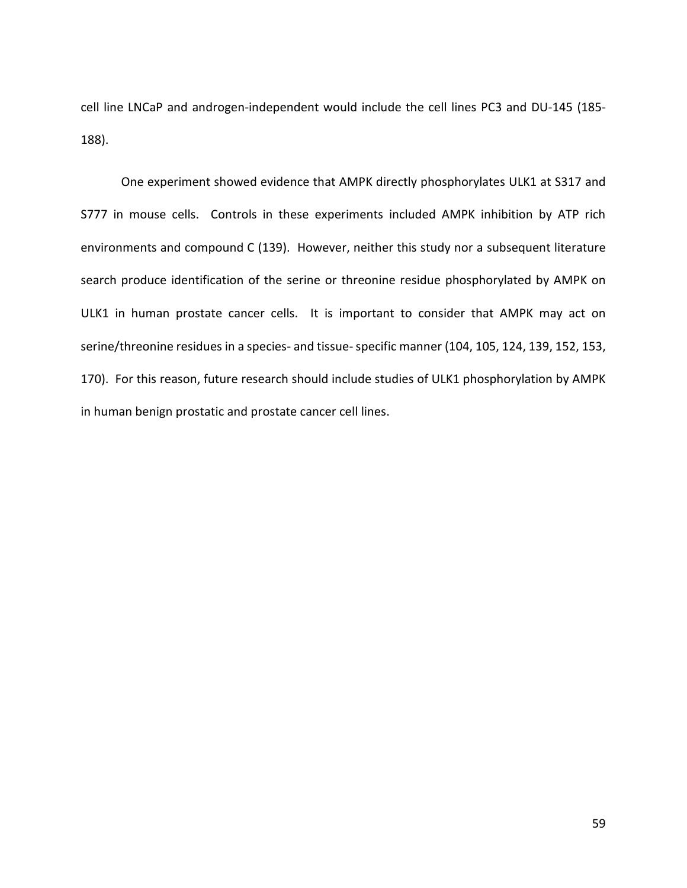cell line LNCaP and androgen-independent would include the cell lines PC3 and DU-145 (185- 188).

One experiment showed evidence that AMPK directly phosphorylates ULK1 at S317 and S777 in mouse cells. Controls in these experiments included AMPK inhibition by ATP rich environments and compound C (139). However, neither this study nor a subsequent literature search produce identification of the serine or threonine residue phosphorylated by AMPK on ULK1 in human prostate cancer cells. It is important to consider that AMPK may act on serine/threonine residues in a species- and tissue-specific manner (104, 105, 124, 139, 152, 153, 170). For this reason, future research should include studies of ULK1 phosphorylation by AMPK in human benign prostatic and prostate cancer cell lines.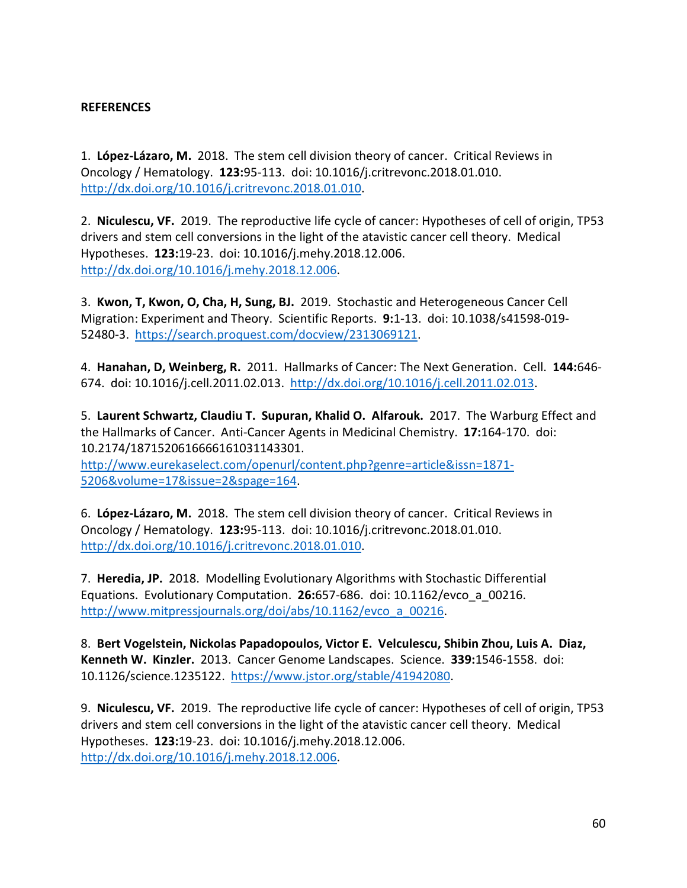# **REFERENCES**

1. **López-Lázaro, M.** 2018. The stem cell division theory of cancer. Critical Reviews in Oncology / Hematology. **123:**95-113. doi: 10.1016/j.critrevonc.2018.01.010. [http://dx.doi.org/10.1016/j.critrevonc.2018.01.010.](http://dx.doi.org/10.1016/j.critrevonc.2018.01.010)

2. **Niculescu, VF.** 2019. The reproductive life cycle of cancer: Hypotheses of cell of origin, TP53 drivers and stem cell conversions in the light of the atavistic cancer cell theory. Medical Hypotheses. **123:**19-23. doi: 10.1016/j.mehy.2018.12.006. [http://dx.doi.org/10.1016/j.mehy.2018.12.006.](http://dx.doi.org/10.1016/j.mehy.2018.12.006)

3. **Kwon, T, Kwon, O, Cha, H, Sung, BJ.** 2019. Stochastic and Heterogeneous Cancer Cell Migration: Experiment and Theory. Scientific Reports. **9:**1-13. doi: 10.1038/s41598-019- 52480-3. [https://search.proquest.com/docview/2313069121.](https://search.proquest.com/docview/2313069121)

4. **Hanahan, D, Weinberg, R.** 2011. Hallmarks of Cancer: The Next Generation. Cell. **144:**646- 674. doi: 10.1016/j.cell.2011.02.013. [http://dx.doi.org/10.1016/j.cell.2011.02.013.](http://dx.doi.org/10.1016/j.cell.2011.02.013)

5. **Laurent Schwartz, Claudiu T. Supuran, Khalid O. Alfarouk.** 2017. The Warburg Effect and the Hallmarks of Cancer. Anti-Cancer Agents in Medicinal Chemistry. **17:**164-170. doi: 10.2174/1871520616666161031143301.

[http://www.eurekaselect.com/openurl/content.php?genre=article&issn=1871-](http://www.eurekaselect.com/openurl/content.php?genre=article&issn=1871-5206&volume=17&issue=2&spage=164) [5206&volume=17&issue=2&spage=164.](http://www.eurekaselect.com/openurl/content.php?genre=article&issn=1871-5206&volume=17&issue=2&spage=164)

6. **López-Lázaro, M.** 2018. The stem cell division theory of cancer. Critical Reviews in Oncology / Hematology. **123:**95-113. doi: 10.1016/j.critrevonc.2018.01.010. [http://dx.doi.org/10.1016/j.critrevonc.2018.01.010.](http://dx.doi.org/10.1016/j.critrevonc.2018.01.010)

7. **Heredia, JP.** 2018. Modelling Evolutionary Algorithms with Stochastic Differential Equations. Evolutionary Computation. **26:**657-686. doi: 10.1162/evco\_a\_00216. [http://www.mitpressjournals.org/doi/abs/10.1162/evco\\_a\\_00216.](http://www.mitpressjournals.org/doi/abs/10.1162/evco_a_00216)

8. **Bert Vogelstein, Nickolas Papadopoulos, Victor E. Velculescu, Shibin Zhou, Luis A. Diaz, Kenneth W. Kinzler.** 2013. Cancer Genome Landscapes. Science. **339:**1546-1558. doi: 10.1126/science.1235122. [https://www.jstor.org/stable/41942080.](https://www.jstor.org/stable/41942080)

9. **Niculescu, VF.** 2019. The reproductive life cycle of cancer: Hypotheses of cell of origin, TP53 drivers and stem cell conversions in the light of the atavistic cancer cell theory. Medical Hypotheses. **123:**19-23. doi: 10.1016/j.mehy.2018.12.006. [http://dx.doi.org/10.1016/j.mehy.2018.12.006.](http://dx.doi.org/10.1016/j.mehy.2018.12.006)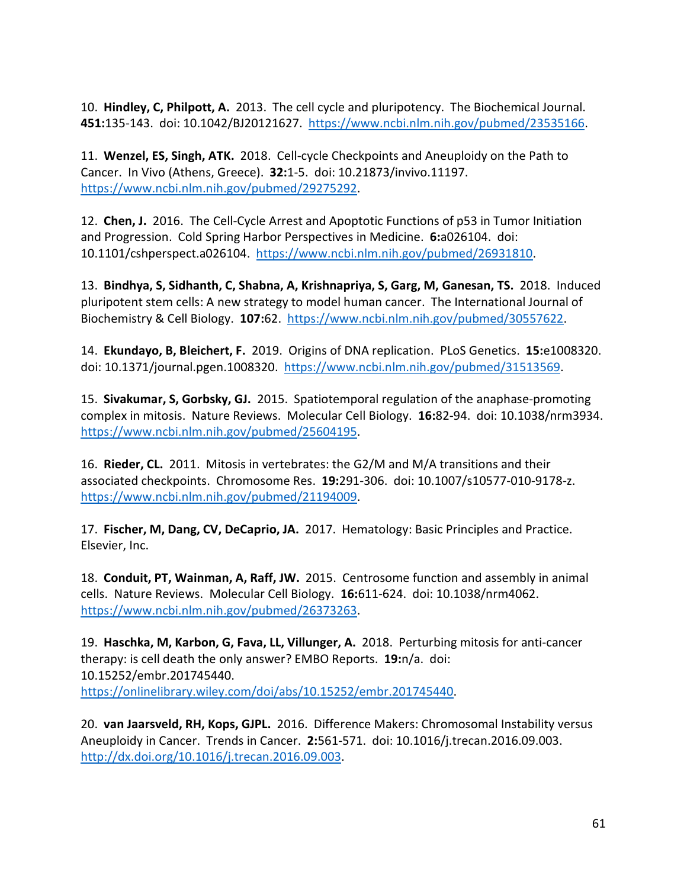10. **Hindley, C, Philpott, A.** 2013. The cell cycle and pluripotency. The Biochemical Journal. **451:**135-143. doi: 10.1042/BJ20121627. [https://www.ncbi.nlm.nih.gov/pubmed/23535166.](https://www.ncbi.nlm.nih.gov/pubmed/23535166)

11. **Wenzel, ES, Singh, ATK.** 2018. Cell-cycle Checkpoints and Aneuploidy on the Path to Cancer. In Vivo (Athens, Greece). **32:**1-5. doi: 10.21873/invivo.11197. [https://www.ncbi.nlm.nih.gov/pubmed/29275292.](https://www.ncbi.nlm.nih.gov/pubmed/29275292)

12. **Chen, J.** 2016. The Cell-Cycle Arrest and Apoptotic Functions of p53 in Tumor Initiation and Progression. Cold Spring Harbor Perspectives in Medicine. **6:**a026104. doi: 10.1101/cshperspect.a026104. [https://www.ncbi.nlm.nih.gov/pubmed/26931810.](https://www.ncbi.nlm.nih.gov/pubmed/26931810)

13. **Bindhya, S, Sidhanth, C, Shabna, A, Krishnapriya, S, Garg, M, Ganesan, TS.** 2018. Induced pluripotent stem cells: A new strategy to model human cancer. The International Journal of Biochemistry & Cell Biology. **107:**62. [https://www.ncbi.nlm.nih.gov/pubmed/30557622.](https://www.ncbi.nlm.nih.gov/pubmed/30557622)

14. **Ekundayo, B, Bleichert, F.** 2019. Origins of DNA replication. PLoS Genetics. **15:**e1008320. doi: 10.1371/journal.pgen.1008320. [https://www.ncbi.nlm.nih.gov/pubmed/31513569.](https://www.ncbi.nlm.nih.gov/pubmed/31513569)

15. **Sivakumar, S, Gorbsky, GJ.** 2015. Spatiotemporal regulation of the anaphase-promoting complex in mitosis. Nature Reviews. Molecular Cell Biology. **16:**82-94. doi: 10.1038/nrm3934. [https://www.ncbi.nlm.nih.gov/pubmed/25604195.](https://www.ncbi.nlm.nih.gov/pubmed/25604195)

16. **Rieder, CL.** 2011. Mitosis in vertebrates: the G2/M and M/A transitions and their associated checkpoints. Chromosome Res. **19:**291-306. doi: 10.1007/s10577-010-9178-z. [https://www.ncbi.nlm.nih.gov/pubmed/21194009.](https://www.ncbi.nlm.nih.gov/pubmed/21194009)

17. **Fischer, M, Dang, CV, DeCaprio, JA.** 2017. Hematology: Basic Principles and Practice. Elsevier, Inc.

18. **Conduit, PT, Wainman, A, Raff, JW.** 2015. Centrosome function and assembly in animal cells. Nature Reviews. Molecular Cell Biology. **16:**611-624. doi: 10.1038/nrm4062. [https://www.ncbi.nlm.nih.gov/pubmed/26373263.](https://www.ncbi.nlm.nih.gov/pubmed/26373263)

19. **Haschka, M, Karbon, G, Fava, LL, Villunger, A.** 2018. Perturbing mitosis for anti-cancer therapy: is cell death the only answer? EMBO Reports. **19:**n/a. doi: 10.15252/embr.201745440. [https://onlinelibrary.wiley.com/doi/abs/10.15252/embr.201745440.](https://onlinelibrary.wiley.com/doi/abs/10.15252/embr.201745440)

20. **van Jaarsveld, RH, Kops, GJPL.** 2016. Difference Makers: Chromosomal Instability versus Aneuploidy in Cancer. Trends in Cancer. **2:**561-571. doi: 10.1016/j.trecan.2016.09.003. [http://dx.doi.org/10.1016/j.trecan.2016.09.003.](http://dx.doi.org/10.1016/j.trecan.2016.09.003)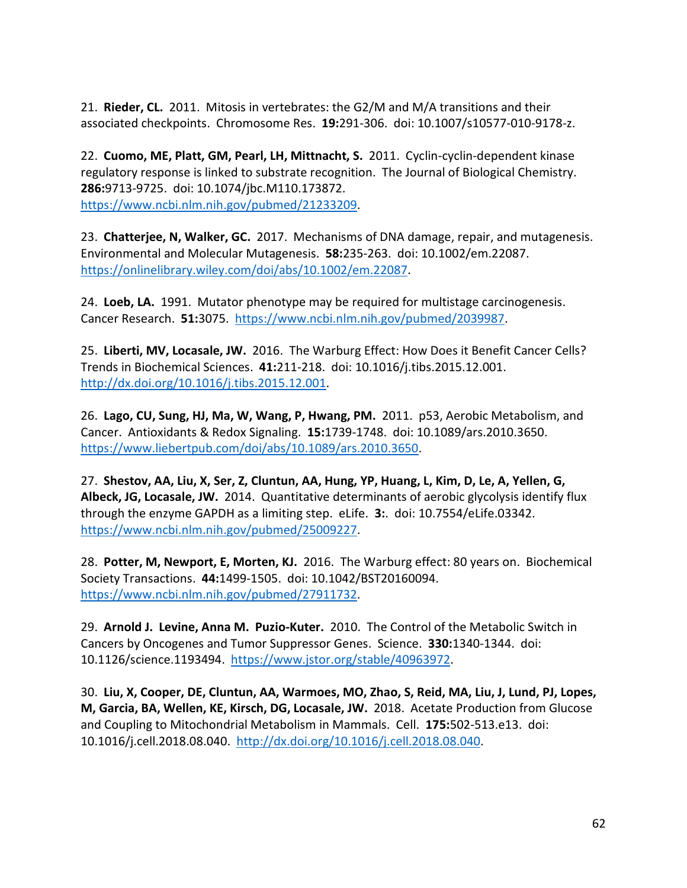21. **Rieder, CL.** 2011. Mitosis in vertebrates: the G2/M and M/A transitions and their associated checkpoints. Chromosome Res. **19:**291-306. doi: 10.1007/s10577-010-9178-z.

22. **Cuomo, ME, Platt, GM, Pearl, LH, Mittnacht, S.** 2011. Cyclin-cyclin-dependent kinase regulatory response is linked to substrate recognition. The Journal of Biological Chemistry. **286:**9713-9725. doi: 10.1074/jbc.M110.173872. [https://www.ncbi.nlm.nih.gov/pubmed/21233209.](https://www.ncbi.nlm.nih.gov/pubmed/21233209)

23. **Chatterjee, N, Walker, GC.** 2017. Mechanisms of DNA damage, repair, and mutagenesis. Environmental and Molecular Mutagenesis. **58:**235-263. doi: 10.1002/em.22087. [https://onlinelibrary.wiley.com/doi/abs/10.1002/em.22087.](https://onlinelibrary.wiley.com/doi/abs/10.1002/em.22087)

24. **Loeb, LA.** 1991. Mutator phenotype may be required for multistage carcinogenesis. Cancer Research. **51:**3075. [https://www.ncbi.nlm.nih.gov/pubmed/2039987.](https://www.ncbi.nlm.nih.gov/pubmed/2039987)

25. **Liberti, MV, Locasale, JW.** 2016. The Warburg Effect: How Does it Benefit Cancer Cells? Trends in Biochemical Sciences. **41:**211-218. doi: 10.1016/j.tibs.2015.12.001. [http://dx.doi.org/10.1016/j.tibs.2015.12.001.](http://dx.doi.org/10.1016/j.tibs.2015.12.001)

26. **Lago, CU, Sung, HJ, Ma, W, Wang, P, Hwang, PM.** 2011. p53, Aerobic Metabolism, and Cancer. Antioxidants & Redox Signaling. **15:**1739-1748. doi: 10.1089/ars.2010.3650. [https://www.liebertpub.com/doi/abs/10.1089/ars.2010.3650.](https://www.liebertpub.com/doi/abs/10.1089/ars.2010.3650)

27. **Shestov, AA, Liu, X, Ser, Z, Cluntun, AA, Hung, YP, Huang, L, Kim, D, Le, A, Yellen, G, Albeck, JG, Locasale, JW.** 2014. Quantitative determinants of aerobic glycolysis identify flux through the enzyme GAPDH as a limiting step. eLife. **3:**. doi: 10.7554/eLife.03342. [https://www.ncbi.nlm.nih.gov/pubmed/25009227.](https://www.ncbi.nlm.nih.gov/pubmed/25009227)

28. **Potter, M, Newport, E, Morten, KJ.** 2016. The Warburg effect: 80 years on. Biochemical Society Transactions. **44:**1499-1505. doi: 10.1042/BST20160094. [https://www.ncbi.nlm.nih.gov/pubmed/27911732.](https://www.ncbi.nlm.nih.gov/pubmed/27911732)

29. **Arnold J. Levine, Anna M. Puzio-Kuter.** 2010. The Control of the Metabolic Switch in Cancers by Oncogenes and Tumor Suppressor Genes. Science. **330:**1340-1344. doi: 10.1126/science.1193494. [https://www.jstor.org/stable/40963972.](https://www.jstor.org/stable/40963972)

30. **Liu, X, Cooper, DE, Cluntun, AA, Warmoes, MO, Zhao, S, Reid, MA, Liu, J, Lund, PJ, Lopes, M, Garcia, BA, Wellen, KE, Kirsch, DG, Locasale, JW.** 2018. Acetate Production from Glucose and Coupling to Mitochondrial Metabolism in Mammals. Cell. **175:**502-513.e13. doi: 10.1016/j.cell.2018.08.040. [http://dx.doi.org/10.1016/j.cell.2018.08.040.](http://dx.doi.org/10.1016/j.cell.2018.08.040)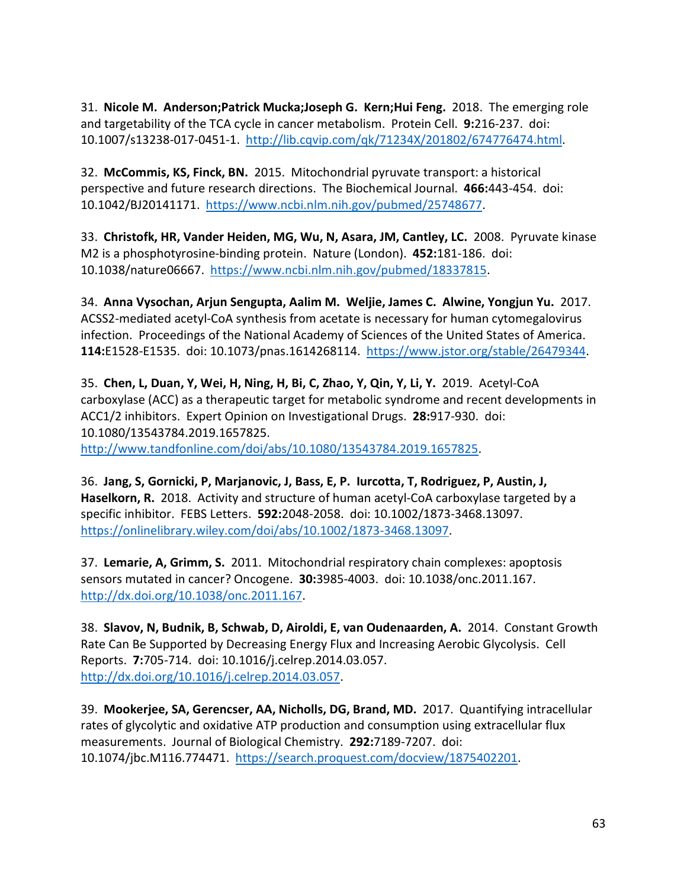31. **Nicole M. Anderson;Patrick Mucka;Joseph G. Kern;Hui Feng.** 2018. The emerging role and targetability of the TCA cycle in cancer metabolism. Protein Cell. **9:**216-237. doi: 10.1007/s13238-017-0451-1. [http://lib.cqvip.com/qk/71234X/201802/674776474.html.](http://lib.cqvip.com/qk/71234X/201802/674776474.html)

32. **McCommis, KS, Finck, BN.** 2015. Mitochondrial pyruvate transport: a historical perspective and future research directions. The Biochemical Journal. **466:**443-454. doi: 10.1042/BJ20141171. [https://www.ncbi.nlm.nih.gov/pubmed/25748677.](https://www.ncbi.nlm.nih.gov/pubmed/25748677)

33. **Christofk, HR, Vander Heiden, MG, Wu, N, Asara, JM, Cantley, LC.** 2008. Pyruvate kinase M2 is a phosphotyrosine-binding protein. Nature (London). **452:**181-186. doi: 10.1038/nature06667. [https://www.ncbi.nlm.nih.gov/pubmed/18337815.](https://www.ncbi.nlm.nih.gov/pubmed/18337815)

34. **Anna Vysochan, Arjun Sengupta, Aalim M. Weljie, James C. Alwine, Yongjun Yu.** 2017. ACSS2-mediated acetyl-CoA synthesis from acetate is necessary for human cytomegalovirus infection. Proceedings of the National Academy of Sciences of the United States of America. **114:**E1528-E1535. doi: 10.1073/pnas.1614268114. [https://www.jstor.org/stable/26479344.](https://www.jstor.org/stable/26479344)

35. **Chen, L, Duan, Y, Wei, H, Ning, H, Bi, C, Zhao, Y, Qin, Y, Li, Y.** 2019. Acetyl-CoA carboxylase (ACC) as a therapeutic target for metabolic syndrome and recent developments in ACC1/2 inhibitors. Expert Opinion on Investigational Drugs. **28:**917-930. doi: 10.1080/13543784.2019.1657825.

[http://www.tandfonline.com/doi/abs/10.1080/13543784.2019.1657825.](http://www.tandfonline.com/doi/abs/10.1080/13543784.2019.1657825)

36. **Jang, S, Gornicki, P, Marjanovic, J, Bass, E, P. Iurcotta, T, Rodriguez, P, Austin, J, Haselkorn, R.** 2018. Activity and structure of human acetyl-CoA carboxylase targeted by a specific inhibitor. FEBS Letters. **592:**2048-2058. doi: 10.1002/1873-3468.13097. [https://onlinelibrary.wiley.com/doi/abs/10.1002/1873-3468.13097.](https://onlinelibrary.wiley.com/doi/abs/10.1002/1873-3468.13097)

37. **Lemarie, A, Grimm, S.** 2011. Mitochondrial respiratory chain complexes: apoptosis sensors mutated in cancer? Oncogene. **30:**3985-4003. doi: 10.1038/onc.2011.167. [http://dx.doi.org/10.1038/onc.2011.167.](http://dx.doi.org/10.1038/onc.2011.167)

38. **Slavov, N, Budnik, B, Schwab, D, Airoldi, E, van Oudenaarden, A.** 2014. Constant Growth Rate Can Be Supported by Decreasing Energy Flux and Increasing Aerobic Glycolysis. Cell Reports. **7:**705-714. doi: 10.1016/j.celrep.2014.03.057. [http://dx.doi.org/10.1016/j.celrep.2014.03.057.](http://dx.doi.org/10.1016/j.celrep.2014.03.057)

39. **Mookerjee, SA, Gerencser, AA, Nicholls, DG, Brand, MD.** 2017. Quantifying intracellular rates of glycolytic and oxidative ATP production and consumption using extracellular flux measurements. Journal of Biological Chemistry. **292:**7189-7207. doi: 10.1074/jbc.M116.774471. [https://search.proquest.com/docview/1875402201.](https://search.proquest.com/docview/1875402201)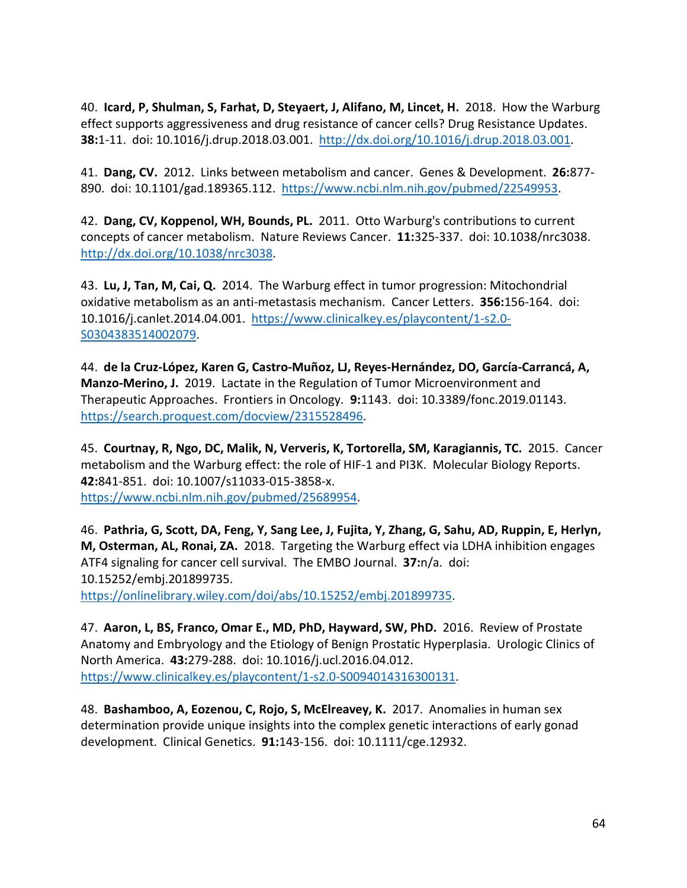40. **Icard, P, Shulman, S, Farhat, D, Steyaert, J, Alifano, M, Lincet, H.** 2018. How the Warburg effect supports aggressiveness and drug resistance of cancer cells? Drug Resistance Updates. **38:**1-11. doi: 10.1016/j.drup.2018.03.001. [http://dx.doi.org/10.1016/j.drup.2018.03.001.](http://dx.doi.org/10.1016/j.drup.2018.03.001)

41. **Dang, CV.** 2012. Links between metabolism and cancer. Genes & Development. **26:**877- 890. doi: 10.1101/gad.189365.112. [https://www.ncbi.nlm.nih.gov/pubmed/22549953.](https://www.ncbi.nlm.nih.gov/pubmed/22549953)

42. **Dang, CV, Koppenol, WH, Bounds, PL.** 2011. Otto Warburg's contributions to current concepts of cancer metabolism. Nature Reviews Cancer. **11:**325-337. doi: 10.1038/nrc3038. [http://dx.doi.org/10.1038/nrc3038.](http://dx.doi.org/10.1038/nrc3038)

43. **Lu, J, Tan, M, Cai, Q.** 2014. The Warburg effect in tumor progression: Mitochondrial oxidative metabolism as an anti-metastasis mechanism. Cancer Letters. **356:**156-164. doi: 10.1016/j.canlet.2014.04.001. [https://www.clinicalkey.es/playcontent/1-s2.0-](https://www.clinicalkey.es/playcontent/1-s2.0-S0304383514002079) [S0304383514002079.](https://www.clinicalkey.es/playcontent/1-s2.0-S0304383514002079)

44. **de la Cruz-López, Karen G, Castro-Muñoz, LJ, Reyes-Hernández, DO, García-Carrancá, A, Manzo-Merino, J.** 2019. Lactate in the Regulation of Tumor Microenvironment and Therapeutic Approaches. Frontiers in Oncology. **9:**1143. doi: 10.3389/fonc.2019.01143. [https://search.proquest.com/docview/2315528496.](https://search.proquest.com/docview/2315528496)

45. **Courtnay, R, Ngo, DC, Malik, N, Ververis, K, Tortorella, SM, Karagiannis, TC.** 2015. Cancer metabolism and the Warburg effect: the role of HIF-1 and PI3K. Molecular Biology Reports. **42:**841-851. doi: 10.1007/s11033-015-3858-x. [https://www.ncbi.nlm.nih.gov/pubmed/25689954.](https://www.ncbi.nlm.nih.gov/pubmed/25689954)

46. **Pathria, G, Scott, DA, Feng, Y, Sang Lee, J, Fujita, Y, Zhang, G, Sahu, AD, Ruppin, E, Herlyn, M, Osterman, AL, Ronai, ZA.** 2018. Targeting the Warburg effect via LDHA inhibition engages ATF4 signaling for cancer cell survival. The EMBO Journal. **37:**n/a. doi: 10.15252/embj.201899735. [https://onlinelibrary.wiley.com/doi/abs/10.15252/embj.201899735.](https://onlinelibrary.wiley.com/doi/abs/10.15252/embj.201899735)

47. **Aaron, L, BS, Franco, Omar E., MD, PhD, Hayward, SW, PhD.** 2016. Review of Prostate Anatomy and Embryology and the Etiology of Benign Prostatic Hyperplasia. Urologic Clinics of North America. **43:**279-288. doi: 10.1016/j.ucl.2016.04.012.

[https://www.clinicalkey.es/playcontent/1-s2.0-S0094014316300131.](https://www.clinicalkey.es/playcontent/1-s2.0-S0094014316300131)

48. **Bashamboo, A, Eozenou, C, Rojo, S, McElreavey, K.** 2017. Anomalies in human sex determination provide unique insights into the complex genetic interactions of early gonad development. Clinical Genetics. **91:**143-156. doi: 10.1111/cge.12932.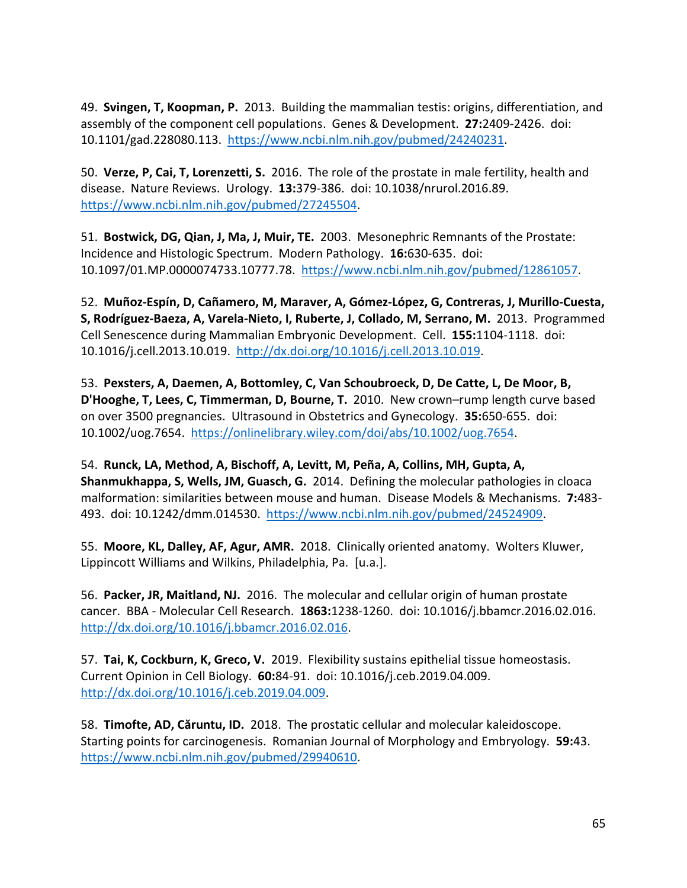49. **Svingen, T, Koopman, P.** 2013. Building the mammalian testis: origins, differentiation, and assembly of the component cell populations. Genes & Development. **27:**2409-2426. doi: 10.1101/gad.228080.113. [https://www.ncbi.nlm.nih.gov/pubmed/24240231.](https://www.ncbi.nlm.nih.gov/pubmed/24240231)

50. **Verze, P, Cai, T, Lorenzetti, S.** 2016. The role of the prostate in male fertility, health and disease. Nature Reviews. Urology. **13:**379-386. doi: 10.1038/nrurol.2016.89. [https://www.ncbi.nlm.nih.gov/pubmed/27245504.](https://www.ncbi.nlm.nih.gov/pubmed/27245504)

51. **Bostwick, DG, Qian, J, Ma, J, Muir, TE.** 2003. Mesonephric Remnants of the Prostate: Incidence and Histologic Spectrum. Modern Pathology. **16:**630-635. doi: 10.1097/01.MP.0000074733.10777.78. [https://www.ncbi.nlm.nih.gov/pubmed/12861057.](https://www.ncbi.nlm.nih.gov/pubmed/12861057)

52. **Muñoz-Espín, D, Cañamero, M, Maraver, A, Gómez-López, G, Contreras, J, Murillo-Cuesta, S, Rodríguez-Baeza, A, Varela-Nieto, I, Ruberte, J, Collado, M, Serrano, M.** 2013. Programmed Cell Senescence during Mammalian Embryonic Development. Cell. **155:**1104-1118. doi: 10.1016/j.cell.2013.10.019. [http://dx.doi.org/10.1016/j.cell.2013.10.019.](http://dx.doi.org/10.1016/j.cell.2013.10.019)

53. **Pexsters, A, Daemen, A, Bottomley, C, Van Schoubroeck, D, De Catte, L, De Moor, B, D'Hooghe, T, Lees, C, Timmerman, D, Bourne, T.** 2010. New crown–rump length curve based on over 3500 pregnancies. Ultrasound in Obstetrics and Gynecology. **35:**650-655. doi: 10.1002/uog.7654. [https://onlinelibrary.wiley.com/doi/abs/10.1002/uog.7654.](https://onlinelibrary.wiley.com/doi/abs/10.1002/uog.7654)

54. **Runck, LA, Method, A, Bischoff, A, Levitt, M, Peña, A, Collins, MH, Gupta, A, Shanmukhappa, S, Wells, JM, Guasch, G.** 2014. Defining the molecular pathologies in cloaca malformation: similarities between mouse and human. Disease Models & Mechanisms. **7:**483- 493. doi: 10.1242/dmm.014530. [https://www.ncbi.nlm.nih.gov/pubmed/24524909.](https://www.ncbi.nlm.nih.gov/pubmed/24524909)

55. **Moore, KL, Dalley, AF, Agur, AMR.** 2018. Clinically oriented anatomy. Wolters Kluwer, Lippincott Williams and Wilkins, Philadelphia, Pa. [u.a.].

56. **Packer, JR, Maitland, NJ.** 2016. The molecular and cellular origin of human prostate cancer. BBA - Molecular Cell Research. **1863:**1238-1260. doi: 10.1016/j.bbamcr.2016.02.016. [http://dx.doi.org/10.1016/j.bbamcr.2016.02.016.](http://dx.doi.org/10.1016/j.bbamcr.2016.02.016)

57. **Tai, K, Cockburn, K, Greco, V.** 2019. Flexibility sustains epithelial tissue homeostasis. Current Opinion in Cell Biology. **60:**84-91. doi: 10.1016/j.ceb.2019.04.009. [http://dx.doi.org/10.1016/j.ceb.2019.04.009.](http://dx.doi.org/10.1016/j.ceb.2019.04.009)

58. **Timofte, AD, Căruntu, ID.** 2018. The prostatic cellular and molecular kaleidoscope. Starting points for carcinogenesis. Romanian Journal of Morphology and Embryology. **59:**43. [https://www.ncbi.nlm.nih.gov/pubmed/29940610.](https://www.ncbi.nlm.nih.gov/pubmed/29940610)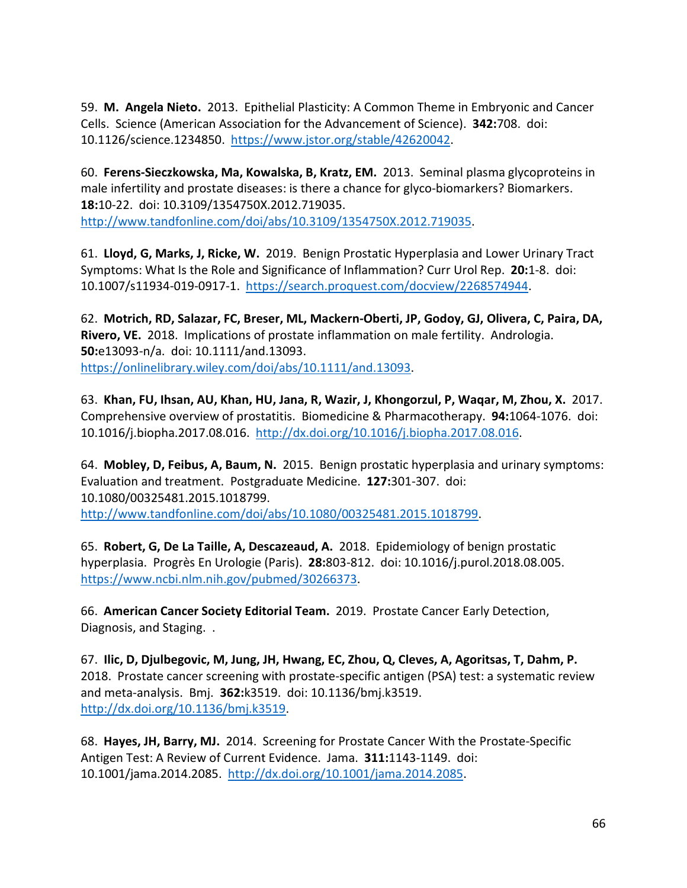59. **M. Angela Nieto.** 2013. Epithelial Plasticity: A Common Theme in Embryonic and Cancer Cells. Science (American Association for the Advancement of Science). **342:**708. doi: 10.1126/science.1234850. [https://www.jstor.org/stable/42620042.](https://www.jstor.org/stable/42620042)

60. **Ferens-Sieczkowska, Ma, Kowalska, B, Kratz, EM.** 2013. Seminal plasma glycoproteins in male infertility and prostate diseases: is there a chance for glyco-biomarkers? Biomarkers. **18:**10-22. doi: 10.3109/1354750X.2012.719035. [http://www.tandfonline.com/doi/abs/10.3109/1354750X.2012.719035.](http://www.tandfonline.com/doi/abs/10.3109/1354750X.2012.719035)

61. **Lloyd, G, Marks, J, Ricke, W.** 2019. Benign Prostatic Hyperplasia and Lower Urinary Tract Symptoms: What Is the Role and Significance of Inflammation? Curr Urol Rep. **20:**1-8. doi: 10.1007/s11934-019-0917-1. [https://search.proquest.com/docview/2268574944.](https://search.proquest.com/docview/2268574944)

62. **Motrich, RD, Salazar, FC, Breser, ML, Mackern-Oberti, JP, Godoy, GJ, Olivera, C, Paira, DA, Rivero, VE.** 2018. Implications of prostate inflammation on male fertility. Andrologia. **50:**e13093-n/a. doi: 10.1111/and.13093. [https://onlinelibrary.wiley.com/doi/abs/10.1111/and.13093.](https://onlinelibrary.wiley.com/doi/abs/10.1111/and.13093)

63. **Khan, FU, Ihsan, AU, Khan, HU, Jana, R, Wazir, J, Khongorzul, P, Waqar, M, Zhou, X.** 2017. Comprehensive overview of prostatitis. Biomedicine & Pharmacotherapy. **94:**1064-1076. doi: 10.1016/j.biopha.2017.08.016. [http://dx.doi.org/10.1016/j.biopha.2017.08.016.](http://dx.doi.org/10.1016/j.biopha.2017.08.016)

64. **Mobley, D, Feibus, A, Baum, N.** 2015. Benign prostatic hyperplasia and urinary symptoms: Evaluation and treatment. Postgraduate Medicine. **127:**301-307. doi: 10.1080/00325481.2015.1018799. [http://www.tandfonline.com/doi/abs/10.1080/00325481.2015.1018799.](http://www.tandfonline.com/doi/abs/10.1080/00325481.2015.1018799)

65. **Robert, G, De La Taille, A, Descazeaud, A.** 2018. Epidemiology of benign prostatic hyperplasia. Progrès En Urologie (Paris). **28:**803-812. doi: 10.1016/j.purol.2018.08.005. [https://www.ncbi.nlm.nih.gov/pubmed/30266373.](https://www.ncbi.nlm.nih.gov/pubmed/30266373)

66. **American Cancer Society Editorial Team.** 2019. Prostate Cancer Early Detection, Diagnosis, and Staging. .

67. **Ilic, D, Djulbegovic, M, Jung, JH, Hwang, EC, Zhou, Q, Cleves, A, Agoritsas, T, Dahm, P.**  2018. Prostate cancer screening with prostate-specific antigen (PSA) test: a systematic review and meta-analysis. Bmj. **362:**k3519. doi: 10.1136/bmj.k3519. [http://dx.doi.org/10.1136/bmj.k3519.](http://dx.doi.org/10.1136/bmj.k3519)

68. **Hayes, JH, Barry, MJ.** 2014. Screening for Prostate Cancer With the Prostate-Specific Antigen Test: A Review of Current Evidence. Jama. **311:**1143-1149. doi: 10.1001/jama.2014.2085. [http://dx.doi.org/10.1001/jama.2014.2085.](http://dx.doi.org/10.1001/jama.2014.2085)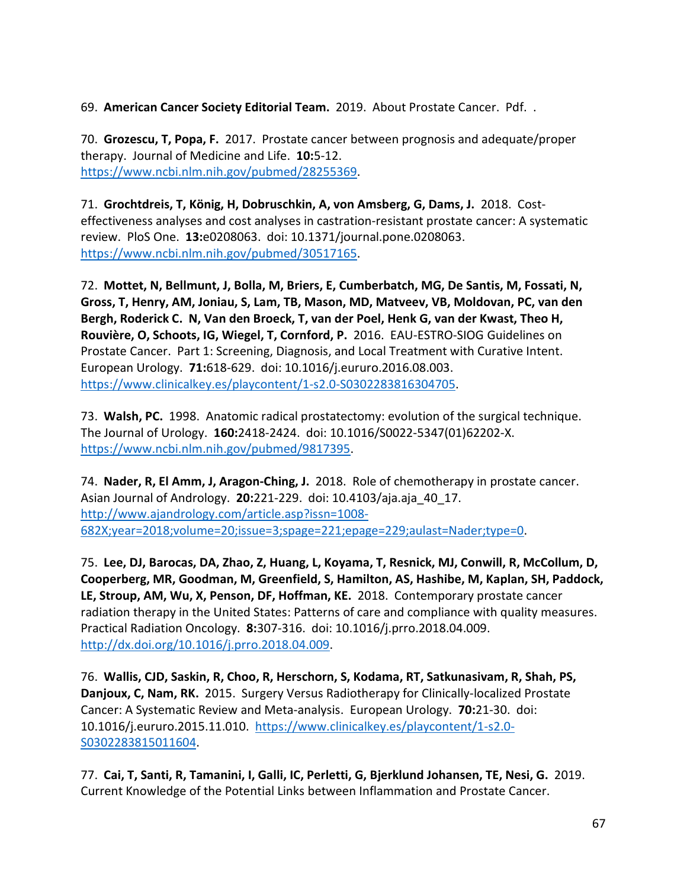69. **American Cancer Society Editorial Team.** 2019. About Prostate Cancer. Pdf. .

70. **Grozescu, T, Popa, F.** 2017. Prostate cancer between prognosis and adequate/proper therapy. Journal of Medicine and Life. **10:**5-12. [https://www.ncbi.nlm.nih.gov/pubmed/28255369.](https://www.ncbi.nlm.nih.gov/pubmed/28255369)

71. **Grochtdreis, T, König, H, Dobruschkin, A, von Amsberg, G, Dams, J.** 2018. Costeffectiveness analyses and cost analyses in castration-resistant prostate cancer: A systematic review. PloS One. **13:**e0208063. doi: 10.1371/journal.pone.0208063. [https://www.ncbi.nlm.nih.gov/pubmed/30517165.](https://www.ncbi.nlm.nih.gov/pubmed/30517165)

72. **Mottet, N, Bellmunt, J, Bolla, M, Briers, E, Cumberbatch, MG, De Santis, M, Fossati, N, Gross, T, Henry, AM, Joniau, S, Lam, TB, Mason, MD, Matveev, VB, Moldovan, PC, van den Bergh, Roderick C. N, Van den Broeck, T, van der Poel, Henk G, van der Kwast, Theo H, Rouvière, O, Schoots, IG, Wiegel, T, Cornford, P.** 2016. EAU-ESTRO-SIOG Guidelines on Prostate Cancer. Part 1: Screening, Diagnosis, and Local Treatment with Curative Intent. European Urology. **71:**618-629. doi: 10.1016/j.eururo.2016.08.003. [https://www.clinicalkey.es/playcontent/1-s2.0-S0302283816304705.](https://www.clinicalkey.es/playcontent/1-s2.0-S0302283816304705)

73. **Walsh, PC.** 1998. Anatomic radical prostatectomy: evolution of the surgical technique. The Journal of Urology. **160:**2418-2424. doi: 10.1016/S0022-5347(01)62202-X. [https://www.ncbi.nlm.nih.gov/pubmed/9817395.](https://www.ncbi.nlm.nih.gov/pubmed/9817395)

74. **Nader, R, El Amm, J, Aragon-Ching, J.** 2018. Role of chemotherapy in prostate cancer. Asian Journal of Andrology. **20:**221-229. doi: 10.4103/aja.aja\_40\_17. [http://www.ajandrology.com/article.asp?issn=1008-](http://www.ajandrology.com/article.asp?issn=1008-682X;year=2018;volume=20;issue=3;spage=221;epage=229;aulast=Nader;type=0) [682X;year=2018;volume=20;issue=3;spage=221;epage=229;aulast=Nader;type=0.](http://www.ajandrology.com/article.asp?issn=1008-682X;year=2018;volume=20;issue=3;spage=221;epage=229;aulast=Nader;type=0)

75. **Lee, DJ, Barocas, DA, Zhao, Z, Huang, L, Koyama, T, Resnick, MJ, Conwill, R, McCollum, D, Cooperberg, MR, Goodman, M, Greenfield, S, Hamilton, AS, Hashibe, M, Kaplan, SH, Paddock, LE, Stroup, AM, Wu, X, Penson, DF, Hoffman, KE.** 2018. Contemporary prostate cancer radiation therapy in the United States: Patterns of care and compliance with quality measures. Practical Radiation Oncology. **8:**307-316. doi: 10.1016/j.prro.2018.04.009. [http://dx.doi.org/10.1016/j.prro.2018.04.009.](http://dx.doi.org/10.1016/j.prro.2018.04.009)

76. **Wallis, CJD, Saskin, R, Choo, R, Herschorn, S, Kodama, RT, Satkunasivam, R, Shah, PS, Danjoux, C, Nam, RK.** 2015. Surgery Versus Radiotherapy for Clinically-localized Prostate Cancer: A Systematic Review and Meta-analysis. European Urology. **70:**21-30. doi: 10.1016/j.eururo.2015.11.010. [https://www.clinicalkey.es/playcontent/1-s2.0-](https://www.clinicalkey.es/playcontent/1-s2.0-S0302283815011604) [S0302283815011604.](https://www.clinicalkey.es/playcontent/1-s2.0-S0302283815011604)

77. **Cai, T, Santi, R, Tamanini, I, Galli, IC, Perletti, G, Bjerklund Johansen, TE, Nesi, G.** 2019. Current Knowledge of the Potential Links between Inflammation and Prostate Cancer.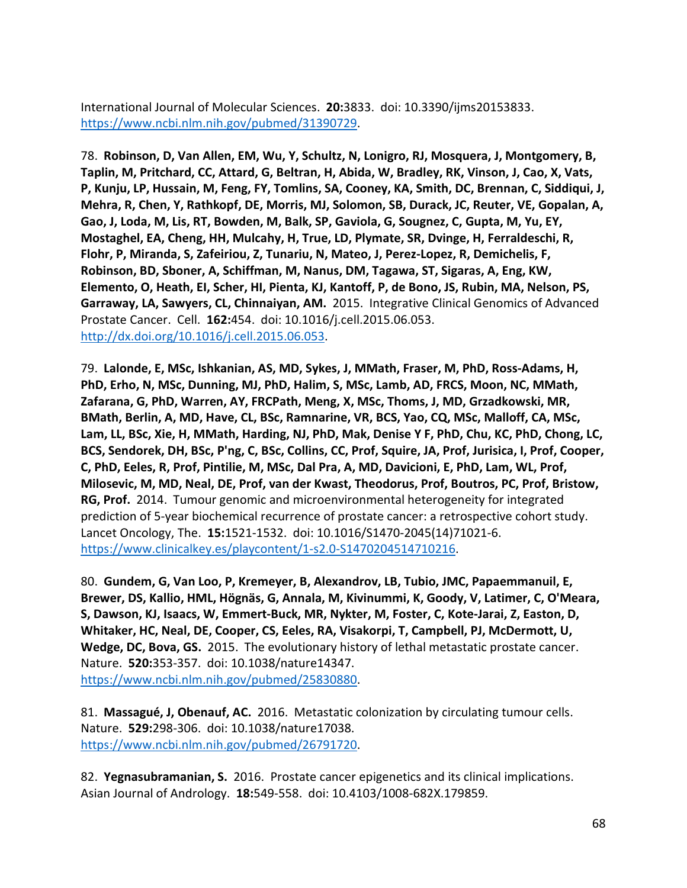International Journal of Molecular Sciences. **20:**3833. doi: 10.3390/ijms20153833. [https://www.ncbi.nlm.nih.gov/pubmed/31390729.](https://www.ncbi.nlm.nih.gov/pubmed/31390729)

78. **Robinson, D, Van Allen, EM, Wu, Y, Schultz, N, Lonigro, RJ, Mosquera, J, Montgomery, B, Taplin, M, Pritchard, CC, Attard, G, Beltran, H, Abida, W, Bradley, RK, Vinson, J, Cao, X, Vats, P, Kunju, LP, Hussain, M, Feng, FY, Tomlins, SA, Cooney, KA, Smith, DC, Brennan, C, Siddiqui, J, Mehra, R, Chen, Y, Rathkopf, DE, Morris, MJ, Solomon, SB, Durack, JC, Reuter, VE, Gopalan, A, Gao, J, Loda, M, Lis, RT, Bowden, M, Balk, SP, Gaviola, G, Sougnez, C, Gupta, M, Yu, EY, Mostaghel, EA, Cheng, HH, Mulcahy, H, True, LD, Plymate, SR, Dvinge, H, Ferraldeschi, R, Flohr, P, Miranda, S, Zafeiriou, Z, Tunariu, N, Mateo, J, Perez-Lopez, R, Demichelis, F, Robinson, BD, Sboner, A, Schiffman, M, Nanus, DM, Tagawa, ST, Sigaras, A, Eng, KW, Elemento, O, Heath, EI, Scher, HI, Pienta, KJ, Kantoff, P, de Bono, JS, Rubin, MA, Nelson, PS, Garraway, LA, Sawyers, CL, Chinnaiyan, AM.** 2015. Integrative Clinical Genomics of Advanced Prostate Cancer. Cell. **162:**454. doi: 10.1016/j.cell.2015.06.053. [http://dx.doi.org/10.1016/j.cell.2015.06.053.](http://dx.doi.org/10.1016/j.cell.2015.06.053)

79. **Lalonde, E, MSc, Ishkanian, AS, MD, Sykes, J, MMath, Fraser, M, PhD, Ross-Adams, H, PhD, Erho, N, MSc, Dunning, MJ, PhD, Halim, S, MSc, Lamb, AD, FRCS, Moon, NC, MMath, Zafarana, G, PhD, Warren, AY, FRCPath, Meng, X, MSc, Thoms, J, MD, Grzadkowski, MR, BMath, Berlin, A, MD, Have, CL, BSc, Ramnarine, VR, BCS, Yao, CQ, MSc, Malloff, CA, MSc, Lam, LL, BSc, Xie, H, MMath, Harding, NJ, PhD, Mak, Denise Y F, PhD, Chu, KC, PhD, Chong, LC, BCS, Sendorek, DH, BSc, P'ng, C, BSc, Collins, CC, Prof, Squire, JA, Prof, Jurisica, I, Prof, Cooper, C, PhD, Eeles, R, Prof, Pintilie, M, MSc, Dal Pra, A, MD, Davicioni, E, PhD, Lam, WL, Prof, Milosevic, M, MD, Neal, DE, Prof, van der Kwast, Theodorus, Prof, Boutros, PC, Prof, Bristow, RG, Prof.** 2014. Tumour genomic and microenvironmental heterogeneity for integrated prediction of 5-year biochemical recurrence of prostate cancer: a retrospective cohort study. Lancet Oncology, The. **15:**1521-1532. doi: 10.1016/S1470-2045(14)71021-6. [https://www.clinicalkey.es/playcontent/1-s2.0-S1470204514710216.](https://www.clinicalkey.es/playcontent/1-s2.0-S1470204514710216)

80. **Gundem, G, Van Loo, P, Kremeyer, B, Alexandrov, LB, Tubio, JMC, Papaemmanuil, E, Brewer, DS, Kallio, HML, Högnäs, G, Annala, M, Kivinummi, K, Goody, V, Latimer, C, O'Meara, S, Dawson, KJ, Isaacs, W, Emmert-Buck, MR, Nykter, M, Foster, C, Kote-Jarai, Z, Easton, D, Whitaker, HC, Neal, DE, Cooper, CS, Eeles, RA, Visakorpi, T, Campbell, PJ, McDermott, U, Wedge, DC, Bova, GS.** 2015. The evolutionary history of lethal metastatic prostate cancer. Nature. **520:**353-357. doi: 10.1038/nature14347. [https://www.ncbi.nlm.nih.gov/pubmed/25830880.](https://www.ncbi.nlm.nih.gov/pubmed/25830880)

81. **Massagué, J, Obenauf, AC.** 2016. Metastatic colonization by circulating tumour cells. Nature. **529:**298-306. doi: 10.1038/nature17038. [https://www.ncbi.nlm.nih.gov/pubmed/26791720.](https://www.ncbi.nlm.nih.gov/pubmed/26791720)

82. **Yegnasubramanian, S.** 2016. Prostate cancer epigenetics and its clinical implications. Asian Journal of Andrology. **18:**549-558. doi: 10.4103/1008-682X.179859.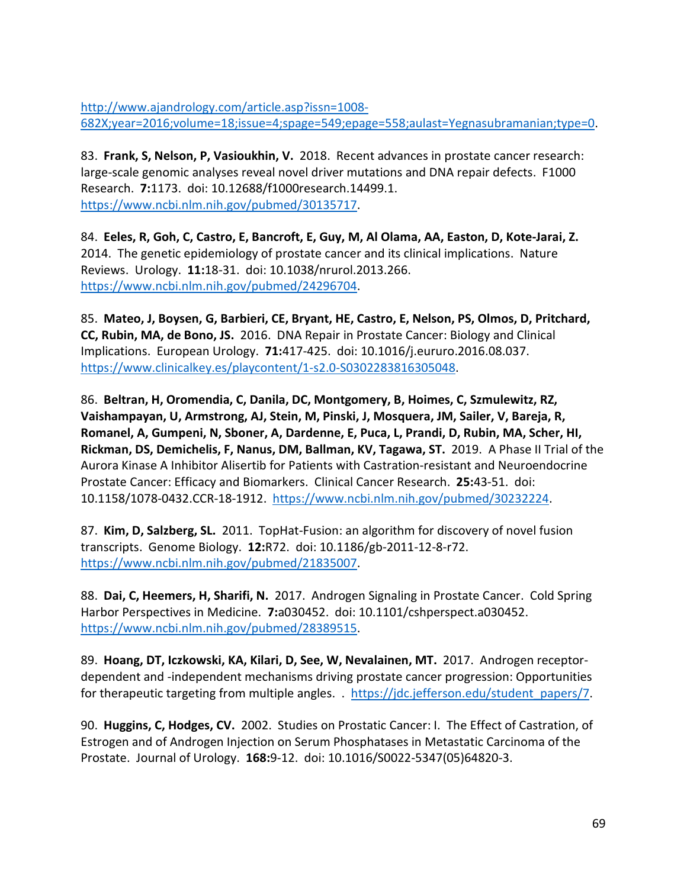[http://www.ajandrology.com/article.asp?issn=1008-](http://www.ajandrology.com/article.asp?issn=1008-682X;year=2016;volume=18;issue=4;spage=549;epage=558;aulast=Yegnasubramanian;type=0) [682X;year=2016;volume=18;issue=4;spage=549;epage=558;aulast=Yegnasubramanian;type=0.](http://www.ajandrology.com/article.asp?issn=1008-682X;year=2016;volume=18;issue=4;spage=549;epage=558;aulast=Yegnasubramanian;type=0)

83. **Frank, S, Nelson, P, Vasioukhin, V.** 2018. Recent advances in prostate cancer research: large-scale genomic analyses reveal novel driver mutations and DNA repair defects. F1000 Research. **7:**1173. doi: 10.12688/f1000research.14499.1. [https://www.ncbi.nlm.nih.gov/pubmed/30135717.](https://www.ncbi.nlm.nih.gov/pubmed/30135717)

84. **Eeles, R, Goh, C, Castro, E, Bancroft, E, Guy, M, Al Olama, AA, Easton, D, Kote-Jarai, Z.**  2014. The genetic epidemiology of prostate cancer and its clinical implications. Nature Reviews. Urology. **11:**18-31. doi: 10.1038/nrurol.2013.266. [https://www.ncbi.nlm.nih.gov/pubmed/24296704.](https://www.ncbi.nlm.nih.gov/pubmed/24296704)

85. **Mateo, J, Boysen, G, Barbieri, CE, Bryant, HE, Castro, E, Nelson, PS, Olmos, D, Pritchard, CC, Rubin, MA, de Bono, JS.** 2016. DNA Repair in Prostate Cancer: Biology and Clinical Implications. European Urology. **71:**417-425. doi: 10.1016/j.eururo.2016.08.037. [https://www.clinicalkey.es/playcontent/1-s2.0-S0302283816305048.](https://www.clinicalkey.es/playcontent/1-s2.0-S0302283816305048)

86. **Beltran, H, Oromendia, C, Danila, DC, Montgomery, B, Hoimes, C, Szmulewitz, RZ, Vaishampayan, U, Armstrong, AJ, Stein, M, Pinski, J, Mosquera, JM, Sailer, V, Bareja, R, Romanel, A, Gumpeni, N, Sboner, A, Dardenne, E, Puca, L, Prandi, D, Rubin, MA, Scher, HI, Rickman, DS, Demichelis, F, Nanus, DM, Ballman, KV, Tagawa, ST.** 2019. A Phase II Trial of the Aurora Kinase A Inhibitor Alisertib for Patients with Castration-resistant and Neuroendocrine Prostate Cancer: Efficacy and Biomarkers. Clinical Cancer Research. **25:**43-51. doi: 10.1158/1078-0432.CCR-18-1912. [https://www.ncbi.nlm.nih.gov/pubmed/30232224.](https://www.ncbi.nlm.nih.gov/pubmed/30232224)

87. **Kim, D, Salzberg, SL.** 2011. TopHat-Fusion: an algorithm for discovery of novel fusion transcripts. Genome Biology. **12:**R72. doi: 10.1186/gb-2011-12-8-r72. [https://www.ncbi.nlm.nih.gov/pubmed/21835007.](https://www.ncbi.nlm.nih.gov/pubmed/21835007)

88. **Dai, C, Heemers, H, Sharifi, N.** 2017. Androgen Signaling in Prostate Cancer. Cold Spring Harbor Perspectives in Medicine. **7:**a030452. doi: 10.1101/cshperspect.a030452. [https://www.ncbi.nlm.nih.gov/pubmed/28389515.](https://www.ncbi.nlm.nih.gov/pubmed/28389515)

89. **Hoang, DT, Iczkowski, KA, Kilari, D, See, W, Nevalainen, MT.** 2017. Androgen receptordependent and -independent mechanisms driving prostate cancer progression: Opportunities for therapeutic targeting from multiple angles. . [https://jdc.jefferson.edu/student\\_papers/7.](https://jdc.jefferson.edu/student_papers/7)

90. **Huggins, C, Hodges, CV.** 2002. Studies on Prostatic Cancer: I. The Effect of Castration, of Estrogen and of Androgen Injection on Serum Phosphatases in Metastatic Carcinoma of the Prostate. Journal of Urology. **168:**9-12. doi: 10.1016/S0022-5347(05)64820-3.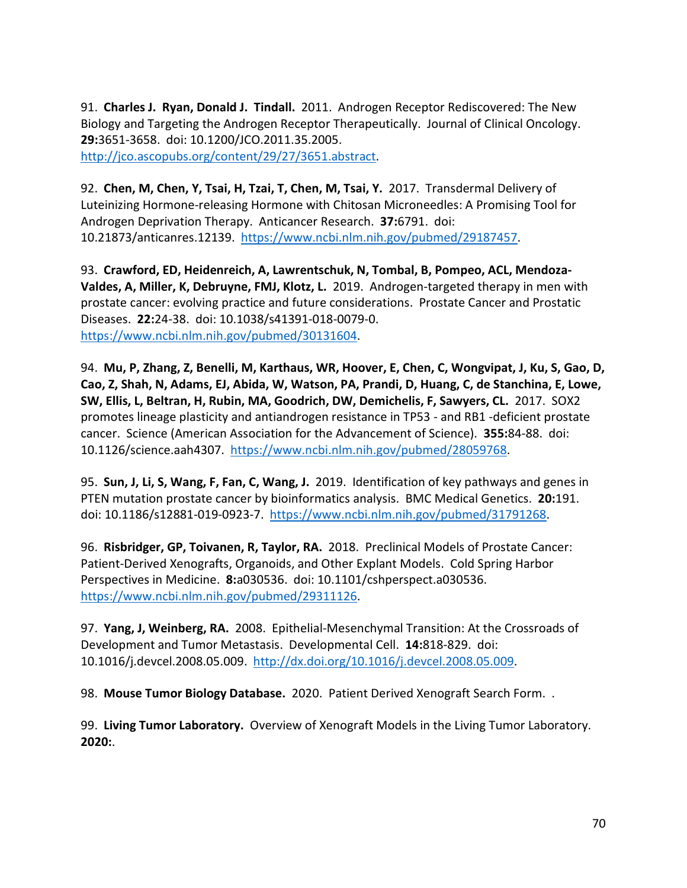91. **Charles J. Ryan, Donald J. Tindall.** 2011. Androgen Receptor Rediscovered: The New Biology and Targeting the Androgen Receptor Therapeutically. Journal of Clinical Oncology. **29:**3651-3658. doi: 10.1200/JCO.2011.35.2005. [http://jco.ascopubs.org/content/29/27/3651.abstract.](http://jco.ascopubs.org/content/29/27/3651.abstract)

92. **Chen, M, Chen, Y, Tsai, H, Tzai, T, Chen, M, Tsai, Y.** 2017. Transdermal Delivery of Luteinizing Hormone-releasing Hormone with Chitosan Microneedles: A Promising Tool for Androgen Deprivation Therapy. Anticancer Research. **37:**6791. doi: 10.21873/anticanres.12139. [https://www.ncbi.nlm.nih.gov/pubmed/29187457.](https://www.ncbi.nlm.nih.gov/pubmed/29187457)

93. **Crawford, ED, Heidenreich, A, Lawrentschuk, N, Tombal, B, Pompeo, ACL, Mendoza-Valdes, A, Miller, K, Debruyne, FMJ, Klotz, L.** 2019. Androgen-targeted therapy in men with prostate cancer: evolving practice and future considerations. Prostate Cancer and Prostatic Diseases. **22:**24-38. doi: 10.1038/s41391-018-0079-0. [https://www.ncbi.nlm.nih.gov/pubmed/30131604.](https://www.ncbi.nlm.nih.gov/pubmed/30131604)

94. **Mu, P, Zhang, Z, Benelli, M, Karthaus, WR, Hoover, E, Chen, C, Wongvipat, J, Ku, S, Gao, D, Cao, Z, Shah, N, Adams, EJ, Abida, W, Watson, PA, Prandi, D, Huang, C, de Stanchina, E, Lowe, SW, Ellis, L, Beltran, H, Rubin, MA, Goodrich, DW, Demichelis, F, Sawyers, CL.** 2017. SOX2 promotes lineage plasticity and antiandrogen resistance in TP53 - and RB1 -deficient prostate cancer. Science (American Association for the Advancement of Science). **355:**84-88. doi: 10.1126/science.aah4307. [https://www.ncbi.nlm.nih.gov/pubmed/28059768.](https://www.ncbi.nlm.nih.gov/pubmed/28059768)

95. **Sun, J, Li, S, Wang, F, Fan, C, Wang, J.** 2019. Identification of key pathways and genes in PTEN mutation prostate cancer by bioinformatics analysis. BMC Medical Genetics. **20:**191. doi: 10.1186/s12881-019-0923-7. [https://www.ncbi.nlm.nih.gov/pubmed/31791268.](https://www.ncbi.nlm.nih.gov/pubmed/31791268)

96. **Risbridger, GP, Toivanen, R, Taylor, RA.** 2018. Preclinical Models of Prostate Cancer: Patient-Derived Xenografts, Organoids, and Other Explant Models. Cold Spring Harbor Perspectives in Medicine. **8:**a030536. doi: 10.1101/cshperspect.a030536. [https://www.ncbi.nlm.nih.gov/pubmed/29311126.](https://www.ncbi.nlm.nih.gov/pubmed/29311126)

97. **Yang, J, Weinberg, RA.** 2008. Epithelial-Mesenchymal Transition: At the Crossroads of Development and Tumor Metastasis. Developmental Cell. **14:**818-829. doi: 10.1016/j.devcel.2008.05.009. [http://dx.doi.org/10.1016/j.devcel.2008.05.009.](http://dx.doi.org/10.1016/j.devcel.2008.05.009)

98. **Mouse Tumor Biology Database.** 2020. Patient Derived Xenograft Search Form. .

99. **Living Tumor Laboratory.** Overview of Xenograft Models in the Living Tumor Laboratory. **2020:**.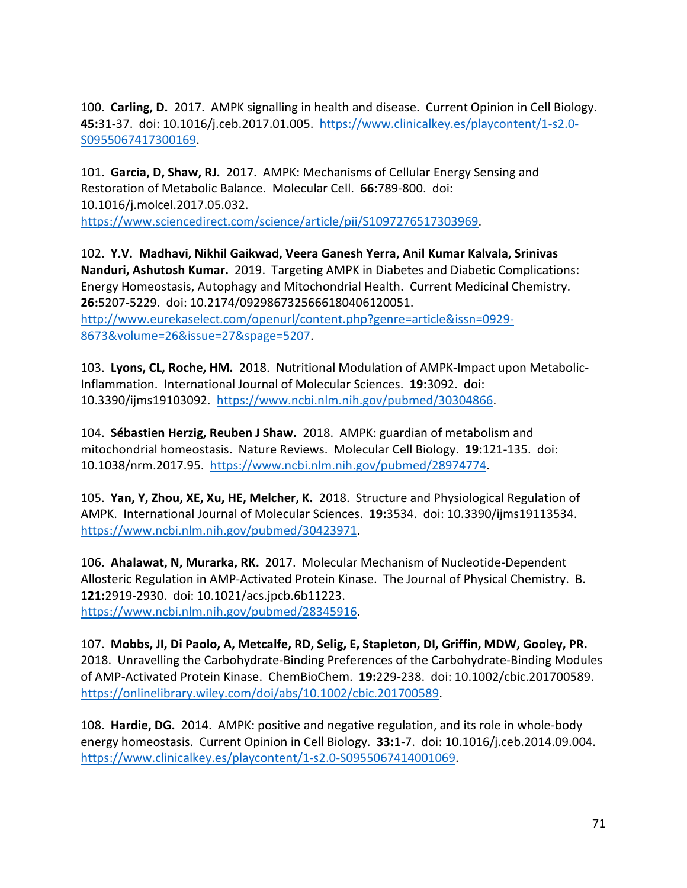100. **Carling, D.** 2017. AMPK signalling in health and disease. Current Opinion in Cell Biology. **45:**31-37. doi: 10.1016/j.ceb.2017.01.005. [https://www.clinicalkey.es/playcontent/1-s2.0-](https://www.clinicalkey.es/playcontent/1-s2.0-S0955067417300169) [S0955067417300169.](https://www.clinicalkey.es/playcontent/1-s2.0-S0955067417300169)

101. **Garcia, D, Shaw, RJ.** 2017. AMPK: Mechanisms of Cellular Energy Sensing and Restoration of Metabolic Balance. Molecular Cell. **66:**789-800. doi: 10.1016/j.molcel.2017.05.032. [https://www.sciencedirect.com/science/article/pii/S1097276517303969.](https://www.sciencedirect.com/science/article/pii/S1097276517303969)

102. **Y.V. Madhavi, Nikhil Gaikwad, Veera Ganesh Yerra, Anil Kumar Kalvala, Srinivas Nanduri, Ashutosh Kumar.** 2019. Targeting AMPK in Diabetes and Diabetic Complications: Energy Homeostasis, Autophagy and Mitochondrial Health. Current Medicinal Chemistry. **26:**5207-5229. doi: 10.2174/0929867325666180406120051. [http://www.eurekaselect.com/openurl/content.php?genre=article&issn=0929-](http://www.eurekaselect.com/openurl/content.php?genre=article&issn=0929-8673&volume=26&issue=27&spage=5207) [8673&volume=26&issue=27&spage=5207.](http://www.eurekaselect.com/openurl/content.php?genre=article&issn=0929-8673&volume=26&issue=27&spage=5207)

103. **Lyons, CL, Roche, HM.** 2018. Nutritional Modulation of AMPK-Impact upon Metabolic-Inflammation. International Journal of Molecular Sciences. **19:**3092. doi: 10.3390/ijms19103092. [https://www.ncbi.nlm.nih.gov/pubmed/30304866.](https://www.ncbi.nlm.nih.gov/pubmed/30304866)

104. **Sébastien Herzig, Reuben J Shaw.** 2018. AMPK: guardian of metabolism and mitochondrial homeostasis. Nature Reviews. Molecular Cell Biology. **19:**121-135. doi: 10.1038/nrm.2017.95. [https://www.ncbi.nlm.nih.gov/pubmed/28974774.](https://www.ncbi.nlm.nih.gov/pubmed/28974774)

105. **Yan, Y, Zhou, XE, Xu, HE, Melcher, K.** 2018. Structure and Physiological Regulation of AMPK. International Journal of Molecular Sciences. **19:**3534. doi: 10.3390/ijms19113534. [https://www.ncbi.nlm.nih.gov/pubmed/30423971.](https://www.ncbi.nlm.nih.gov/pubmed/30423971)

106. **Ahalawat, N, Murarka, RK.** 2017. Molecular Mechanism of Nucleotide-Dependent Allosteric Regulation in AMP-Activated Protein Kinase. The Journal of Physical Chemistry. B. **121:**2919-2930. doi: 10.1021/acs.jpcb.6b11223. [https://www.ncbi.nlm.nih.gov/pubmed/28345916.](https://www.ncbi.nlm.nih.gov/pubmed/28345916)

107. **Mobbs, JI, Di Paolo, A, Metcalfe, RD, Selig, E, Stapleton, DI, Griffin, MDW, Gooley, PR.**  2018. Unravelling the Carbohydrate-Binding Preferences of the Carbohydrate-Binding Modules of AMP-Activated Protein Kinase. ChemBioChem. **19:**229-238. doi: 10.1002/cbic.201700589. [https://onlinelibrary.wiley.com/doi/abs/10.1002/cbic.201700589.](https://onlinelibrary.wiley.com/doi/abs/10.1002/cbic.201700589)

108. **Hardie, DG.** 2014. AMPK: positive and negative regulation, and its role in whole-body energy homeostasis. Current Opinion in Cell Biology. **33:**1-7. doi: 10.1016/j.ceb.2014.09.004. [https://www.clinicalkey.es/playcontent/1-s2.0-S0955067414001069.](https://www.clinicalkey.es/playcontent/1-s2.0-S0955067414001069)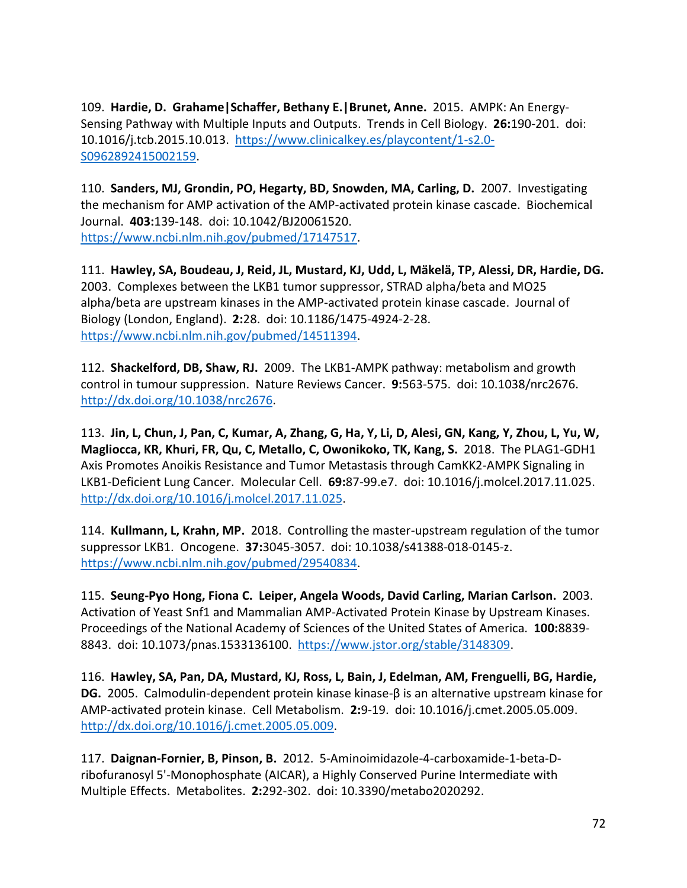109. **Hardie, D. Grahame|Schaffer, Bethany E.|Brunet, Anne.** 2015. AMPK: An Energy-Sensing Pathway with Multiple Inputs and Outputs. Trends in Cell Biology. **26:**190-201. doi: 10.1016/j.tcb.2015.10.013. [https://www.clinicalkey.es/playcontent/1-s2.0-](https://www.clinicalkey.es/playcontent/1-s2.0-S0962892415002159) [S0962892415002159.](https://www.clinicalkey.es/playcontent/1-s2.0-S0962892415002159)

110. **Sanders, MJ, Grondin, PO, Hegarty, BD, Snowden, MA, Carling, D.** 2007. Investigating the mechanism for AMP activation of the AMP-activated protein kinase cascade. Biochemical Journal. **403:**139-148. doi: 10.1042/BJ20061520. [https://www.ncbi.nlm.nih.gov/pubmed/17147517.](https://www.ncbi.nlm.nih.gov/pubmed/17147517)

111. **Hawley, SA, Boudeau, J, Reid, JL, Mustard, KJ, Udd, L, Mäkelä, TP, Alessi, DR, Hardie, DG.**  2003. Complexes between the LKB1 tumor suppressor, STRAD alpha/beta and MO25 alpha/beta are upstream kinases in the AMP-activated protein kinase cascade. Journal of Biology (London, England). **2:**28. doi: 10.1186/1475-4924-2-28. [https://www.ncbi.nlm.nih.gov/pubmed/14511394.](https://www.ncbi.nlm.nih.gov/pubmed/14511394)

112. **Shackelford, DB, Shaw, RJ.** 2009. The LKB1-AMPK pathway: metabolism and growth control in tumour suppression. Nature Reviews Cancer. **9:**563-575. doi: 10.1038/nrc2676. [http://dx.doi.org/10.1038/nrc2676.](http://dx.doi.org/10.1038/nrc2676)

113. **Jin, L, Chun, J, Pan, C, Kumar, A, Zhang, G, Ha, Y, Li, D, Alesi, GN, Kang, Y, Zhou, L, Yu, W, Magliocca, KR, Khuri, FR, Qu, C, Metallo, C, Owonikoko, TK, Kang, S.** 2018. The PLAG1-GDH1 Axis Promotes Anoikis Resistance and Tumor Metastasis through CamKK2-AMPK Signaling in LKB1-Deficient Lung Cancer. Molecular Cell. **69:**87-99.e7. doi: 10.1016/j.molcel.2017.11.025. [http://dx.doi.org/10.1016/j.molcel.2017.11.025.](http://dx.doi.org/10.1016/j.molcel.2017.11.025)

114. **Kullmann, L, Krahn, MP.** 2018. Controlling the master-upstream regulation of the tumor suppressor LKB1. Oncogene. **37:**3045-3057. doi: 10.1038/s41388-018-0145-z. [https://www.ncbi.nlm.nih.gov/pubmed/29540834.](https://www.ncbi.nlm.nih.gov/pubmed/29540834)

115. **Seung-Pyo Hong, Fiona C. Leiper, Angela Woods, David Carling, Marian Carlson.** 2003. Activation of Yeast Snf1 and Mammalian AMP-Activated Protein Kinase by Upstream Kinases. Proceedings of the National Academy of Sciences of the United States of America. **100:**8839- 8843. doi: 10.1073/pnas.1533136100. [https://www.jstor.org/stable/3148309.](https://www.jstor.org/stable/3148309)

116. **Hawley, SA, Pan, DA, Mustard, KJ, Ross, L, Bain, J, Edelman, AM, Frenguelli, BG, Hardie, DG.** 2005. Calmodulin-dependent protein kinase kinase-β is an alternative upstream kinase for AMP-activated protein kinase. Cell Metabolism. **2:**9-19. doi: 10.1016/j.cmet.2005.05.009. [http://dx.doi.org/10.1016/j.cmet.2005.05.009.](http://dx.doi.org/10.1016/j.cmet.2005.05.009)

117. **Daignan-Fornier, B, Pinson, B.** 2012. 5-Aminoimidazole-4-carboxamide-1-beta-Dribofuranosyl 5'-Monophosphate (AICAR), a Highly Conserved Purine Intermediate with Multiple Effects. Metabolites. **2:**292-302. doi: 10.3390/metabo2020292.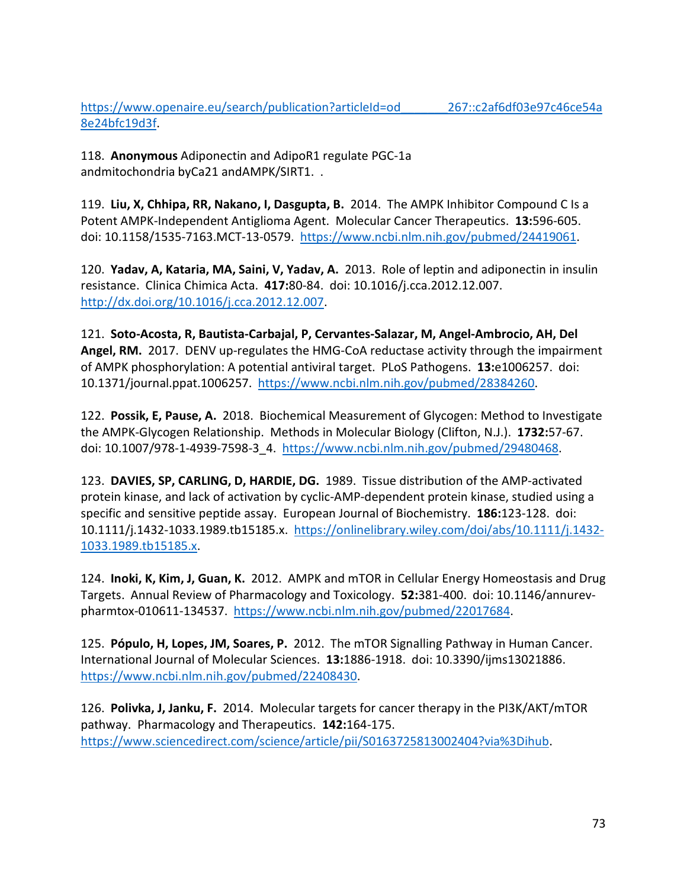https://www.openaire.eu/search/publication?articleId=od 267::c2af6df03e97c46ce54a [8e24bfc19d3f.](https://www.openaire.eu/search/publication?articleId=od_______267::c2af6df03e97c46ce54a8e24bfc19d3f)

118. **Anonymous** Adiponectin and AdipoR1 regulate PGC-1a andmitochondria byCa21 andAMPK/SIRT1. .

119. **Liu, X, Chhipa, RR, Nakano, I, Dasgupta, B.** 2014. The AMPK Inhibitor Compound C Is a Potent AMPK-Independent Antiglioma Agent. Molecular Cancer Therapeutics. **13:**596-605. doi: 10.1158/1535-7163.MCT-13-0579. [https://www.ncbi.nlm.nih.gov/pubmed/24419061.](https://www.ncbi.nlm.nih.gov/pubmed/24419061)

120. **Yadav, A, Kataria, MA, Saini, V, Yadav, A.** 2013. Role of leptin and adiponectin in insulin resistance. Clinica Chimica Acta. **417:**80-84. doi: 10.1016/j.cca.2012.12.007. [http://dx.doi.org/10.1016/j.cca.2012.12.007.](http://dx.doi.org/10.1016/j.cca.2012.12.007)

121. **Soto-Acosta, R, Bautista-Carbajal, P, Cervantes-Salazar, M, Angel-Ambrocio, AH, Del Angel, RM.** 2017. DENV up-regulates the HMG-CoA reductase activity through the impairment of AMPK phosphorylation: A potential antiviral target. PLoS Pathogens. **13:**e1006257. doi: 10.1371/journal.ppat.1006257. [https://www.ncbi.nlm.nih.gov/pubmed/28384260.](https://www.ncbi.nlm.nih.gov/pubmed/28384260)

122. **Possik, E, Pause, A.** 2018. Biochemical Measurement of Glycogen: Method to Investigate the AMPK-Glycogen Relationship. Methods in Molecular Biology (Clifton, N.J.). **1732:**57-67. doi: 10.1007/978-1-4939-7598-3\_4. [https://www.ncbi.nlm.nih.gov/pubmed/29480468.](https://www.ncbi.nlm.nih.gov/pubmed/29480468)

123. **DAVIES, SP, CARLING, D, HARDIE, DG.** 1989. Tissue distribution of the AMP-activated protein kinase, and lack of activation by cyclic-AMP-dependent protein kinase, studied using a specific and sensitive peptide assay. European Journal of Biochemistry. **186:**123-128. doi: 10.1111/j.1432-1033.1989.tb15185.x. [https://onlinelibrary.wiley.com/doi/abs/10.1111/j.1432-](https://onlinelibrary.wiley.com/doi/abs/10.1111/j.1432-1033.1989.tb15185.x) [1033.1989.tb15185.x.](https://onlinelibrary.wiley.com/doi/abs/10.1111/j.1432-1033.1989.tb15185.x)

124. **Inoki, K, Kim, J, Guan, K.** 2012. AMPK and mTOR in Cellular Energy Homeostasis and Drug Targets. Annual Review of Pharmacology and Toxicology. **52:**381-400. doi: 10.1146/annurevpharmtox-010611-134537. [https://www.ncbi.nlm.nih.gov/pubmed/22017684.](https://www.ncbi.nlm.nih.gov/pubmed/22017684)

125. **Pópulo, H, Lopes, JM, Soares, P.** 2012. The mTOR Signalling Pathway in Human Cancer. International Journal of Molecular Sciences. **13:**1886-1918. doi: 10.3390/ijms13021886. [https://www.ncbi.nlm.nih.gov/pubmed/22408430.](https://www.ncbi.nlm.nih.gov/pubmed/22408430)

126. **Polivka, J, Janku, F.** 2014. Molecular targets for cancer therapy in the PI3K/AKT/mTOR pathway. Pharmacology and Therapeutics. **142:**164-175. [https://www.sciencedirect.com/science/article/pii/S0163725813002404?via%3Dihub.](https://www.sciencedirect.com/science/article/pii/S0163725813002404?via%3Dihub)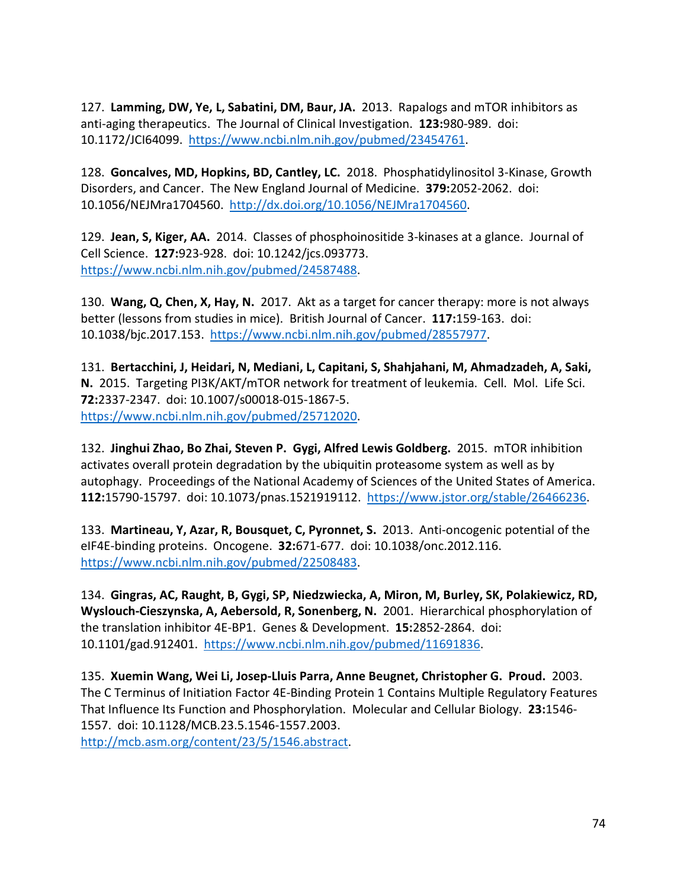127. **Lamming, DW, Ye, L, Sabatini, DM, Baur, JA.** 2013. Rapalogs and mTOR inhibitors as anti-aging therapeutics. The Journal of Clinical Investigation. **123:**980-989. doi: 10.1172/JCI64099. [https://www.ncbi.nlm.nih.gov/pubmed/23454761.](https://www.ncbi.nlm.nih.gov/pubmed/23454761)

128. **Goncalves, MD, Hopkins, BD, Cantley, LC.** 2018. Phosphatidylinositol 3-Kinase, Growth Disorders, and Cancer. The New England Journal of Medicine. **379:**2052-2062. doi: 10.1056/NEJMra1704560. [http://dx.doi.org/10.1056/NEJMra1704560.](http://dx.doi.org/10.1056/NEJMra1704560)

129. **Jean, S, Kiger, AA.** 2014. Classes of phosphoinositide 3-kinases at a glance. Journal of Cell Science. **127:**923-928. doi: 10.1242/jcs.093773. [https://www.ncbi.nlm.nih.gov/pubmed/24587488.](https://www.ncbi.nlm.nih.gov/pubmed/24587488)

130. **Wang, Q, Chen, X, Hay, N.** 2017. Akt as a target for cancer therapy: more is not always better (lessons from studies in mice). British Journal of Cancer. **117:**159-163. doi: 10.1038/bjc.2017.153. [https://www.ncbi.nlm.nih.gov/pubmed/28557977.](https://www.ncbi.nlm.nih.gov/pubmed/28557977)

131. **Bertacchini, J, Heidari, N, Mediani, L, Capitani, S, Shahjahani, M, Ahmadzadeh, A, Saki, N.** 2015. Targeting PI3K/AKT/mTOR network for treatment of leukemia. Cell. Mol. Life Sci. **72:**2337-2347. doi: 10.1007/s00018-015-1867-5. [https://www.ncbi.nlm.nih.gov/pubmed/25712020.](https://www.ncbi.nlm.nih.gov/pubmed/25712020)

132. **Jinghui Zhao, Bo Zhai, Steven P. Gygi, Alfred Lewis Goldberg.** 2015. mTOR inhibition activates overall protein degradation by the ubiquitin proteasome system as well as by autophagy. Proceedings of the National Academy of Sciences of the United States of America. **112:**15790-15797. doi: 10.1073/pnas.1521919112. [https://www.jstor.org/stable/26466236.](https://www.jstor.org/stable/26466236)

133. **Martineau, Y, Azar, R, Bousquet, C, Pyronnet, S.** 2013. Anti-oncogenic potential of the eIF4E-binding proteins. Oncogene. **32:**671-677. doi: 10.1038/onc.2012.116. [https://www.ncbi.nlm.nih.gov/pubmed/22508483.](https://www.ncbi.nlm.nih.gov/pubmed/22508483)

134. **Gingras, AC, Raught, B, Gygi, SP, Niedzwiecka, A, Miron, M, Burley, SK, Polakiewicz, RD, Wyslouch-Cieszynska, A, Aebersold, R, Sonenberg, N.** 2001. Hierarchical phosphorylation of the translation inhibitor 4E-BP1. Genes & Development. **15:**2852-2864. doi: 10.1101/gad.912401. [https://www.ncbi.nlm.nih.gov/pubmed/11691836.](https://www.ncbi.nlm.nih.gov/pubmed/11691836)

135. **Xuemin Wang, Wei Li, Josep-Lluis Parra, Anne Beugnet, Christopher G. Proud.** 2003. The C Terminus of Initiation Factor 4E-Binding Protein 1 Contains Multiple Regulatory Features That Influence Its Function and Phosphorylation. Molecular and Cellular Biology. **23:**1546- 1557. doi: 10.1128/MCB.23.5.1546-1557.2003. [http://mcb.asm.org/content/23/5/1546.abstract.](http://mcb.asm.org/content/23/5/1546.abstract)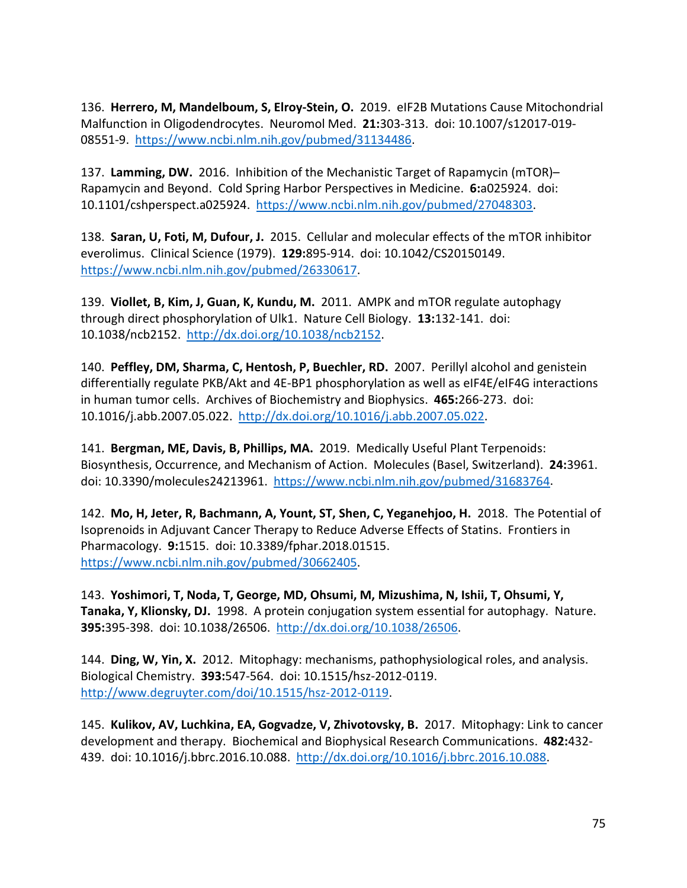136. **Herrero, M, Mandelboum, S, Elroy-Stein, O.** 2019. eIF2B Mutations Cause Mitochondrial Malfunction in Oligodendrocytes. Neuromol Med. **21:**303-313. doi: 10.1007/s12017-019- 08551-9. [https://www.ncbi.nlm.nih.gov/pubmed/31134486.](https://www.ncbi.nlm.nih.gov/pubmed/31134486)

137. **Lamming, DW.** 2016. Inhibition of the Mechanistic Target of Rapamycin (mTOR)– Rapamycin and Beyond. Cold Spring Harbor Perspectives in Medicine. **6:**a025924. doi: 10.1101/cshperspect.a025924. [https://www.ncbi.nlm.nih.gov/pubmed/27048303.](https://www.ncbi.nlm.nih.gov/pubmed/27048303)

138. **Saran, U, Foti, M, Dufour, J.** 2015. Cellular and molecular effects of the mTOR inhibitor everolimus. Clinical Science (1979). **129:**895-914. doi: 10.1042/CS20150149. [https://www.ncbi.nlm.nih.gov/pubmed/26330617.](https://www.ncbi.nlm.nih.gov/pubmed/26330617)

139. **Viollet, B, Kim, J, Guan, K, Kundu, M.** 2011. AMPK and mTOR regulate autophagy through direct phosphorylation of Ulk1. Nature Cell Biology. **13:**132-141. doi: 10.1038/ncb2152. [http://dx.doi.org/10.1038/ncb2152.](http://dx.doi.org/10.1038/ncb2152)

140. **Peffley, DM, Sharma, C, Hentosh, P, Buechler, RD.** 2007. Perillyl alcohol and genistein differentially regulate PKB/Akt and 4E-BP1 phosphorylation as well as eIF4E/eIF4G interactions in human tumor cells. Archives of Biochemistry and Biophysics. **465:**266-273. doi: 10.1016/j.abb.2007.05.022. [http://dx.doi.org/10.1016/j.abb.2007.05.022.](http://dx.doi.org/10.1016/j.abb.2007.05.022)

141. **Bergman, ME, Davis, B, Phillips, MA.** 2019. Medically Useful Plant Terpenoids: Biosynthesis, Occurrence, and Mechanism of Action. Molecules (Basel, Switzerland). **24:**3961. doi: 10.3390/molecules24213961. [https://www.ncbi.nlm.nih.gov/pubmed/31683764.](https://www.ncbi.nlm.nih.gov/pubmed/31683764)

142. **Mo, H, Jeter, R, Bachmann, A, Yount, ST, Shen, C, Yeganehjoo, H.** 2018. The Potential of Isoprenoids in Adjuvant Cancer Therapy to Reduce Adverse Effects of Statins. Frontiers in Pharmacology. **9:**1515. doi: 10.3389/fphar.2018.01515. [https://www.ncbi.nlm.nih.gov/pubmed/30662405.](https://www.ncbi.nlm.nih.gov/pubmed/30662405)

143. **Yoshimori, T, Noda, T, George, MD, Ohsumi, M, Mizushima, N, Ishii, T, Ohsumi, Y, Tanaka, Y, Klionsky, DJ.** 1998. A protein conjugation system essential for autophagy. Nature. **395:**395-398. doi: 10.1038/26506. [http://dx.doi.org/10.1038/26506.](http://dx.doi.org/10.1038/26506)

144. **Ding, W, Yin, X.** 2012. Mitophagy: mechanisms, pathophysiological roles, and analysis. Biological Chemistry. **393:**547-564. doi: 10.1515/hsz-2012-0119. [http://www.degruyter.com/doi/10.1515/hsz-2012-0119.](http://www.degruyter.com/doi/10.1515/hsz-2012-0119)

145. **Kulikov, AV, Luchkina, EA, Gogvadze, V, Zhivotovsky, B.** 2017. Mitophagy: Link to cancer development and therapy. Biochemical and Biophysical Research Communications. **482:**432- 439. doi: 10.1016/j.bbrc.2016.10.088. [http://dx.doi.org/10.1016/j.bbrc.2016.10.088.](http://dx.doi.org/10.1016/j.bbrc.2016.10.088)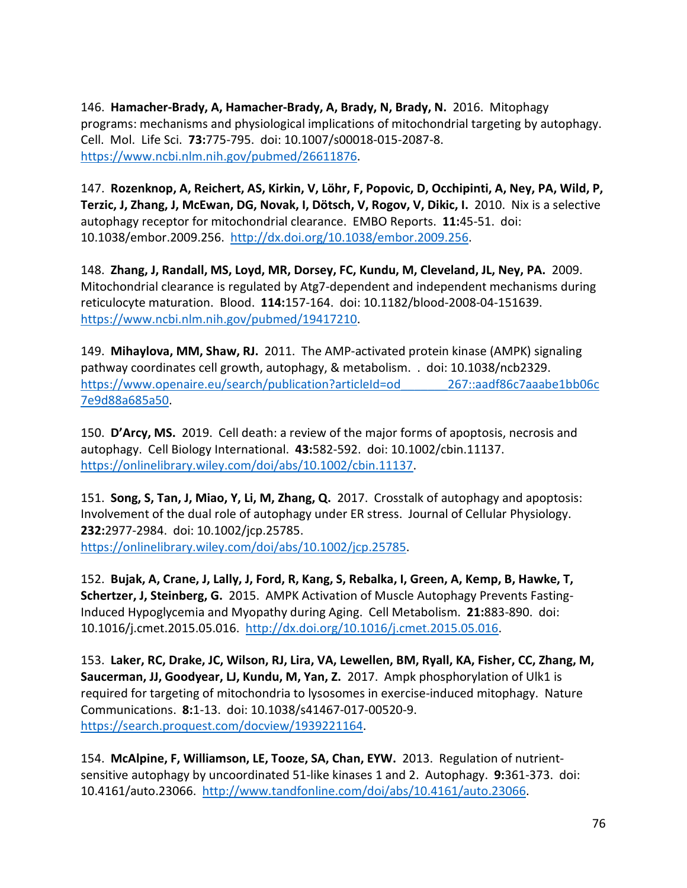146. **Hamacher-Brady, A, Hamacher-Brady, A, Brady, N, Brady, N.** 2016. Mitophagy programs: mechanisms and physiological implications of mitochondrial targeting by autophagy. Cell. Mol. Life Sci. **73:**775-795. doi: 10.1007/s00018-015-2087-8. [https://www.ncbi.nlm.nih.gov/pubmed/26611876.](https://www.ncbi.nlm.nih.gov/pubmed/26611876)

147. **Rozenknop, A, Reichert, AS, Kirkin, V, Löhr, F, Popovic, D, Occhipinti, A, Ney, PA, Wild, P, Terzic, J, Zhang, J, McEwan, DG, Novak, I, Dötsch, V, Rogov, V, Dikic, I.** 2010. Nix is a selective autophagy receptor for mitochondrial clearance. EMBO Reports. **11:**45-51. doi: 10.1038/embor.2009.256. [http://dx.doi.org/10.1038/embor.2009.256.](http://dx.doi.org/10.1038/embor.2009.256)

148. **Zhang, J, Randall, MS, Loyd, MR, Dorsey, FC, Kundu, M, Cleveland, JL, Ney, PA.** 2009. Mitochondrial clearance is regulated by Atg7-dependent and independent mechanisms during reticulocyte maturation. Blood. **114:**157-164. doi: 10.1182/blood-2008-04-151639. [https://www.ncbi.nlm.nih.gov/pubmed/19417210.](https://www.ncbi.nlm.nih.gov/pubmed/19417210)

149. **Mihaylova, MM, Shaw, RJ.** 2011. The AMP-activated protein kinase (AMPK) signaling pathway coordinates cell growth, autophagy, & metabolism. . doi: 10.1038/ncb2329. https://www.openaire.eu/search/publication?articleId=od\_\_\_\_\_\_\_\_\_267::aadf86c7aaabe1bb06c [7e9d88a685a50.](https://www.openaire.eu/search/publication?articleId=od_______267::aadf86c7aaabe1bb06c7e9d88a685a50)

150. **D'Arcy, MS.** 2019. Cell death: a review of the major forms of apoptosis, necrosis and autophagy. Cell Biology International. **43:**582-592. doi: 10.1002/cbin.11137. [https://onlinelibrary.wiley.com/doi/abs/10.1002/cbin.11137.](https://onlinelibrary.wiley.com/doi/abs/10.1002/cbin.11137)

151. **Song, S, Tan, J, Miao, Y, Li, M, Zhang, Q.** 2017. Crosstalk of autophagy and apoptosis: Involvement of the dual role of autophagy under ER stress. Journal of Cellular Physiology. **232:**2977-2984. doi: 10.1002/jcp.25785. [https://onlinelibrary.wiley.com/doi/abs/10.1002/jcp.25785.](https://onlinelibrary.wiley.com/doi/abs/10.1002/jcp.25785)

152. **Bujak, A, Crane, J, Lally, J, Ford, R, Kang, S, Rebalka, I, Green, A, Kemp, B, Hawke, T, Schertzer, J, Steinberg, G.** 2015. AMPK Activation of Muscle Autophagy Prevents Fasting-Induced Hypoglycemia and Myopathy during Aging. Cell Metabolism. **21:**883-890. doi: 10.1016/j.cmet.2015.05.016. [http://dx.doi.org/10.1016/j.cmet.2015.05.016.](http://dx.doi.org/10.1016/j.cmet.2015.05.016)

153. **Laker, RC, Drake, JC, Wilson, RJ, Lira, VA, Lewellen, BM, Ryall, KA, Fisher, CC, Zhang, M, Saucerman, JJ, Goodyear, LJ, Kundu, M, Yan, Z.** 2017. Ampk phosphorylation of Ulk1 is required for targeting of mitochondria to lysosomes in exercise-induced mitophagy. Nature Communications. **8:**1-13. doi: 10.1038/s41467-017-00520-9. [https://search.proquest.com/docview/1939221164.](https://search.proquest.com/docview/1939221164)

154. **McAlpine, F, Williamson, LE, Tooze, SA, Chan, EYW.** 2013. Regulation of nutrientsensitive autophagy by uncoordinated 51-like kinases 1 and 2. Autophagy. **9:**361-373. doi: 10.4161/auto.23066. [http://www.tandfonline.com/doi/abs/10.4161/auto.23066.](http://www.tandfonline.com/doi/abs/10.4161/auto.23066)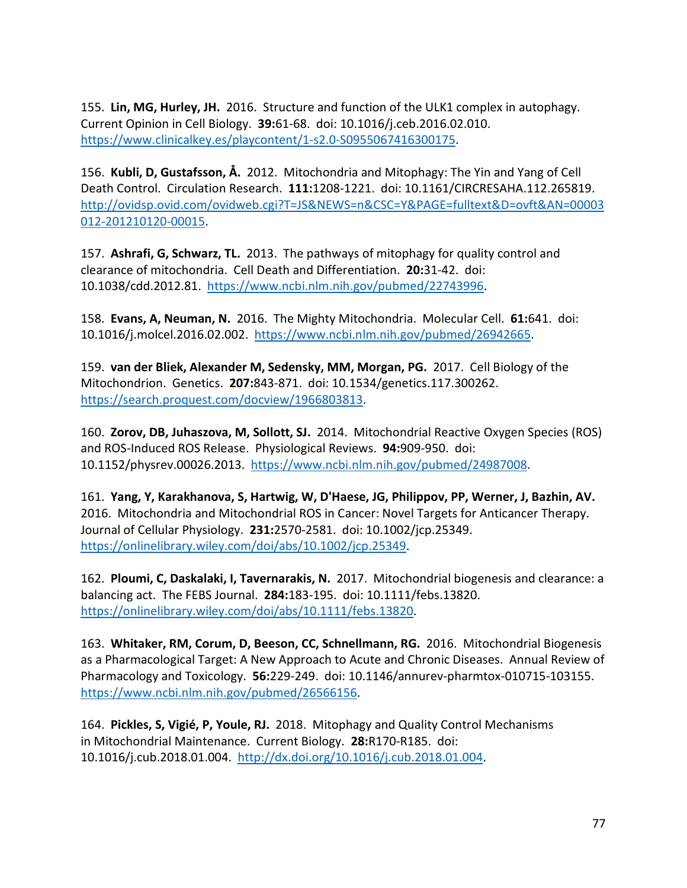155. **Lin, MG, Hurley, JH.** 2016. Structure and function of the ULK1 complex in autophagy. Current Opinion in Cell Biology. **39:**61-68. doi: 10.1016/j.ceb.2016.02.010. [https://www.clinicalkey.es/playcontent/1-s2.0-S0955067416300175.](https://www.clinicalkey.es/playcontent/1-s2.0-S0955067416300175)

156. **Kubli, D, Gustafsson, Å.** 2012. Mitochondria and Mitophagy: The Yin and Yang of Cell Death Control. Circulation Research. **111:**1208-1221. doi: 10.1161/CIRCRESAHA.112.265819. [http://ovidsp.ovid.com/ovidweb.cgi?T=JS&NEWS=n&CSC=Y&PAGE=fulltext&D=ovft&AN=00003](http://ovidsp.ovid.com/ovidweb.cgi?T=JS&NEWS=n&CSC=Y&PAGE=fulltext&D=ovft&AN=00003012-201210120-00015) [012-201210120-00015.](http://ovidsp.ovid.com/ovidweb.cgi?T=JS&NEWS=n&CSC=Y&PAGE=fulltext&D=ovft&AN=00003012-201210120-00015)

157. **Ashrafi, G, Schwarz, TL.** 2013. The pathways of mitophagy for quality control and clearance of mitochondria. Cell Death and Differentiation. **20:**31-42. doi: 10.1038/cdd.2012.81. [https://www.ncbi.nlm.nih.gov/pubmed/22743996.](https://www.ncbi.nlm.nih.gov/pubmed/22743996)

158. **Evans, A, Neuman, N.** 2016. The Mighty Mitochondria. Molecular Cell. **61:**641. doi: 10.1016/j.molcel.2016.02.002. [https://www.ncbi.nlm.nih.gov/pubmed/26942665.](https://www.ncbi.nlm.nih.gov/pubmed/26942665)

159. **van der Bliek, Alexander M, Sedensky, MM, Morgan, PG.** 2017. Cell Biology of the Mitochondrion. Genetics. **207:**843-871. doi: 10.1534/genetics.117.300262. [https://search.proquest.com/docview/1966803813.](https://search.proquest.com/docview/1966803813)

160. **Zorov, DB, Juhaszova, M, Sollott, SJ.** 2014. Mitochondrial Reactive Oxygen Species (ROS) and ROS-Induced ROS Release. Physiological Reviews. **94:**909-950. doi: 10.1152/physrev.00026.2013. [https://www.ncbi.nlm.nih.gov/pubmed/24987008.](https://www.ncbi.nlm.nih.gov/pubmed/24987008)

161. **Yang, Y, Karakhanova, S, Hartwig, W, D'Haese, JG, Philippov, PP, Werner, J, Bazhin, AV.**  2016. Mitochondria and Mitochondrial ROS in Cancer: Novel Targets for Anticancer Therapy. Journal of Cellular Physiology. **231:**2570-2581. doi: 10.1002/jcp.25349. [https://onlinelibrary.wiley.com/doi/abs/10.1002/jcp.25349.](https://onlinelibrary.wiley.com/doi/abs/10.1002/jcp.25349)

162. **Ploumi, C, Daskalaki, I, Tavernarakis, N.** 2017. Mitochondrial biogenesis and clearance: a balancing act. The FEBS Journal. **284:**183-195. doi: 10.1111/febs.13820. [https://onlinelibrary.wiley.com/doi/abs/10.1111/febs.13820.](https://onlinelibrary.wiley.com/doi/abs/10.1111/febs.13820)

163. **Whitaker, RM, Corum, D, Beeson, CC, Schnellmann, RG.** 2016. Mitochondrial Biogenesis as a Pharmacological Target: A New Approach to Acute and Chronic Diseases. Annual Review of Pharmacology and Toxicology. **56:**229-249. doi: 10.1146/annurev-pharmtox-010715-103155. [https://www.ncbi.nlm.nih.gov/pubmed/26566156.](https://www.ncbi.nlm.nih.gov/pubmed/26566156)

164. **Pickles, S, Vigié, P, Youle, RJ.** 2018. Mitophagy and Quality Control Mechanisms in Mitochondrial Maintenance. Current Biology. **28:**R170-R185. doi: 10.1016/j.cub.2018.01.004. [http://dx.doi.org/10.1016/j.cub.2018.01.004.](http://dx.doi.org/10.1016/j.cub.2018.01.004)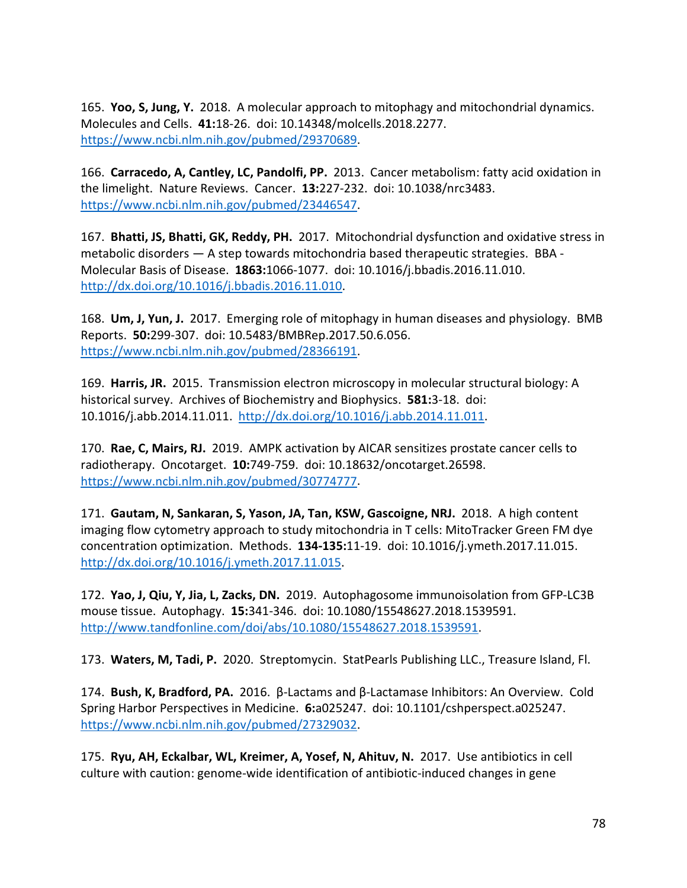165. **Yoo, S, Jung, Y.** 2018. A molecular approach to mitophagy and mitochondrial dynamics. Molecules and Cells. **41:**18-26. doi: 10.14348/molcells.2018.2277. [https://www.ncbi.nlm.nih.gov/pubmed/29370689.](https://www.ncbi.nlm.nih.gov/pubmed/29370689)

166. **Carracedo, A, Cantley, LC, Pandolfi, PP.** 2013. Cancer metabolism: fatty acid oxidation in the limelight. Nature Reviews. Cancer. **13:**227-232. doi: 10.1038/nrc3483. [https://www.ncbi.nlm.nih.gov/pubmed/23446547.](https://www.ncbi.nlm.nih.gov/pubmed/23446547)

167. **Bhatti, JS, Bhatti, GK, Reddy, PH.** 2017. Mitochondrial dysfunction and oxidative stress in metabolic disorders — A step towards mitochondria based therapeutic strategies. BBA - Molecular Basis of Disease. **1863:**1066-1077. doi: 10.1016/j.bbadis.2016.11.010. [http://dx.doi.org/10.1016/j.bbadis.2016.11.010.](http://dx.doi.org/10.1016/j.bbadis.2016.11.010)

168. **Um, J, Yun, J.** 2017. Emerging role of mitophagy in human diseases and physiology. BMB Reports. **50:**299-307. doi: 10.5483/BMBRep.2017.50.6.056. [https://www.ncbi.nlm.nih.gov/pubmed/28366191.](https://www.ncbi.nlm.nih.gov/pubmed/28366191)

169. **Harris, JR.** 2015. Transmission electron microscopy in molecular structural biology: A historical survey. Archives of Biochemistry and Biophysics. **581:**3-18. doi: 10.1016/j.abb.2014.11.011. [http://dx.doi.org/10.1016/j.abb.2014.11.011.](http://dx.doi.org/10.1016/j.abb.2014.11.011)

170. **Rae, C, Mairs, RJ.** 2019. AMPK activation by AICAR sensitizes prostate cancer cells to radiotherapy. Oncotarget. **10:**749-759. doi: 10.18632/oncotarget.26598. [https://www.ncbi.nlm.nih.gov/pubmed/30774777.](https://www.ncbi.nlm.nih.gov/pubmed/30774777)

171. **Gautam, N, Sankaran, S, Yason, JA, Tan, KSW, Gascoigne, NRJ.** 2018. A high content imaging flow cytometry approach to study mitochondria in T cells: MitoTracker Green FM dye concentration optimization. Methods. **134-135:**11-19. doi: 10.1016/j.ymeth.2017.11.015. [http://dx.doi.org/10.1016/j.ymeth.2017.11.015.](http://dx.doi.org/10.1016/j.ymeth.2017.11.015)

172. **Yao, J, Qiu, Y, Jia, L, Zacks, DN.** 2019. Autophagosome immunoisolation from GFP-LC3B mouse tissue. Autophagy. **15:**341-346. doi: 10.1080/15548627.2018.1539591. [http://www.tandfonline.com/doi/abs/10.1080/15548627.2018.1539591.](http://www.tandfonline.com/doi/abs/10.1080/15548627.2018.1539591)

173. **Waters, M, Tadi, P.** 2020. Streptomycin. StatPearls Publishing LLC., Treasure Island, Fl.

174. **Bush, K, Bradford, PA.** 2016. β-Lactams and β-Lactamase Inhibitors: An Overview. Cold Spring Harbor Perspectives in Medicine. **6:**a025247. doi: 10.1101/cshperspect.a025247. [https://www.ncbi.nlm.nih.gov/pubmed/27329032.](https://www.ncbi.nlm.nih.gov/pubmed/27329032)

175. **Ryu, AH, Eckalbar, WL, Kreimer, A, Yosef, N, Ahituv, N.** 2017. Use antibiotics in cell culture with caution: genome-wide identification of antibiotic-induced changes in gene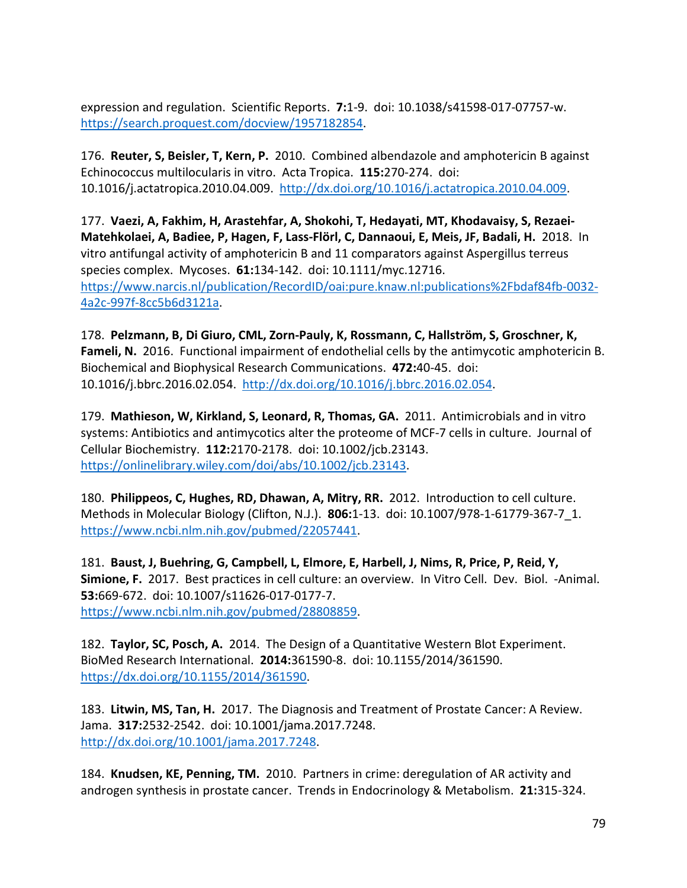expression and regulation. Scientific Reports. **7:**1-9. doi: 10.1038/s41598-017-07757-w. [https://search.proquest.com/docview/1957182854.](https://search.proquest.com/docview/1957182854)

176. **Reuter, S, Beisler, T, Kern, P.** 2010. Combined albendazole and amphotericin B against Echinococcus multilocularis in vitro. Acta Tropica. **115:**270-274. doi: 10.1016/j.actatropica.2010.04.009. [http://dx.doi.org/10.1016/j.actatropica.2010.04.009.](http://dx.doi.org/10.1016/j.actatropica.2010.04.009)

177. **Vaezi, A, Fakhim, H, Arastehfar, A, Shokohi, T, Hedayati, MT, Khodavaisy, S, Rezaei-Matehkolaei, A, Badiee, P, Hagen, F, Lass-Flörl, C, Dannaoui, E, Meis, JF, Badali, H.** 2018. In vitro antifungal activity of amphotericin B and 11 comparators against Aspergillus terreus species complex. Mycoses. **61:**134-142. doi: 10.1111/myc.12716. [https://www.narcis.nl/publication/RecordID/oai:pure.knaw.nl:publications%2Fbdaf84fb-0032-](https://www.narcis.nl/publication/RecordID/oai:pure.knaw.nl:publications%2Fbdaf84fb-0032-4a2c-997f-8cc5b6d3121a) [4a2c-997f-8cc5b6d3121a.](https://www.narcis.nl/publication/RecordID/oai:pure.knaw.nl:publications%2Fbdaf84fb-0032-4a2c-997f-8cc5b6d3121a)

178. **Pelzmann, B, Di Giuro, CML, Zorn-Pauly, K, Rossmann, C, Hallström, S, Groschner, K, Fameli, N.** 2016. Functional impairment of endothelial cells by the antimycotic amphotericin B. Biochemical and Biophysical Research Communications. **472:**40-45. doi: 10.1016/j.bbrc.2016.02.054. [http://dx.doi.org/10.1016/j.bbrc.2016.02.054.](http://dx.doi.org/10.1016/j.bbrc.2016.02.054)

179. **Mathieson, W, Kirkland, S, Leonard, R, Thomas, GA.** 2011. Antimicrobials and in vitro systems: Antibiotics and antimycotics alter the proteome of MCF-7 cells in culture. Journal of Cellular Biochemistry. **112:**2170-2178. doi: 10.1002/jcb.23143. [https://onlinelibrary.wiley.com/doi/abs/10.1002/jcb.23143.](https://onlinelibrary.wiley.com/doi/abs/10.1002/jcb.23143)

180. **Philippeos, C, Hughes, RD, Dhawan, A, Mitry, RR.** 2012. Introduction to cell culture. Methods in Molecular Biology (Clifton, N.J.). **806:**1-13. doi: 10.1007/978-1-61779-367-7\_1. [https://www.ncbi.nlm.nih.gov/pubmed/22057441.](https://www.ncbi.nlm.nih.gov/pubmed/22057441)

181. **Baust, J, Buehring, G, Campbell, L, Elmore, E, Harbell, J, Nims, R, Price, P, Reid, Y, Simione, F.** 2017. Best practices in cell culture: an overview. In Vitro Cell. Dev. Biol. -Animal. **53:**669-672. doi: 10.1007/s11626-017-0177-7. [https://www.ncbi.nlm.nih.gov/pubmed/28808859.](https://www.ncbi.nlm.nih.gov/pubmed/28808859)

182. **Taylor, SC, Posch, A.** 2014. The Design of a Quantitative Western Blot Experiment. BioMed Research International. **2014:**361590-8. doi: 10.1155/2014/361590. [https://dx.doi.org/10.1155/2014/361590.](https://dx.doi.org/10.1155/2014/361590)

183. **Litwin, MS, Tan, H.** 2017. The Diagnosis and Treatment of Prostate Cancer: A Review. Jama. **317:**2532-2542. doi: 10.1001/jama.2017.7248. [http://dx.doi.org/10.1001/jama.2017.7248.](http://dx.doi.org/10.1001/jama.2017.7248)

184. **Knudsen, KE, Penning, TM.** 2010. Partners in crime: deregulation of AR activity and androgen synthesis in prostate cancer. Trends in Endocrinology & Metabolism. **21:**315-324.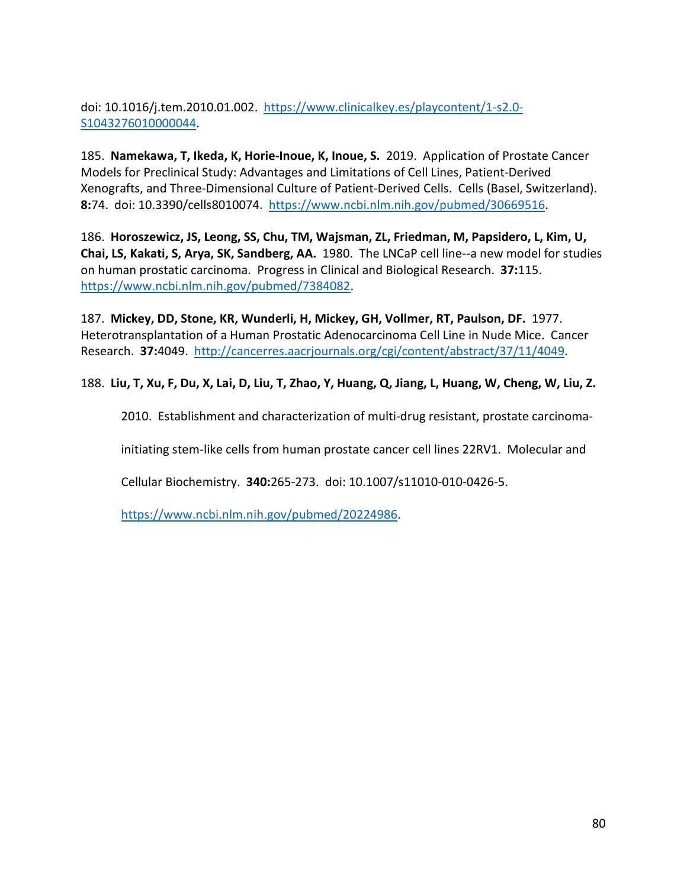doi: 10.1016/j.tem.2010.01.002. [https://www.clinicalkey.es/playcontent/1-s2.0-](https://www.clinicalkey.es/playcontent/1-s2.0-S1043276010000044) [S1043276010000044.](https://www.clinicalkey.es/playcontent/1-s2.0-S1043276010000044)

185. **Namekawa, T, Ikeda, K, Horie-Inoue, K, Inoue, S.** 2019. Application of Prostate Cancer Models for Preclinical Study: Advantages and Limitations of Cell Lines, Patient-Derived Xenografts, and Three-Dimensional Culture of Patient-Derived Cells. Cells (Basel, Switzerland). **8:**74. doi: 10.3390/cells8010074. [https://www.ncbi.nlm.nih.gov/pubmed/30669516.](https://www.ncbi.nlm.nih.gov/pubmed/30669516)

186. **Horoszewicz, JS, Leong, SS, Chu, TM, Wajsman, ZL, Friedman, M, Papsidero, L, Kim, U, Chai, LS, Kakati, S, Arya, SK, Sandberg, AA.** 1980. The LNCaP cell line--a new model for studies on human prostatic carcinoma. Progress in Clinical and Biological Research. **37:**115. [https://www.ncbi.nlm.nih.gov/pubmed/7384082.](https://www.ncbi.nlm.nih.gov/pubmed/7384082)

187. **Mickey, DD, Stone, KR, Wunderli, H, Mickey, GH, Vollmer, RT, Paulson, DF.** 1977. Heterotransplantation of a Human Prostatic Adenocarcinoma Cell Line in Nude Mice. Cancer Research. **37:**4049. [http://cancerres.aacrjournals.org/cgi/content/abstract/37/11/4049.](http://cancerres.aacrjournals.org/cgi/content/abstract/37/11/4049)

188. **Liu, T, Xu, F, Du, X, Lai, D, Liu, T, Zhao, Y, Huang, Q, Jiang, L, Huang, W, Cheng, W, Liu, Z.** 

2010. Establishment and characterization of multi-drug resistant, prostate carcinoma-

initiating stem-like cells from human prostate cancer cell lines 22RV1. Molecular and

Cellular Biochemistry. **340:**265-273. doi: 10.1007/s11010-010-0426-5.

[https://www.ncbi.nlm.nih.gov/pubmed/20224986.](https://www.ncbi.nlm.nih.gov/pubmed/20224986)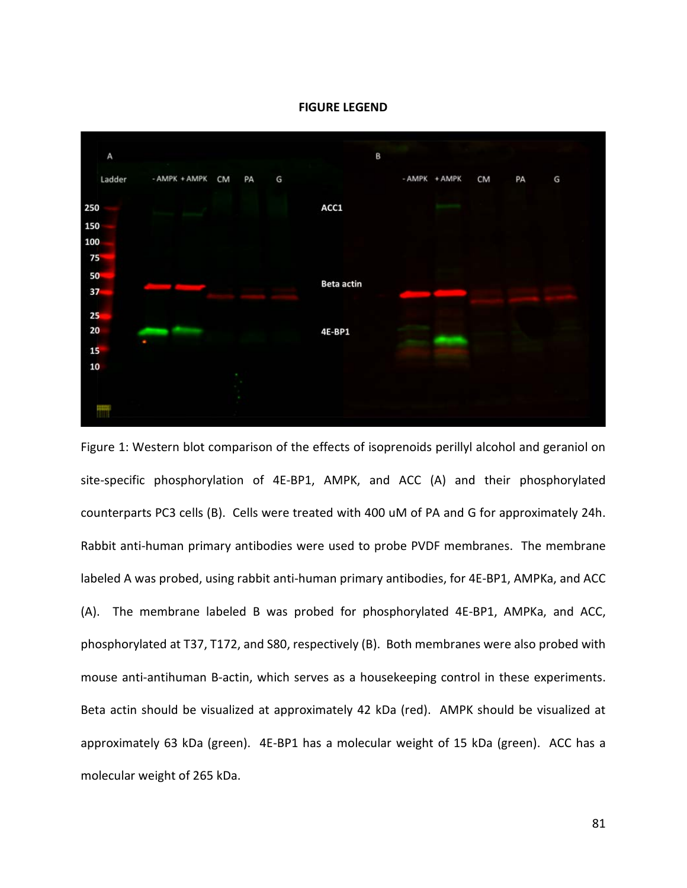



Figure 1: Western blot comparison of the effects of isoprenoids perillyl alcohol and geraniol on site-specific phosphorylation of 4E-BP1, AMPK, and ACC (A) and their phosphorylated counterparts PC3 cells (B). Cells were treated with 400 uM of PA and G for approximately 24h. Rabbit anti-human primary antibodies were used to probe PVDF membranes. The membrane labeled A was probed, using rabbit anti-human primary antibodies, for 4E-BP1, AMPKa, and ACC (A). The membrane labeled B was probed for phosphorylated 4E-BP1, AMPKa, and ACC, phosphorylated at T37, T172, and S80, respectively (B). Both membranes were also probed with mouse anti-antihuman B-actin, which serves as a housekeeping control in these experiments. Beta actin should be visualized at approximately 42 kDa (red). AMPK should be visualized at approximately 63 kDa (green). 4E-BP1 has a molecular weight of 15 kDa (green). ACC has a molecular weight of 265 kDa.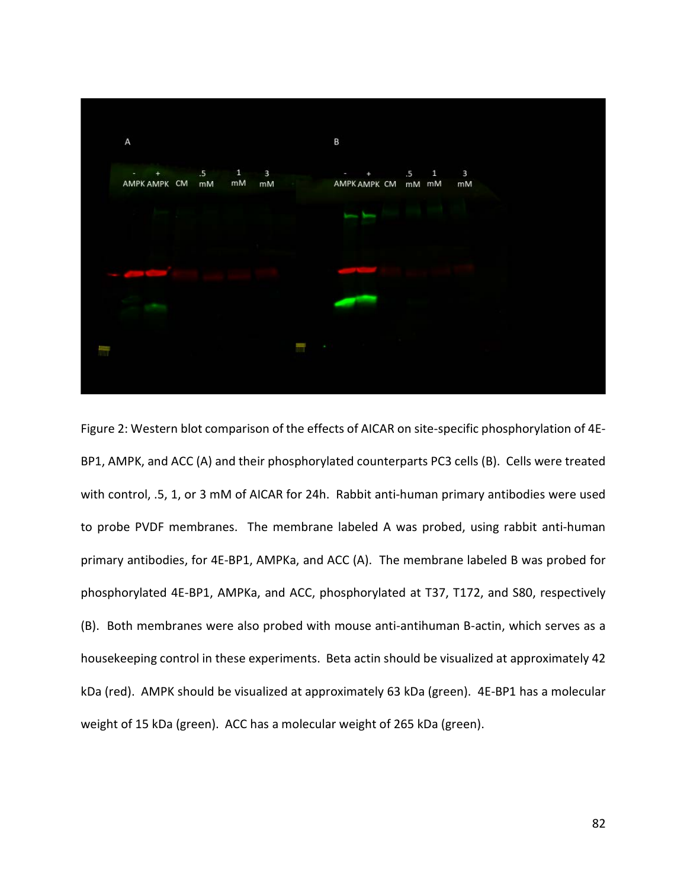

Figure 2: Western blot comparison of the effects of AICAR on site-specific phosphorylation of 4E-BP1, AMPK, and ACC (A) and their phosphorylated counterparts PC3 cells (B). Cells were treated with control, .5, 1, or 3 mM of AICAR for 24h. Rabbit anti-human primary antibodies were used to probe PVDF membranes. The membrane labeled A was probed, using rabbit anti-human primary antibodies, for 4E-BP1, AMPKa, and ACC (A). The membrane labeled B was probed for phosphorylated 4E-BP1, AMPKa, and ACC, phosphorylated at T37, T172, and S80, respectively (B). Both membranes were also probed with mouse anti-antihuman B-actin, which serves as a housekeeping control in these experiments. Beta actin should be visualized at approximately 42 kDa (red). AMPK should be visualized at approximately 63 kDa (green). 4E-BP1 has a molecular weight of 15 kDa (green). ACC has a molecular weight of 265 kDa (green).